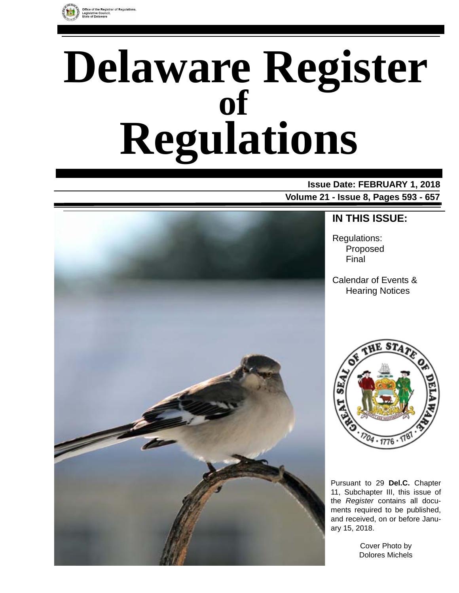

# **Delaware Register Regulations of**

### **Issue Date: FEBRUARY 1, 2018 Volume 21 - Issue 8, Pages 593 - 657**



### **IN THIS ISSUE:**

Regulations: Proposed Final

Calendar of Events & Hearing Notices



Pursuant to 29 **Del.C.** Chapter 11, Subchapter III, this issue of the *Register* contains all documents required to be published, and received, on or before January 15, 2018.

> Cover Photo by Dolores Michels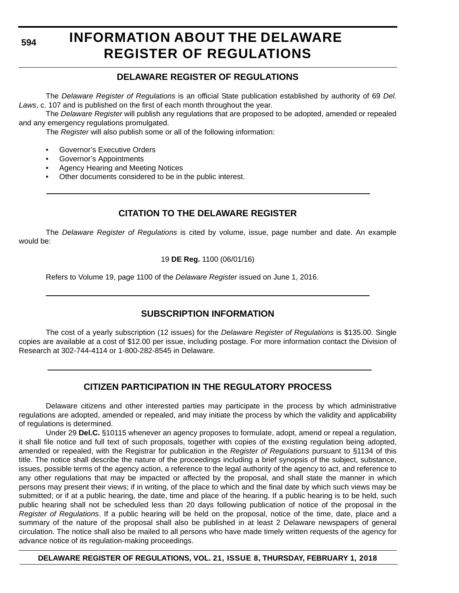# **INFORMATION ABOUT THE DELAWARE REGISTER OF REGULATIONS**

### **DELAWARE REGISTER OF REGULATIONS**

The *Delaware Register of Regulations* is an official State publication established by authority of 69 *Del. Laws*, c. 107 and is published on the first of each month throughout the year.

The *Delaware Register* will publish any regulations that are proposed to be adopted, amended or repealed and any emergency regulations promulgated.

The *Register* will also publish some or all of the following information:

- Governor's Executive Orders
- Governor's Appointments
- Agency Hearing and Meeting Notices
- Other documents considered to be in the public interest.

### **CITATION TO THE DELAWARE REGISTER**

The *Delaware Register of Regulations* is cited by volume, issue, page number and date. An example would be:

19 **DE Reg.** 1100 (06/01/16)

Refers to Volume 19, page 1100 of the *Delaware Register* issued on June 1, 2016.

### **SUBSCRIPTION INFORMATION**

The cost of a yearly subscription (12 issues) for the *Delaware Register of Regulations* is \$135.00. Single copies are available at a cost of \$12.00 per issue, including postage. For more information contact the Division of Research at 302-744-4114 or 1-800-282-8545 in Delaware.

### **CITIZEN PARTICIPATION IN THE REGULATORY PROCESS**

Delaware citizens and other interested parties may participate in the process by which administrative regulations are adopted, amended or repealed, and may initiate the process by which the validity and applicability of regulations is determined.

Under 29 **Del.C.** §10115 whenever an agency proposes to formulate, adopt, amend or repeal a regulation, it shall file notice and full text of such proposals, together with copies of the existing regulation being adopted, amended or repealed, with the Registrar for publication in the *Register of Regulations* pursuant to §1134 of this title. The notice shall describe the nature of the proceedings including a brief synopsis of the subject, substance, issues, possible terms of the agency action, a reference to the legal authority of the agency to act, and reference to any other regulations that may be impacted or affected by the proposal, and shall state the manner in which persons may present their views; if in writing, of the place to which and the final date by which such views may be submitted; or if at a public hearing, the date, time and place of the hearing. If a public hearing is to be held, such public hearing shall not be scheduled less than 20 days following publication of notice of the proposal in the *Register of Regulations*. If a public hearing will be held on the proposal, notice of the time, date, place and a summary of the nature of the proposal shall also be published in at least 2 Delaware newspapers of general circulation. The notice shall also be mailed to all persons who have made timely written requests of the agency for advance notice of its regulation-making proceedings.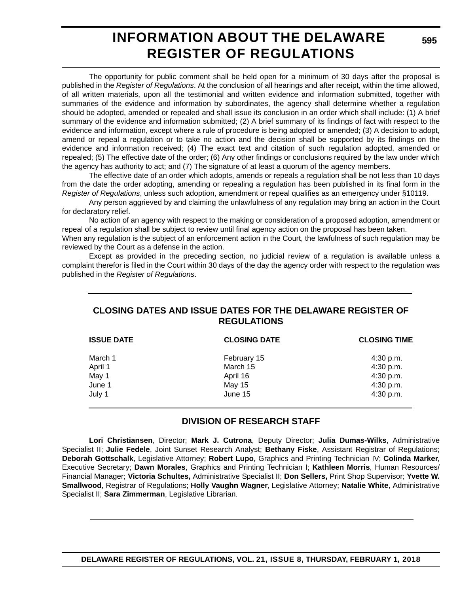# **INFORMATION ABOUT THE DELAWARE REGISTER OF REGULATIONS**

**595**

The opportunity for public comment shall be held open for a minimum of 30 days after the proposal is published in the *Register of Regulations*. At the conclusion of all hearings and after receipt, within the time allowed, of all written materials, upon all the testimonial and written evidence and information submitted, together with summaries of the evidence and information by subordinates, the agency shall determine whether a regulation should be adopted, amended or repealed and shall issue its conclusion in an order which shall include: (1) A brief summary of the evidence and information submitted; (2) A brief summary of its findings of fact with respect to the evidence and information, except where a rule of procedure is being adopted or amended; (3) A decision to adopt, amend or repeal a regulation or to take no action and the decision shall be supported by its findings on the evidence and information received; (4) The exact text and citation of such regulation adopted, amended or repealed; (5) The effective date of the order; (6) Any other findings or conclusions required by the law under which the agency has authority to act; and (7) The signature of at least a quorum of the agency members.

The effective date of an order which adopts, amends or repeals a regulation shall be not less than 10 days from the date the order adopting, amending or repealing a regulation has been published in its final form in the *Register of Regulations*, unless such adoption, amendment or repeal qualifies as an emergency under §10119.

Any person aggrieved by and claiming the unlawfulness of any regulation may bring an action in the Court for declaratory relief.

No action of an agency with respect to the making or consideration of a proposed adoption, amendment or repeal of a regulation shall be subject to review until final agency action on the proposal has been taken.

When any regulation is the subject of an enforcement action in the Court, the lawfulness of such regulation may be reviewed by the Court as a defense in the action.

Except as provided in the preceding section, no judicial review of a regulation is available unless a complaint therefor is filed in the Court within 30 days of the day the agency order with respect to the regulation was published in the *Register of Regulations*.

### **CLOSING DATES AND ISSUE DATES FOR THE DELAWARE REGISTER OF REGULATIONS**

| <b>CLOSING DATE</b> | <b>CLOSING TIME</b> |  |
|---------------------|---------------------|--|
| February 15         | $4:30$ p.m.         |  |
| March 15            | 4:30 p.m.           |  |
| April 16            | 4:30 p.m.           |  |
| May 15              | 4:30 p.m.           |  |
| June 15             | 4:30 p.m.           |  |
|                     |                     |  |

### **DIVISION OF RESEARCH STAFF**

**Lori Christiansen**, Director; **Mark J. Cutrona**, Deputy Director; **Julia Dumas-Wilks**, Administrative Specialist II; **Julie Fedele**, Joint Sunset Research Analyst; **Bethany Fiske**, Assistant Registrar of Regulations; **Deborah Gottschalk**, Legislative Attorney; **Robert Lupo**, Graphics and Printing Technician IV; **Colinda Marker**, Executive Secretary; **Dawn Morales**, Graphics and Printing Technician I; **Kathleen Morris**, Human Resources/ Financial Manager; **Victoria Schultes,** Administrative Specialist II; **Don Sellers,** Print Shop Supervisor; **Yvette W. Smallwood**, Registrar of Regulations; **Holly Vaughn Wagner**, Legislative Attorney; **Natalie White**, Administrative Specialist II; **Sara Zimmerman**, Legislative Librarian.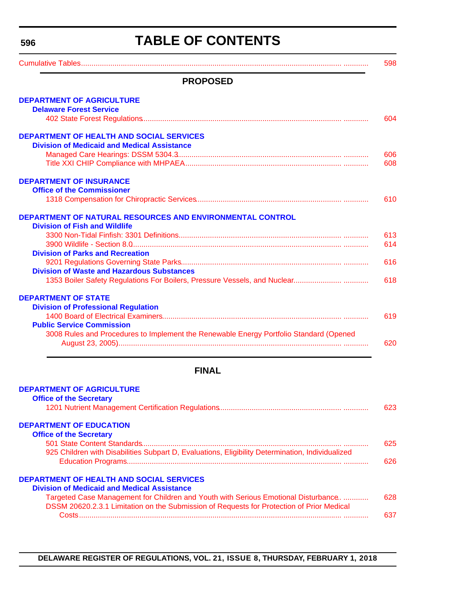# **TABLE OF CONTENTS**

<span id="page-3-0"></span>

| <b>PROPOSED</b>                                                                        |            |
|----------------------------------------------------------------------------------------|------------|
| <b>DEPARTMENT OF AGRICULTURE</b>                                                       |            |
| <b>Delaware Forest Service</b>                                                         |            |
|                                                                                        | 604        |
| <b>DEPARTMENT OF HEALTH AND SOCIAL SERVICES</b>                                        |            |
| <b>Division of Medicaid and Medical Assistance</b>                                     |            |
|                                                                                        | 606        |
|                                                                                        | 608        |
| <b>DEPARTMENT OF INSURANCE</b>                                                         |            |
| <b>Office of the Commissioner</b>                                                      |            |
|                                                                                        | 610        |
|                                                                                        |            |
| DEPARTMENT OF NATURAL RESOURCES AND ENVIRONMENTAL CONTROL                              |            |
| <b>Division of Fish and Wildlife</b>                                                   |            |
|                                                                                        | 613<br>614 |
| <b>Division of Parks and Recreation</b>                                                |            |
|                                                                                        | 616        |
| <b>Division of Waste and Hazardous Substances</b>                                      |            |
|                                                                                        | 618        |
|                                                                                        |            |
| <b>DEPARTMENT OF STATE</b>                                                             |            |
| <b>Division of Professional Regulation</b>                                             |            |
|                                                                                        | 619        |
| <b>Public Service Commission</b>                                                       |            |
| 3008 Rules and Procedures to Implement the Renewable Energy Portfolio Standard (Opened |            |
|                                                                                        | 620        |
| <b>FINAL</b>                                                                           |            |
|                                                                                        |            |
| <b>DEPARTMENT OF AGRICULTURE</b>                                                       |            |
| <b>Office of the Secretary</b>                                                         |            |
|                                                                                        |            |

#### **[DEPARTMENT OF EDUCATION](https://pubapps.doe.k12.de.us/EducationalDirectoryPublic/pages/DDOE/Branches.aspx?page=branches&BID=1)**

| <b>Office of the Secretary</b>                                                                   |      |
|--------------------------------------------------------------------------------------------------|------|
|                                                                                                  | 625. |
| 925 Children with Disabilities Subpart D, Evaluations, Eligibility Determination, Individualized |      |
|                                                                                                  | 626. |
| <b>DEPARTMENT OF HEALTH AND SOCIAL SERVICES</b>                                                  |      |
| <b>Division of Medicaid and Medical Assistance</b>                                               |      |
| Targeted Case Management for Children and Youth with Serious Emotional Disturbance.              | 628. |
| DSSM 20620.2.3.1 Limitation on the Submission of Requests for Protection of Prior Medical        |      |
|                                                                                                  |      |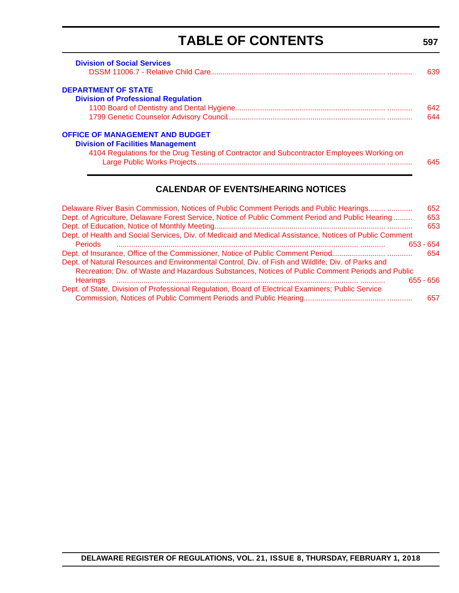# **TABLE OF CONTENTS**

**597**

<span id="page-4-0"></span>

| <b>Division of Social Services</b>                                                         | 639. |
|--------------------------------------------------------------------------------------------|------|
| <b>DEPARTMENT OF STATE</b>                                                                 |      |
| <b>Division of Professional Regulation</b>                                                 |      |
|                                                                                            | 642. |
|                                                                                            | 644  |
| <b>OFFICE OF MANAGEMENT AND BUDGET</b>                                                     |      |
| <b>Division of Facilities Management</b>                                                   |      |
| 4104 Regulations for the Drug Testing of Contractor and Subcontractor Employees Working on |      |
|                                                                                            | 645  |

### **CALENDAR OF EVENTS/HEARING NOTICES**

| Delaware River Basin Commission, Notices of Public Comment Periods and Public Hearings                  | 652 |
|---------------------------------------------------------------------------------------------------------|-----|
| Dept. of Agriculture, Delaware Forest Service, Notice of Public Comment Period and Public Hearing       | 653 |
|                                                                                                         | 653 |
| Dept. of Health and Social Services, Div. of Medicaid and Medical Assistance, Notices of Public Comment |     |
| <b>Periods</b><br>$653 - 654$                                                                           |     |
|                                                                                                         | 654 |
| Dept. of Natural Resources and Environmental Control, Div. of Fish and Wildlife; Div. of Parks and      |     |
| Recreation; Div. of Waste and Hazardous Substances, Notices of Public Comment Periods and Public        |     |
| <b>Hearings</b><br>$655 - 656$                                                                          |     |
| Dept. of State, Division of Professional Regulation, Board of Electrical Examiners; Public Service      |     |
|                                                                                                         | 657 |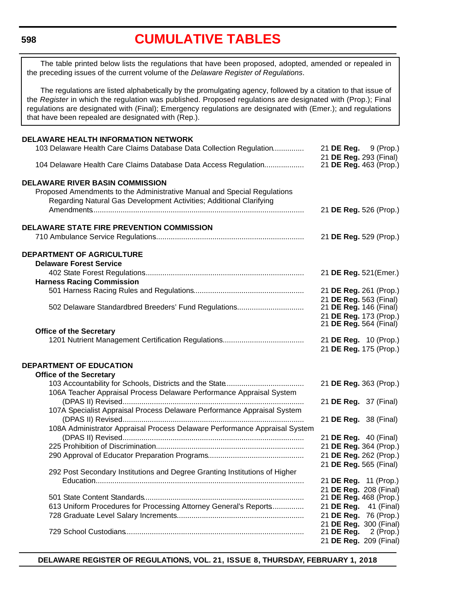### **[CUMULATIVE TABLES](#page-3-0)**

<span id="page-5-0"></span>The table printed below lists the regulations that have been proposed, adopted, amended or repealed in the preceding issues of the current volume of the *Delaware Register of Regulations*.

The regulations are listed alphabetically by the promulgating agency, followed by a citation to that issue of the *Register* in which the regulation was published. Proposed regulations are designated with (Prop.); Final regulations are designated with (Final); Emergency regulations are designated with (Emer.); and regulations that have been repealed are designated with (Rep.).

| <b>DELAWARE HEALTH INFORMATION NETWORK</b>                                                                                                      |                                                       |
|-------------------------------------------------------------------------------------------------------------------------------------------------|-------------------------------------------------------|
| 103 Delaware Health Care Claims Database Data Collection Regulation                                                                             | 21 <b>DE Reg.</b> 9 (Prop.)<br>21 DE Reg. 293 (Final) |
| 104 Delaware Health Care Claims Database Data Access Regulation                                                                                 | 21 DE Reg. 463 (Prop.)                                |
| <b>DELAWARE RIVER BASIN COMMISSION</b>                                                                                                          |                                                       |
| Proposed Amendments to the Administrative Manual and Special Regulations<br>Regarding Natural Gas Development Activities; Additional Clarifying |                                                       |
|                                                                                                                                                 | 21 DE Reg. 526 (Prop.)                                |
| <b>DELAWARE STATE FIRE PREVENTION COMMISSION</b>                                                                                                |                                                       |
|                                                                                                                                                 | 21 DE Reg. 529 (Prop.)                                |
| <b>DEPARTMENT OF AGRICULTURE</b>                                                                                                                |                                                       |
| <b>Delaware Forest Service</b>                                                                                                                  |                                                       |
|                                                                                                                                                 | 21 DE Reg. 521(Emer.)                                 |
| <b>Harness Racing Commission</b>                                                                                                                |                                                       |
|                                                                                                                                                 | 21 DE Reg. 261 (Prop.)                                |
|                                                                                                                                                 | 21 DE Reg. 563 (Final)                                |
| 502 Delaware Standardbred Breeders' Fund Regulations                                                                                            | 21 DE Reg. 146 (Final)                                |
|                                                                                                                                                 | 21 DE Reg. 173 (Prop.)                                |
|                                                                                                                                                 | 21 DE Reg. 564 (Final)                                |
| <b>Office of the Secretary</b>                                                                                                                  |                                                       |
|                                                                                                                                                 | 21 DE Reg. 10 (Prop.)                                 |
|                                                                                                                                                 | 21 DE Reg. 175 (Prop.)                                |
|                                                                                                                                                 |                                                       |
| <b>DEPARTMENT OF EDUCATION</b>                                                                                                                  |                                                       |
| <b>Office of the Secretary</b>                                                                                                                  |                                                       |
|                                                                                                                                                 | 21 DE Reg. 363 (Prop.)                                |
| 106A Teacher Appraisal Process Delaware Performance Appraisal System                                                                            |                                                       |
|                                                                                                                                                 | 21 <b>DE Reg.</b> 37 (Final)                          |
| 107A Specialist Appraisal Process Delaware Performance Appraisal System                                                                         |                                                       |
|                                                                                                                                                 | 21 DE Reg. 38 (Final)                                 |
| 108A Administrator Appraisal Process Delaware Performance Appraisal System                                                                      |                                                       |
|                                                                                                                                                 | 21 DE Reg. 40 (Final)                                 |
|                                                                                                                                                 | 21 DE Reg. 364 (Prop.)                                |
|                                                                                                                                                 | 21 DE Reg. 262 (Prop.)                                |
|                                                                                                                                                 | 21 DE Reg. 565 (Final)                                |
| 292 Post Secondary Institutions and Degree Granting Institutions of Higher                                                                      |                                                       |
|                                                                                                                                                 | 21 DE Reg. 11 (Prop.)                                 |
|                                                                                                                                                 | 21 DE Reg. 208 (Final)                                |
|                                                                                                                                                 | 21 DE Reg. 468 (Prop.)                                |
| 613 Uniform Procedures for Processing Attorney General's Reports                                                                                | 21 DE Reg. 41 (Final)                                 |
|                                                                                                                                                 | 21 DE Reg. 76 (Prop.)                                 |
|                                                                                                                                                 | 21 DE Reg. 300 (Final)                                |
|                                                                                                                                                 | $2$ (Prop.)<br>21 DE Reg.                             |
|                                                                                                                                                 | 21 DE Reg. 209 (Final)                                |
|                                                                                                                                                 |                                                       |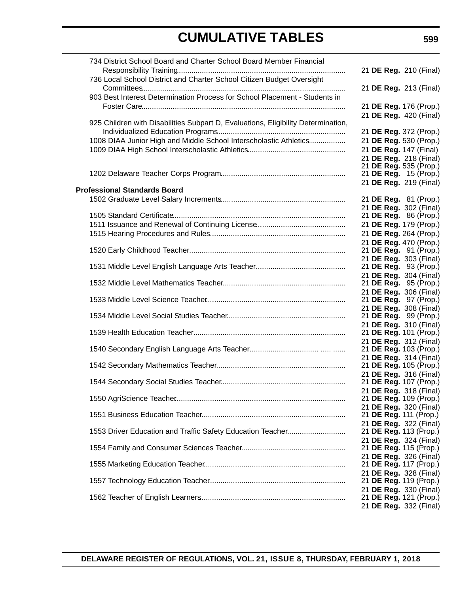| 734 District School Board and Charter School Board Member Financial               |                                                  |  |  |
|-----------------------------------------------------------------------------------|--------------------------------------------------|--|--|
|                                                                                   | 21 DE Reg. 210 (Final)                           |  |  |
| 736 Local School District and Charter School Citizen Budget Oversight             |                                                  |  |  |
|                                                                                   | 21 DE Reg. 213 (Final)                           |  |  |
| 903 Best Interest Determination Process for School Placement - Students in        |                                                  |  |  |
|                                                                                   | 21 DE Reg. 176 (Prop.)                           |  |  |
| 925 Children with Disabilities Subpart D, Evaluations, Eligibility Determination, | 21 DE Reg. 420 (Final)                           |  |  |
|                                                                                   | 21 DE Reg. 372 (Prop.)                           |  |  |
| 1008 DIAA Junior High and Middle School Interscholastic Athletics                 | 21 DE Reg. 530 (Prop.)                           |  |  |
|                                                                                   | 21 DE Reg. 147 (Final)                           |  |  |
|                                                                                   | 21 DE Reg. 218 (Final)                           |  |  |
|                                                                                   | 21 DE Reg. 535 (Prop.)                           |  |  |
|                                                                                   | 21 DE Reg. 15 (Prop.)<br>21 DE Reg. 219 (Final)  |  |  |
| <b>Professional Standards Board</b>                                               |                                                  |  |  |
|                                                                                   | 21 DE Reg. 81 (Prop.)                            |  |  |
|                                                                                   | 21 DE Reg. 302 (Final)                           |  |  |
|                                                                                   | 21 DE Reg. 86 (Prop.)                            |  |  |
|                                                                                   | 21 DE Reg. 179 (Prop.)                           |  |  |
|                                                                                   | 21 DE Reg. 264 (Prop.)                           |  |  |
|                                                                                   | 21 DE Reg. 470 (Prop.)<br>21 DE Reg. 91 (Prop.)  |  |  |
|                                                                                   | 21 DE Reg. 303 (Final)                           |  |  |
|                                                                                   | 21 DE Reg. 93 (Prop.)                            |  |  |
|                                                                                   | 21 DE Reg. 304 (Final)                           |  |  |
|                                                                                   | 21 DE Reg. 95 (Prop.)<br>21 DE Reg. 306 (Final)  |  |  |
|                                                                                   | 21 DE Reg. 97 (Prop.)                            |  |  |
|                                                                                   | 21 DE Reg. 308 (Final)                           |  |  |
|                                                                                   | 21 DE Reg. 99 (Prop.)                            |  |  |
|                                                                                   | 21 DE Reg. 310 (Final)<br>21 DE Reg. 101 (Prop.) |  |  |
|                                                                                   | 21 DE Reg. 312 (Final)                           |  |  |
|                                                                                   | 21 DE Reg. 103 (Prop.)                           |  |  |
|                                                                                   | 21 DE Reg. 314 (Final)                           |  |  |
|                                                                                   | 21 DE Reg. 105 (Prop.)                           |  |  |
|                                                                                   | 21 DE Reg. 316 (Final)<br>21 DE Reg. 107 (Prop.) |  |  |
|                                                                                   | 21 DE Reg. 318 (Final)                           |  |  |
|                                                                                   | 21 DE Reg. 109 (Prop.)                           |  |  |
|                                                                                   | 21 DE Reg. 320 (Final)                           |  |  |
|                                                                                   | 21 DE Reg. 111 (Prop.)<br>21 DE Reg. 322 (Final) |  |  |
| 1553 Driver Education and Traffic Safety Education Teacher                        | 21 DE Reg. 113 (Prop.)                           |  |  |
|                                                                                   | 21 DE Reg. 324 (Final)                           |  |  |
|                                                                                   | 21 DE Reg. 115 (Prop.)                           |  |  |
|                                                                                   | 21 DE Reg. 326 (Final)<br>21 DE Reg. 117 (Prop.) |  |  |
|                                                                                   | 21 DE Reg. 328 (Final)                           |  |  |
|                                                                                   | 21 DE Reg. 119 (Prop.)                           |  |  |
|                                                                                   | 21 DE Reg. 330 (Final)                           |  |  |
|                                                                                   | 21 DE Reg. 121 (Prop.)                           |  |  |
|                                                                                   | 21 DE Reg. 332 (Final)                           |  |  |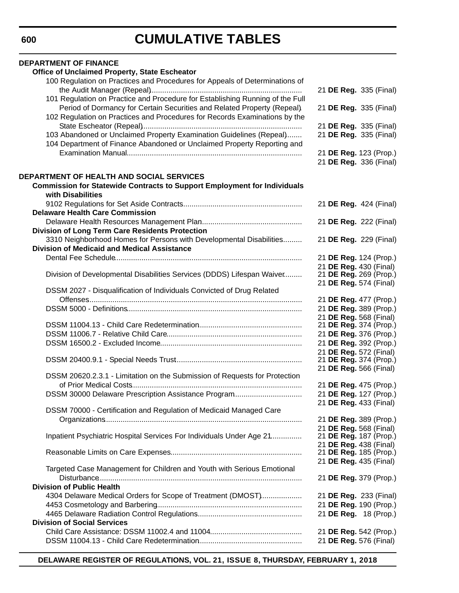| <b>DEPARTMENT OF FINANCE</b><br>Office of Unclaimed Property, State Escheator   |                        |
|---------------------------------------------------------------------------------|------------------------|
| 100 Regulation on Practices and Procedures for Appeals of Determinations of     |                        |
|                                                                                 | 21 DE Reg. 335 (Final) |
| 101 Regulation on Practice and Procedure for Establishing Running of the Full   |                        |
| Period of Dormancy for Certain Securities and Related Property (Repeal).        | 21 DE Reg. 335 (Final) |
|                                                                                 |                        |
| 102 Regulation on Practices and Procedures for Records Examinations by the      |                        |
|                                                                                 | 21 DE Reg. 335 (Final) |
| 103 Abandoned or Unclaimed Property Examination Guidelines (Repeal)             | 21 DE Reg. 335 (Final) |
| 104 Department of Finance Abandoned or Unclaimed Property Reporting and         |                        |
|                                                                                 | 21 DE Reg. 123 (Prop.) |
|                                                                                 | 21 DE Reg. 336 (Final) |
|                                                                                 |                        |
| DEPARTMENT OF HEALTH AND SOCIAL SERVICES                                        |                        |
| <b>Commission for Statewide Contracts to Support Employment for Individuals</b> |                        |
| with Disabilities                                                               |                        |
|                                                                                 | 21 DE Reg. 424 (Final) |
| <b>Delaware Health Care Commission</b>                                          |                        |
|                                                                                 | 21 DE Reg. 222 (Final) |
| Division of Long Term Care Residents Protection                                 |                        |
| 3310 Neighborhood Homes for Persons with Developmental Disabilities             | 21 DE Reg. 229 (Final) |
| <b>Division of Medicaid and Medical Assistance</b>                              |                        |
|                                                                                 | 21 DE Reg. 124 (Prop.) |
|                                                                                 | 21 DE Reg. 430 (Final) |
| Division of Developmental Disabilities Services (DDDS) Lifespan Waiver          | 21 DE Reg. 269 (Prop.) |
|                                                                                 | 21 DE Reg. 574 (Final) |
| DSSM 2027 - Disqualification of Individuals Convicted of Drug Related           |                        |
|                                                                                 | 21 DE Reg. 477 (Prop.) |
|                                                                                 | 21 DE Reg. 389 (Prop.) |
|                                                                                 | 21 DE Reg. 568 (Final) |
|                                                                                 | 21 DE Reg. 374 (Prop.) |
|                                                                                 | 21 DE Reg. 376 (Prop.) |
|                                                                                 | 21 DE Reg. 392 (Prop.) |
|                                                                                 | 21 DE Reg. 572 (Final) |
|                                                                                 | 21 DE Reg. 374 (Prop.) |
|                                                                                 | 21 DE Reg. 566 (Final) |
| DSSM 20620.2.3.1 - Limitation on the Submission of Requests for Protection      |                        |
|                                                                                 | 21 DE Reg. 475 (Prop.) |
| DSSM 30000 Delaware Prescription Assistance Program                             | 21 DE Reg. 127 (Prop.) |
|                                                                                 | 21 DE Reg. 433 (Final) |
| DSSM 70000 - Certification and Regulation of Medicaid Managed Care              |                        |
|                                                                                 | 21 DE Reg. 389 (Prop.) |
|                                                                                 | 21 DE Reg. 568 (Final) |
| Inpatient Psychiatric Hospital Services For Individuals Under Age 21            | 21 DE Reg. 187 (Prop.) |
|                                                                                 | 21 DE Reg. 438 (Final) |
|                                                                                 | 21 DE Reg. 185 (Prop.) |
|                                                                                 | 21 DE Reg. 435 (Final) |
| Targeted Case Management for Children and Youth with Serious Emotional          |                        |
|                                                                                 | 21 DE Reg. 379 (Prop.) |
| <b>Division of Public Health</b>                                                |                        |
| 4304 Delaware Medical Orders for Scope of Treatment (DMOST)                     | 21 DE Reg. 233 (Final) |
|                                                                                 | 21 DE Reg. 190 (Prop.) |
|                                                                                 | 21 DE Reg. 18 (Prop.)  |
| <b>Division of Social Services</b>                                              |                        |
|                                                                                 | 21 DE Reg. 542 (Prop.) |
|                                                                                 | 21 DE Reg. 576 (Final) |
|                                                                                 |                        |

**DELAWARE REGISTER OF REGULATIONS, VOL. 21, ISSUE 8, THURSDAY, FEBRUARY 1, 2018**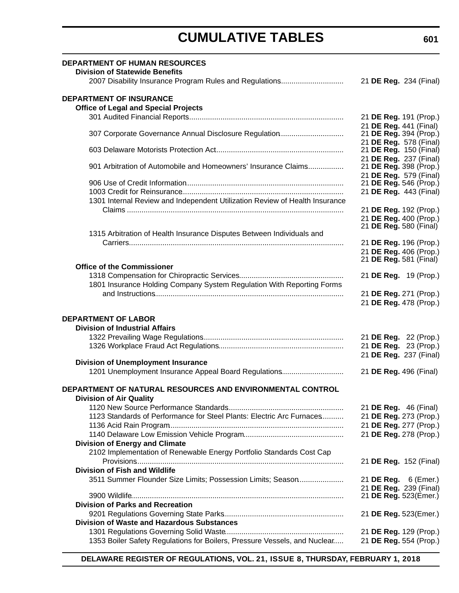| <b>DEPARTMENT OF HUMAN RESOURCES</b><br><b>Division of Statewide Benefits</b>               |                                                         |
|---------------------------------------------------------------------------------------------|---------------------------------------------------------|
| 2007 Disability Insurance Program Rules and Regulations                                     | 21 DE Reg. 234 (Final)                                  |
| <b>DEPARTMENT OF INSURANCE</b>                                                              |                                                         |
| <b>Office of Legal and Special Projects</b>                                                 |                                                         |
|                                                                                             | 21 DE Reg. 191 (Prop.)                                  |
|                                                                                             | 21 DE Reg. 441 (Final)                                  |
| 307 Corporate Governance Annual Disclosure Regulation                                       | 21 DE Reg. 394 (Prop.)                                  |
|                                                                                             | 21 DE Reg. 578 (Final)                                  |
|                                                                                             | 21 <b>DE Reg.</b> 150 (Final)<br>21 DE Reg. 237 (Final) |
| 901 Arbitration of Automobile and Homeowners' Insurance Claims                              | 21 DE Reg. 398 (Prop.)                                  |
|                                                                                             | 21 DE Reg. 579 (Final)                                  |
|                                                                                             | 21 DE Reg. 546 (Prop.)                                  |
|                                                                                             | 21 DE Reg. 443 (Final)                                  |
| 1301 Internal Review and Independent Utilization Review of Health Insurance                 |                                                         |
|                                                                                             | 21 DE Reg. 192 (Prop.)                                  |
|                                                                                             | 21 DE Reg. 400 (Prop.)                                  |
| 1315 Arbitration of Health Insurance Disputes Between Individuals and                       | 21 DE Reg. 580 (Final)                                  |
|                                                                                             | 21 DE Reg. 196 (Prop.)                                  |
|                                                                                             | 21 DE Reg. 406 (Prop.)                                  |
|                                                                                             | 21 DE Reg. 581 (Final)                                  |
| <b>Office of the Commissioner</b>                                                           |                                                         |
|                                                                                             | 21 DE Reg. 19 (Prop.)                                   |
| 1801 Insurance Holding Company System Regulation With Reporting Forms                       |                                                         |
|                                                                                             | 21 DE Reg. 271 (Prop.)                                  |
|                                                                                             | 21 DE Reg. 478 (Prop.)                                  |
| <b>DEPARTMENT OF LABOR</b>                                                                  |                                                         |
| <b>Division of Industrial Affairs</b>                                                       |                                                         |
|                                                                                             | 21 DE Reg. 22 (Prop.)                                   |
|                                                                                             | 21 DE Reg. 23 (Prop.)                                   |
|                                                                                             | 21 DE Reg. 237 (Final)                                  |
| <b>Division of Unemployment Insurance</b>                                                   |                                                         |
| 1201 Unemployment Insurance Appeal Board Regulations                                        | 21 DE Reg. 496 (Final)                                  |
|                                                                                             |                                                         |
| DEPARTMENT OF NATURAL RESOURCES AND ENVIRONMENTAL CONTROL<br><b>Division of Air Quality</b> |                                                         |
|                                                                                             | 21 <b>DE Reg.</b> 46 (Final)                            |
| 1123 Standards of Performance for Steel Plants: Electric Arc Furnaces                       | 21 DE Reg. 273 (Prop.)                                  |
|                                                                                             | 21 DE Reg. 277 (Prop.)                                  |
|                                                                                             | 21 DE Reg. 278 (Prop.)                                  |
| <b>Division of Energy and Climate</b>                                                       |                                                         |
| 2102 Implementation of Renewable Energy Portfolio Standards Cost Cap                        |                                                         |
|                                                                                             | 21 DE Reg. 152 (Final)                                  |
| <b>Division of Fish and Wildlife</b>                                                        |                                                         |
| 3511 Summer Flounder Size Limits; Possession Limits; Season                                 | 21 DE Reg. 6 (Emer.)                                    |
|                                                                                             | 21 DE Reg. 239 (Final)                                  |
|                                                                                             | 21 DE Reg. 523(Emer.)                                   |
| <b>Division of Parks and Recreation</b>                                                     |                                                         |
|                                                                                             | 21 DE Reg. 523(Emer.)                                   |
| <b>Division of Waste and Hazardous Substances</b>                                           |                                                         |
|                                                                                             | 21 DE Reg. 129 (Prop.)                                  |
| 1353 Boiler Safety Regulations for Boilers, Pressure Vessels, and Nuclear                   | 21 DE Reg. 554 (Prop.)                                  |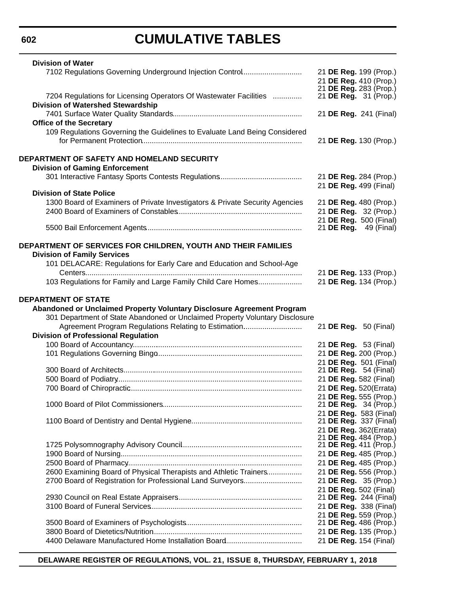# **CUMULATIVE TABLES**

| <b>Division of Water</b>                                                                                                        |  |  |                                                        |
|---------------------------------------------------------------------------------------------------------------------------------|--|--|--------------------------------------------------------|
| 7102 Regulations Governing Underground Injection Control                                                                        |  |  | 21 DE Reg. 199 (Prop.)                                 |
|                                                                                                                                 |  |  | 21 DE Reg. 410 (Prop.)                                 |
| 7204 Regulations for Licensing Operators Of Wastewater Facilities                                                               |  |  | 21 DE Reg. 283 (Prop.)<br>21 DE Reg. 31 (Prop.)        |
| <b>Division of Watershed Stewardship</b>                                                                                        |  |  |                                                        |
|                                                                                                                                 |  |  | 21 DE Reg. 241 (Final)                                 |
| <b>Office of the Secretary</b>                                                                                                  |  |  |                                                        |
| 109 Regulations Governing the Guidelines to Evaluate Land Being Considered                                                      |  |  |                                                        |
|                                                                                                                                 |  |  | 21 DE Reg. 130 (Prop.)                                 |
| DEPARTMENT OF SAFETY AND HOMELAND SECURITY                                                                                      |  |  |                                                        |
| <b>Division of Gaming Enforcement</b>                                                                                           |  |  |                                                        |
|                                                                                                                                 |  |  | 21 DE Reg. 284 (Prop.)                                 |
|                                                                                                                                 |  |  | 21 DE Reg. 499 (Final)                                 |
| <b>Division of State Police</b>                                                                                                 |  |  |                                                        |
| 1300 Board of Examiners of Private Investigators & Private Security Agencies                                                    |  |  | 21 DE Reg. 480 (Prop.)                                 |
|                                                                                                                                 |  |  | 21 DE Reg. 32 (Prop.)                                  |
|                                                                                                                                 |  |  | 21 DE Reg. 500 (Final)<br>21 <b>DE Reg.</b> 49 (Final) |
|                                                                                                                                 |  |  |                                                        |
| DEPARTMENT OF SERVICES FOR CHILDREN, YOUTH AND THEIR FAMILIES                                                                   |  |  |                                                        |
| <b>Division of Family Services</b>                                                                                              |  |  |                                                        |
| 101 DELACARE: Regulations for Early Care and Education and School-Age                                                           |  |  |                                                        |
|                                                                                                                                 |  |  | 21 DE Reg. 133 (Prop.)                                 |
| 103 Regulations for Family and Large Family Child Care Homes                                                                    |  |  | 21 DE Reg. 134 (Prop.)                                 |
| <b>DEPARTMENT OF STATE</b>                                                                                                      |  |  |                                                        |
| Abandoned or Unclaimed Property Voluntary Disclosure Agreement Program                                                          |  |  |                                                        |
| 301 Department of State Abandoned or Unclaimed Property Voluntary Disclosure                                                    |  |  |                                                        |
|                                                                                                                                 |  |  |                                                        |
| Agreement Program Regulations Relating to Estimation                                                                            |  |  | 21 <b>DE Reg.</b> 50 (Final)                           |
| <b>Division of Professional Regulation</b>                                                                                      |  |  |                                                        |
|                                                                                                                                 |  |  | 21 <b>DE Reg.</b> 53 (Final)                           |
|                                                                                                                                 |  |  | 21 DE Reg. 200 (Prop.)                                 |
|                                                                                                                                 |  |  | 21 DE Reg. 501 (Final)                                 |
|                                                                                                                                 |  |  | 21 <b>DE Reg.</b> 54 (Final)                           |
|                                                                                                                                 |  |  | 21 DE Reg. 582 (Final)<br>21 DE Reg. 520(Errata)       |
|                                                                                                                                 |  |  | 21 DE Reg. 555 (Prop.)                                 |
|                                                                                                                                 |  |  | 21 DE Reg. 34 (Prop.)                                  |
|                                                                                                                                 |  |  | 21 DE Reg. 583 (Final)                                 |
|                                                                                                                                 |  |  | 21 DE Reg. 337 (Final)                                 |
|                                                                                                                                 |  |  | 21 DE Reg. 362(Errata)<br>21 DE Reg. 484 (Prop.)       |
|                                                                                                                                 |  |  | 21 DE Reg. 411 (Prop.)                                 |
|                                                                                                                                 |  |  | 21 DE Reg. 485 (Prop.)                                 |
|                                                                                                                                 |  |  | 21 DE Reg. 485 (Prop.)                                 |
| 2600 Examining Board of Physical Therapists and Athletic Trainers<br>2700 Board of Registration for Professional Land Surveyors |  |  | 21 DE Reg. 556 (Prop.)<br>21 DE Reg. 35 (Prop.)        |
|                                                                                                                                 |  |  | 21 DE Reg. 502 (Final)                                 |
|                                                                                                                                 |  |  | 21 DE Reg. 244 (Final)                                 |
|                                                                                                                                 |  |  | 21 DE Reg. 338 (Final)                                 |
|                                                                                                                                 |  |  | 21 DE Reg. 559 (Prop.)                                 |
|                                                                                                                                 |  |  | 21 DE Reg. 486 (Prop.)<br>21 DE Reg. 135 (Prop.)       |
|                                                                                                                                 |  |  | 21 DE Reg. 154 (Final)                                 |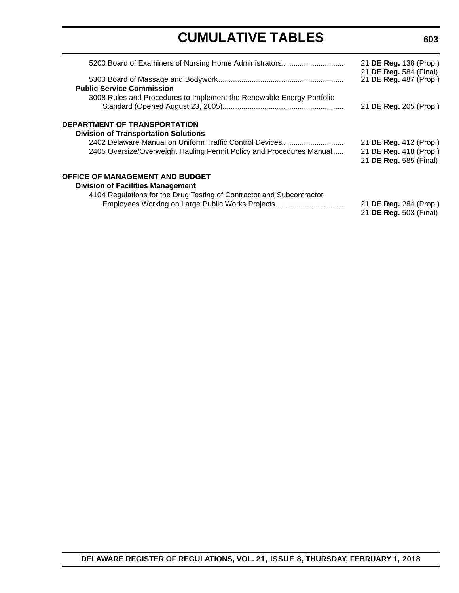| 5200 Board of Examiners of Nursing Home Administrators                                                                          | 21 DE Reg. 138 (Prop.)<br>21 DE Reg. 584 (Final)                           |
|---------------------------------------------------------------------------------------------------------------------------------|----------------------------------------------------------------------------|
| <b>Public Service Commission</b>                                                                                                | 21 DE Reg. 487 (Prop.)                                                     |
| 3008 Rules and Procedures to Implement the Renewable Energy Portfolio                                                           | 21 DE Reg. 205 (Prop.)                                                     |
| DEPARTMENT OF TRANSPORTATION<br><b>Division of Transportation Solutions</b>                                                     |                                                                            |
| 2402 Delaware Manual on Uniform Traffic Control Devices<br>2405 Oversize/Overweight Hauling Permit Policy and Procedures Manual | 21 DE Reg. 412 (Prop.)<br>21 DE Reg. 418 (Prop.)<br>21 DE Reg. 585 (Final) |
| <b>OFFICE OF MANAGEMENT AND BUDGET</b><br><b>Division of Facilities Management</b>                                              |                                                                            |
| 4104 Regulations for the Drug Testing of Contractor and Subcontractor<br>Employees Working on Large Public Works Projects       | 21 DE Reg. 284 (Prop.)<br>21 DE Reg. 503 (Final)                           |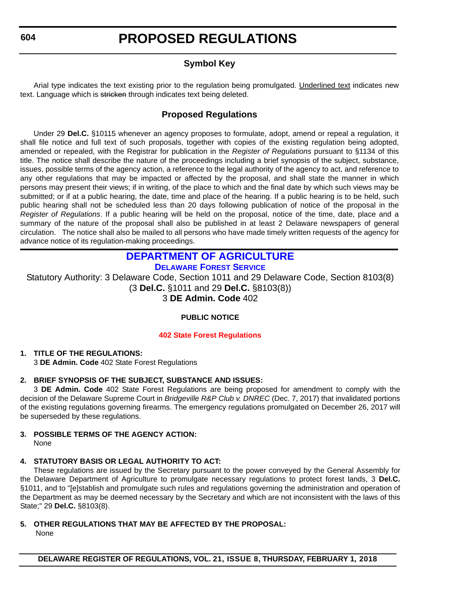# **PROPOSED REGULATIONS**

### **Symbol Key**

<span id="page-11-0"></span>Arial type indicates the text existing prior to the regulation being promulgated. Underlined text indicates new text. Language which is stricken through indicates text being deleted.

### **Proposed Regulations**

Under 29 **Del.C.** §10115 whenever an agency proposes to formulate, adopt, amend or repeal a regulation, it shall file notice and full text of such proposals, together with copies of the existing regulation being adopted, amended or repealed, with the Registrar for publication in the *Register of Regulations* pursuant to §1134 of this title. The notice shall describe the nature of the proceedings including a brief synopsis of the subject, substance, issues, possible terms of the agency action, a reference to the legal authority of the agency to act, and reference to any other regulations that may be impacted or affected by the proposal, and shall state the manner in which persons may present their views; if in writing, of the place to which and the final date by which such views may be submitted; or if at a public hearing, the date, time and place of the hearing. If a public hearing is to be held, such public hearing shall not be scheduled less than 20 days following publication of notice of the proposal in the *Register of Regulations*. If a public hearing will be held on the proposal, notice of the time, date, place and a summary of the nature of the proposal shall also be published in at least 2 Delaware newspapers of general circulation. The notice shall also be mailed to all persons who have made timely written requests of the agency for advance notice of its regulation-making proceedings.

#### **[DEPARTMENT OF AGRICULTURE](https://dda.delaware.gov/forestry/index.shtml) [DELAWARE FOREST SERVICE](https://dda.delaware.gov/forestry/index.shtml)**

Statutory Authority: 3 Delaware Code, Section 1011 and 29 Delaware Code, Section 8103(8) (3 **Del.C.** §1011 and 29 **Del.C.** §8103(8)) 3 **DE Admin. Code** 402

#### **PUBLIC NOTICE**

#### **[402 State Forest Regulations](#page-3-0)**

#### **1. TITLE OF THE REGULATIONS:**

3 **DE Admin. Code** 402 State Forest Regulations

#### **2. BRIEF SYNOPSIS OF THE SUBJECT, SUBSTANCE AND ISSUES:**

3 **DE Admin. Code** 402 State Forest Regulations are being proposed for amendment to comply with the decision of the Delaware Supreme Court in *Bridgeville R&P Club v. DNREC* (Dec. 7, 2017) that invalidated portions of the existing regulations governing firearms. The emergency regulations promulgated on December 26, 2017 will be superseded by these regulations.

#### **3. POSSIBLE TERMS OF THE AGENCY ACTION:** None

#### **4. STATUTORY BASIS OR LEGAL AUTHORITY TO ACT:**

These regulations are issued by the Secretary pursuant to the power conveyed by the General Assembly for the Delaware Department of Agriculture to promulgate necessary regulations to protect forest lands, 3 **Del.C.** §1011, and to "[e]stablish and promulgate such rules and regulations governing the administration and operation of the Department as may be deemed necessary by the Secretary and which are not inconsistent with the laws of this State;" 29 **Del.C.** §8103(8).

#### **5. OTHER REGULATIONS THAT MAY BE AFFECTED BY THE PROPOSAL:**

None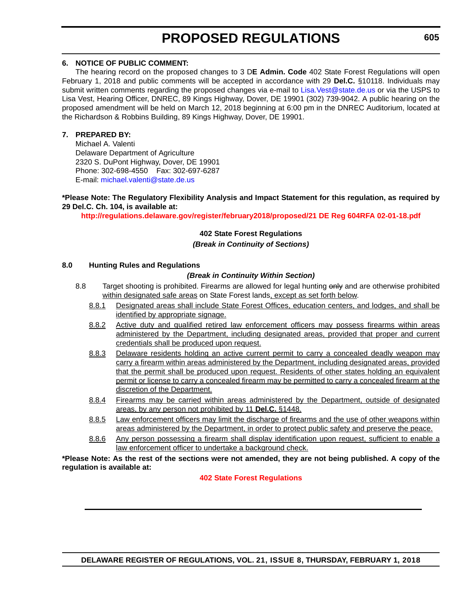# **PROPOSED REGULATIONS**

#### **6. NOTICE OF PUBLIC COMMENT:**

The hearing record on the proposed changes to 3 D**E Admin. Code** 402 State Forest Regulations will open February 1, 2018 and public comments will be accepted in accordance with 29 **Del.C.** §10118. Individuals may submit written comments regarding the proposed changes via e-mail to Lisa. Vest@state.de.us or via the USPS to Lisa Vest, Hearing Officer, DNREC, 89 Kings Highway, Dover, DE 19901 (302) 739-9042. A public hearing on the proposed amendment will be held on March 12, 2018 beginning at 6:00 pm in the DNREC Auditorium, located at the Richardson & Robbins Building, 89 Kings Highway, Dover, DE 19901.

#### **7. PREPARED BY:**

Michael A. Valenti Delaware Department of Agriculture 2320 S. DuPont Highway, Dover, DE 19901 Phone: 302-698-4550 Fax: 302-697-6287 E-mail: [michael.valenti@state.de.us](mailto:michael.valenti@state.de.us)

#### **\*Please Note: The Regulatory Flexibility Analysis and Impact Statement for this regulation, as required by 29 Del.C. Ch. 104, is available at:**

**<http://regulations.delaware.gov/register/february2018/proposed/21 DE Reg 604RFA 02-01-18.pdf>**

#### **402 State Forest Regulations**

#### *(Break in Continuity of Sections)*

#### **8.0 Hunting Rules and Regulations**

#### *(Break in Continuity Within Section)*

- 8.8 Target shooting is prohibited. Firearms are allowed for legal hunting only and are otherwise prohibited within designated safe areas on State Forest lands, except as set forth below.
	- 8.8.1 Designated areas shall include State Forest Offices, education centers, and lodges, and shall be identified by appropriate signage.
	- 8.8.2 Active duty and qualified retired law enforcement officers may possess firearms within areas administered by the Department, including designated areas, provided that proper and current credentials shall be produced upon request.
	- 8.8.3 Delaware residents holding an active current permit to carry a concealed deadly weapon may carry a firearm within areas administered by the Department, including designated areas, provided that the permit shall be produced upon request. Residents of other states holding an equivalent permit or license to carry a concealed firearm may be permitted to carry a concealed firearm at the discretion of the Department.
	- 8.8.4 Firearms may be carried within areas administered by the Department, outside of designated areas, by any person not prohibited by 11 **Del.C.** §1448.
	- 8.8.5 Law enforcement officers may limit the discharge of firearms and the use of other weapons within areas administered by the Department, in order to protect public safety and preserve the peace.
	- 8.8.6 Any person possessing a firearm shall display identification upon request, sufficient to enable a law enforcement officer to undertake a background check.

**\*Please Note: As the rest of the sections were not amended, they are not being published. A copy of the regulation is available at:**

#### **[402 State Forest Regulations](http://regulations.delaware.gov/register/february2018/proposed/21 DE Reg 604 02-01-18.htm)**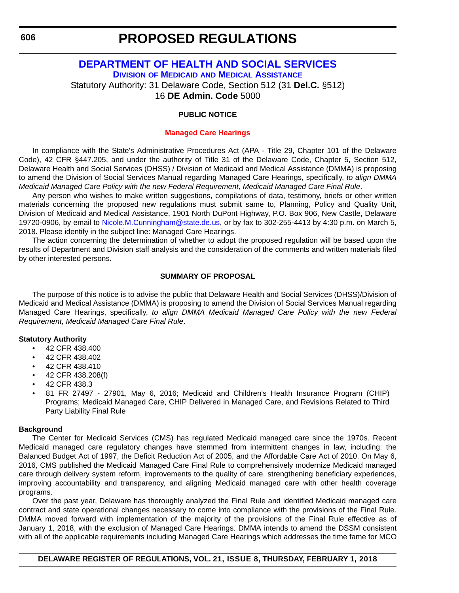### <span id="page-13-0"></span>**[DEPARTMENT OF HEALTH AND SOCIAL SERVICES](http://www.dhss.delaware.gov/dhss/dmma/) DIVISION OF MEDICAID [AND MEDICAL ASSISTANCE](http://www.dhss.delaware.gov/dhss/dmma/)**

Statutory Authority: 31 Delaware Code, Section 512 (31 **Del.C.** §512)

16 **DE Admin. Code** 5000

### **PUBLIC NOTICE**

### **[Managed Care Hearings](#page-3-0)**

In compliance with the State's Administrative Procedures Act (APA - Title 29, Chapter 101 of the Delaware Code), 42 CFR §447.205, and under the authority of Title 31 of the Delaware Code, Chapter 5, Section 512, Delaware Health and Social Services (DHSS) / Division of Medicaid and Medical Assistance (DMMA) is proposing to amend the Division of Social Services Manual regarding Managed Care Hearings, specifically, *to align DMMA Medicaid Managed Care Policy with the new Federal Requirement, Medicaid Managed Care Final Rule*.

Any person who wishes to make written suggestions, compilations of data, testimony, briefs or other written materials concerning the proposed new regulations must submit same to, Planning, Policy and Quality Unit, Division of Medicaid and Medical Assistance, 1901 North DuPont Highway, P.O. Box 906, New Castle, Delaware 19720-0906, by email to [Nicole.M.Cunningham@state.de.us](mailto:Nicole.M.Cunningham@state.de.us), or by fax to 302-255-4413 by 4:30 p.m. on March 5, 2018. Please identify in the subject line: Managed Care Hearings.

The action concerning the determination of whether to adopt the proposed regulation will be based upon the results of Department and Division staff analysis and the consideration of the comments and written materials filed by other interested persons.

### **SUMMARY OF PROPOSAL**

The purpose of this notice is to advise the public that Delaware Health and Social Services (DHSS)/Division of Medicaid and Medical Assistance (DMMA) is proposing to amend the Division of Social Services Manual regarding Managed Care Hearings, specifically, *to align DMMA Medicaid Managed Care Policy with the new Federal Requirement, Medicaid Managed Care Final Rule*.

### **Statutory Authority**

- 42 CFR 438.400
- 42 CFR 438.402
- 42 CFR 438.410
- 42 CFR 438.208(f)
- 42 CFR 438.3
- 81 FR 27497 27901, May 6, 2016; Medicaid and Children's Health Insurance Program (CHIP) Programs; Medicaid Managed Care, CHIP Delivered in Managed Care, and Revisions Related to Third Party Liability Final Rule

### **Background**

The Center for Medicaid Services (CMS) has regulated Medicaid managed care since the 1970s. Recent Medicaid managed care regulatory changes have stemmed from intermittent changes in law, including: the Balanced Budget Act of 1997, the Deficit Reduction Act of 2005, and the Affordable Care Act of 2010. On May 6, 2016, CMS published the Medicaid Managed Care Final Rule to comprehensively modernize Medicaid managed care through delivery system reform, improvements to the quality of care, strengthening beneficiary experiences, improving accountability and transparency, and aligning Medicaid managed care with other health coverage programs.

Over the past year, Delaware has thoroughly analyzed the Final Rule and identified Medicaid managed care contract and state operational changes necessary to come into compliance with the provisions of the Final Rule. DMMA moved forward with implementation of the majority of the provisions of the Final Rule effective as of January 1, 2018, with the exclusion of Managed Care Hearings. DMMA intends to amend the DSSM consistent with all of the applicable requirements including Managed Care Hearings which addresses the time fame for MCO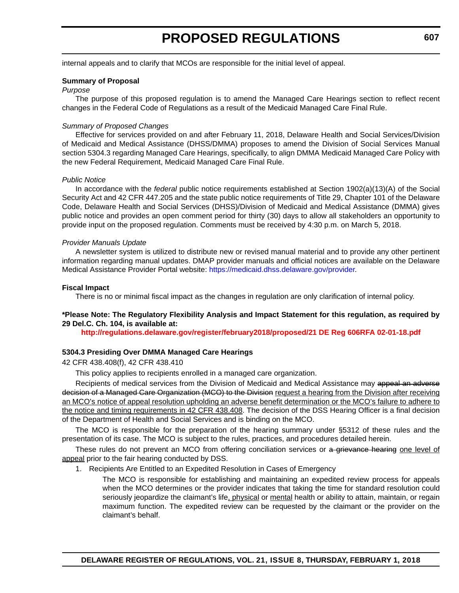# **PROPOSED REGULATIONS**

internal appeals and to clarify that MCOs are responsible for the initial level of appeal.

#### **Summary of Proposal**

#### *Purpose*

The purpose of this proposed regulation is to amend the Managed Care Hearings section to reflect recent changes in the Federal Code of Regulations as a result of the Medicaid Managed Care Final Rule.

#### *Summary of Proposed Changes*

Effective for services provided on and after February 11, 2018, Delaware Health and Social Services/Division of Medicaid and Medical Assistance (DHSS/DMMA) proposes to amend the Division of Social Services Manual section 5304.3 regarding Managed Care Hearings, specifically, to align DMMA Medicaid Managed Care Policy with the new Federal Requirement, Medicaid Managed Care Final Rule.

#### *Public Notice*

In accordance with the *federal* public notice requirements established at Section 1902(a)(13)(A) of the Social Security Act and 42 CFR 447.205 and the state public notice requirements of Title 29, Chapter 101 of the Delaware Code, Delaware Health and Social Services (DHSS)/Division of Medicaid and Medical Assistance (DMMA) gives public notice and provides an open comment period for thirty (30) days to allow all stakeholders an opportunity to provide input on the proposed regulation. Comments must be received by 4:30 p.m. on March 5, 2018.

#### *Provider Manuals Update*

A newsletter system is utilized to distribute new or revised manual material and to provide any other pertinent information regarding manual updates. DMAP provider manuals and official notices are available on the Delaware Medical Assistance Provider Portal website: [https://medicaid.dhss.delaware.gov/provider.](https://medicaid.dhss.delaware.gov/provider)

#### **Fiscal Impact**

There is no or minimal fiscal impact as the changes in regulation are only clarification of internal policy.

#### **\*Please Note: The Regulatory Flexibility Analysis and Impact Statement for this regulation, as required by 29 Del.C. Ch. 104, is available at:**

**<http://regulations.delaware.gov/register/february2018/proposed/21 DE Reg 606RFA 02-01-18.pdf>**

#### **5304.3 Presiding Over DMMA Managed Care Hearings**

42 CFR 438.408(f), 42 CFR 438.410

This policy applies to recipients enrolled in a managed care organization.

Recipients of medical services from the Division of Medicaid and Medical Assistance may appeal an adverse decision of a Managed Care Organization (MCO) to the Division request a hearing from the Division after receiving an MCO's notice of appeal resolution upholding an adverse benefit determination or the MCO's failure to adhere to the notice and timing requirements in 42 CFR 438.408. The decision of the DSS Hearing Officer is a final decision of the Department of Health and Social Services and is binding on the MCO.

The MCO is responsible for the preparation of the hearing summary under §5312 of these rules and the presentation of its case. The MCO is subject to the rules, practices, and procedures detailed herein.

These rules do not prevent an MCO from offering conciliation services or a grievance hearing one level of appeal prior to the fair hearing conducted by DSS.

1. Recipients Are Entitled to an Expedited Resolution in Cases of Emergency

The MCO is responsible for establishing and maintaining an expedited review process for appeals when the MCO determines or the provider indicates that taking the time for standard resolution could seriously jeopardize the claimant's life, physical or mental health or ability to attain, maintain, or regain maximum function. The expedited review can be requested by the claimant or the provider on the claimant's behalf.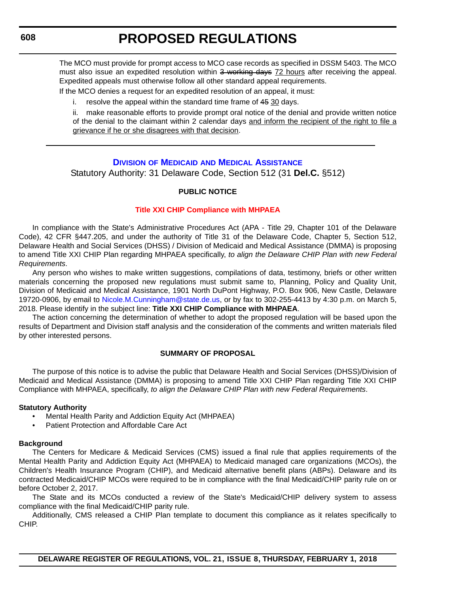# **PROPOSED REGULATIONS**

<span id="page-15-0"></span>The MCO must provide for prompt access to MCO case records as specified in DSSM 5403. The MCO must also issue an expedited resolution within 3 working days 72 hours after receiving the appeal. Expedited appeals must otherwise follow all other standard appeal requirements.

If the MCO denies a request for an expedited resolution of an appeal, it must:

i. resolve the appeal within the standard time frame of 45 30 days.

ii. make reasonable efforts to provide prompt oral notice of the denial and provide written notice of the denial to the claimant within 2 calendar days and inform the recipient of the right to file a grievance if he or she disagrees with that decision.

#### **DIVISION OF MEDICAID [AND MEDICAL ASSISTANCE](http://www.dhss.delaware.gov/dhss/dmma/)**

Statutory Authority: 31 Delaware Code, Section 512 (31 **Del.C.** §512)

#### **PUBLIC NOTICE**

#### **[Title XXI CHIP Compliance with MHPAEA](#page-3-0)**

In compliance with the State's Administrative Procedures Act (APA - Title 29, Chapter 101 of the Delaware Code), 42 CFR §447.205, and under the authority of Title 31 of the Delaware Code, Chapter 5, Section 512, Delaware Health and Social Services (DHSS) / Division of Medicaid and Medical Assistance (DMMA) is proposing to amend Title XXI CHIP Plan regarding MHPAEA specifically, *to align the Delaware CHIP Plan with new Federal Requirements*.

Any person who wishes to make written suggestions, compilations of data, testimony, briefs or other written materials concerning the proposed new regulations must submit same to, Planning, Policy and Quality Unit, Division of Medicaid and Medical Assistance, 1901 North DuPont Highway, P.O. Box 906, New Castle, Delaware 19720-0906, by email to [Nicole.M.Cunningham@state.de.us](mailto:Nicole.M.Cunningham@state.de.us
), or by fax to 302-255-4413 by 4:30 p.m. on March 5, 2018. Please identify in the subject line: **Title XXI CHIP Compliance with MHPAEA**.

The action concerning the determination of whether to adopt the proposed regulation will be based upon the results of Department and Division staff analysis and the consideration of the comments and written materials filed by other interested persons.

#### **SUMMARY OF PROPOSAL**

The purpose of this notice is to advise the public that Delaware Health and Social Services (DHSS)/Division of Medicaid and Medical Assistance (DMMA) is proposing to amend Title XXI CHIP Plan regarding Title XXI CHIP Compliance with MHPAEA, specifically, *to align the Delaware CHIP Plan with new Federal Requirements*.

#### **Statutory Authority**

- Mental Health Parity and Addiction Equity Act (MHPAEA)
- Patient Protection and Affordable Care Act

#### **Background**

The Centers for Medicare & Medicaid Services (CMS) issued a final rule that applies requirements of the Mental Health Parity and Addiction Equity Act (MHPAEA) to Medicaid managed care organizations (MCOs), the Children's Health Insurance Program (CHIP), and Medicaid alternative benefit plans (ABPs). Delaware and its contracted Medicaid/CHIP MCOs were required to be in compliance with the final Medicaid/CHIP parity rule on or before October 2, 2017.

The State and its MCOs conducted a review of the State's Medicaid/CHIP delivery system to assess compliance with the final Medicaid/CHIP parity rule.

Additionally, CMS released a CHIP Plan template to document this compliance as it relates specifically to CHIP.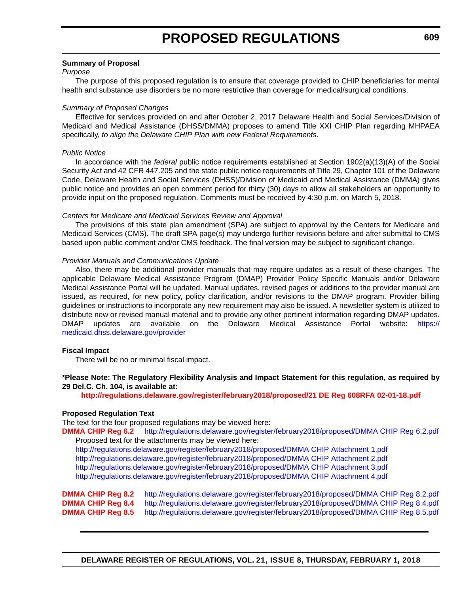#### **Summary of Proposal**

#### *Purpose*

The purpose of this proposed regulation is to ensure that coverage provided to CHIP beneficiaries for mental health and substance use disorders be no more restrictive than coverage for medical/surgical conditions.

#### *Summary of Proposed Changes*

Effective for services provided on and after October 2, 2017 Delaware Health and Social Services/Division of Medicaid and Medical Assistance (DHSS/DMMA) proposes to amend Title XXI CHIP Plan regarding MHPAEA specifically, *to align the Delaware CHIP Plan with new Federal Requirements*.

#### *Public Notice*

In accordance with the *federal* public notice requirements established at Section 1902(a)(13)(A) of the Social Security Act and 42 CFR 447.205 and the state public notice requirements of Title 29, Chapter 101 of the Delaware Code, Delaware Health and Social Services (DHSS)/Division of Medicaid and Medical Assistance (DMMA) gives public notice and provides an open comment period for thirty (30) days to allow all stakeholders an opportunity to provide input on the proposed regulation. Comments must be received by 4:30 p.m. on March 5, 2018.

#### *Centers for Medicare and Medicaid Services Review and Approval*

The provisions of this state plan amendment (SPA) are subject to approval by the Centers for Medicare and Medicaid Services (CMS). The draft SPA page(s) may undergo further revisions before and after submittal to CMS based upon public comment and/or CMS feedback. The final version may be subject to significant change.

#### *Provider Manuals and Communications Update*

Also, there may be additional provider manuals that may require updates as a result of these changes. The applicable Delaware Medical Assistance Program (DMAP) Provider Policy Specific Manuals and/or Delaware Medical Assistance Portal will be updated. Manual updates, revised pages or additions to the provider manual are issued, as required, for new policy, policy clarification, and/or revisions to the DMAP program. Provider billing guidelines or instructions to incorporate any new requirement may also be issued. A newsletter system is utilized to distribute new or revised manual material and to provide any other pertinent information regarding DMAP updates. DMAP updates are available on the Delaware Medical Assistance Portal website: [https://](https://medicaid.dhss.delaware.gov/provider) [medicaid.dhss.delaware.gov/provider](https://medicaid.dhss.delaware.gov/provider)

#### **Fiscal Impact**

There will be no or minimal fiscal impact.

#### **\*Please Note: The Regulatory Flexibility Analysis and Impact Statement for this regulation, as required by 29 Del.C. Ch. 104, is available at:**

**<http://regulations.delaware.gov/register/february2018/proposed/21 DE Reg 608RFA 02-01-18.pdf>**

#### **Proposed Regulation Text**

The text for the four proposed regulations may be viewed here:

**DMMA CHIP Reg 6.2**<http://regulations.delaware.gov/register/february2018/proposed/DMMA CHIP Reg 6.2.pdf> Proposed text for the attachments may be viewed here:

<http://regulations.delaware.gov/register/february2018/proposed/DMMA CHIP Attachment 1.pdf> <http://regulations.delaware.gov/register/february2018/proposed/DMMA CHIP Attachment 2.pdf> <http://regulations.delaware.gov/register/february2018/proposed/DMMA CHIP Attachment 3.pdf> <http://regulations.delaware.gov/register/february2018/proposed/DMMA CHIP Attachment 4.pdf>

**DMMA CHIP Reg 8.2** <http://regulations.delaware.gov/register/february2018/proposed/DMMA CHIP Reg 8.2.pdf> **DMMA CHIP Reg 8.4** <http://regulations.delaware.gov/register/february2018/proposed/DMMA CHIP Reg 8.4.pdf> **DMMA CHIP Reg 8.5** <http://regulations.delaware.gov/register/february2018/proposed/DMMA CHIP Reg 8.5.pdf>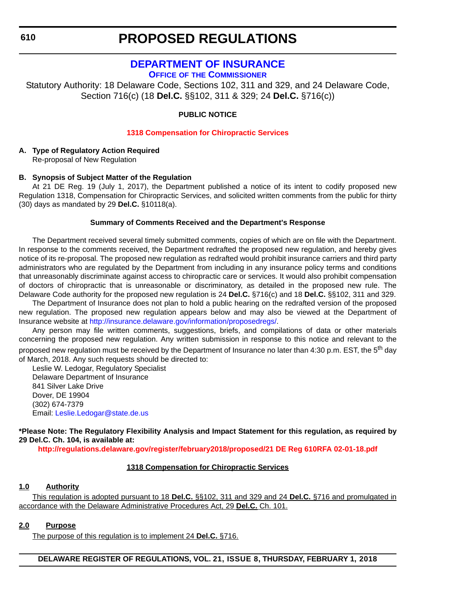### **PROPOSED REGULATIONS**

### **[DEPARTMENT OF INSURANCE](https://insurance.delaware.gov/)**

**OFFICE OF [THE COMMISSIONER](https://insurance.delaware.gov/)**

<span id="page-17-0"></span>Statutory Authority: 18 Delaware Code, Sections 102, 311 and 329, and 24 Delaware Code, Section 716(c) (18 **Del.C.** §§102, 311 & 329; 24 **Del.C.** §716(c))

#### **PUBLIC NOTICE**

#### **[1318 Compensation for Chiropractic Services](#page-3-0)**

#### **A. Type of Regulatory Action Required**

Re-proposal of New Regulation

#### **B. Synopsis of Subject Matter of the Regulation**

At 21 DE Reg. 19 (July 1, 2017), the Department published a notice of its intent to codify proposed new Regulation 1318, Compensation for Chiropractic Services, and solicited written comments from the public for thirty (30) days as mandated by 29 **Del.C.** §10118(a).

#### **Summary of Comments Received and the Department's Response**

The Department received several timely submitted comments, copies of which are on file with the Department. In response to the comments received, the Department redrafted the proposed new regulation, and hereby gives notice of its re-proposal. The proposed new regulation as redrafted would prohibit insurance carriers and third party administrators who are regulated by the Department from including in any insurance policy terms and conditions that unreasonably discriminate against access to chiropractic care or services. It would also prohibit compensation of doctors of chiropractic that is unreasonable or discriminatory, as detailed in the proposed new rule. The Delaware Code authority for the proposed new regulation is 24 **Del.C.** §716(c) and 18 **Del.C.** §§102, 311 and 329.

The Department of Insurance does not plan to hold a public hearing on the redrafted version of the proposed new regulation. The proposed new regulation appears below and may also be viewed at the Department of Insurance website at <http://insurance.delaware.gov/information/proposedregs/>.

Any person may file written comments, suggestions, briefs, and compilations of data or other materials concerning the proposed new regulation. Any written submission in response to this notice and relevant to the proposed new regulation must be received by the Department of Insurance no later than 4:30 p.m. EST, the 5<sup>th</sup> day of March, 2018. Any such requests should be directed to:

Leslie W. Ledogar, Regulatory Specialist Delaware Department of Insurance 841 Silver Lake Drive Dover, DE 19904 (302) 674-7379 Email: [Leslie.Ledogar@state.de.us](mailto:Leslie.Ledogar@state.de.us)

**\*Please Note: The Regulatory Flexibility Analysis and Impact Statement for this regulation, as required by 29 Del.C. Ch. 104, is available at:**

**<http://regulations.delaware.gov/register/february2018/proposed/21 DE Reg 610RFA 02-01-18.pdf>**

#### **1318 Compensation for Chiropractic Services**

#### **1.0 Authority**

This regulation is adopted pursuant to 18 **Del.C.** §§102, 311 and 329 and 24 **Del.C.** §716 and promulgated in accordance with the Delaware Administrative Procedures Act, 29 **Del.C.** Ch. 101.

#### **2.0 Purpose**

The purpose of this regulation is to implement 24 **Del.C.** §716.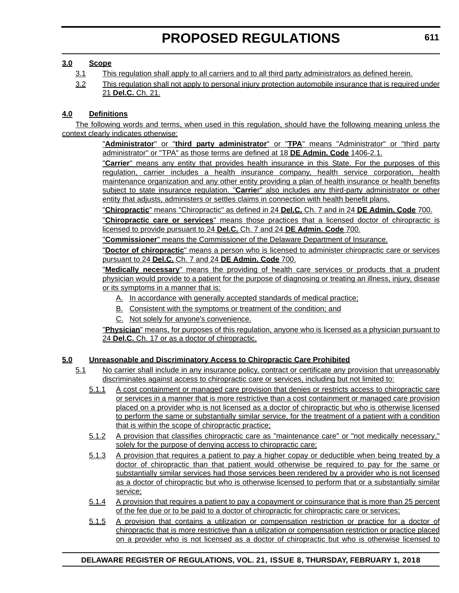#### **3.0 Scope**

- 3.1 This regulation shall apply to all carriers and to all third party administrators as defined herein.
- 3.2 This regulation shall not apply to personal injury protection automobile insurance that is required under 21 **Del.C.** Ch. 21.

#### **4.0 Definitions**

The following words and terms, when used in this regulation, should have the following meaning unless the context clearly indicates otherwise:

> "**Administrator**" or "**third party administrator**" or "**TPA**" means "Administrator" or "third party administrator" or "TPA" as those terms are defined at 18 **DE Admin. Code** 1406-2.1.

> "**Carrier**" means any entity that provides health insurance in this State. For the purposes of this regulation, carrier includes a health insurance company, health service corporation, health maintenance organization and any other entity providing a plan of health insurance or health benefits subject to state insurance regulation. "**Carrie**r" also includes any third-party administrator or other entity that adjusts, administers or settles claims in connection with health benefit plans.

"**Chiropractic**" means "Chiropractic" as defined in 24 **Del.C.** Ch. 7 and in 24 **DE Admin. Code** 700.

"**Chiropractic care or services**" means those practices that a licensed doctor of chiropractic is licensed to provide pursuant to 24 **Del.C.** Ch. 7 and 24 **DE Admin. Code** 700.

"**Commissioner**" means the Commissioner of the Delaware Department of Insurance.

"**Doctor of chiropractic**" means a person who is licensed to administer chiropractic care or services pursuant to 24 **Del.C.** Ch. 7 and 24 **DE Admin. Code** 700.

"**Medically necessary**" means the providing of health care services or products that a prudent physician would provide to a patient for the purpose of diagnosing or treating an illness, injury, disease or its symptoms in a manner that is:

- A. In accordance with generally accepted standards of medical practice;
- B. Consistent with the symptoms or treatment of the condition; and
- C. Not solely for anyone's convenience.

"**Physician**" means, for purposes of this regulation, anyone who is licensed as a physician pursuant to 24 **Del.C.** Ch. 17 or as a doctor of chiropractic.

#### **5.0 Unreasonable and Discriminatory Access to Chiropractic Care Prohibited**

- 5.1 No carrier shall include in any insurance policy, contract or certificate any provision that unreasonably discriminates against access to chiropractic care or services, including but not limited to:
	- 5.1.1 A cost containment or managed care provision that denies or restricts access to chiropractic care or services in a manner that is more restrictive than a cost containment or managed care provision placed on a provider who is not licensed as a doctor of chiropractic but who is otherwise licensed to perform the same or substantially similar service, for the treatment of a patient with a condition that is within the scope of chiropractic practice;
	- 5.1.2 A provision that classifies chiropractic care as "maintenance care" or "not medically necessary," solely for the purpose of denying access to chiropractic care;
	- 5.1.3 A provision that requires a patient to pay a higher copay or deductible when being treated by a doctor of chiropractic than that patient would otherwise be required to pay for the same or substantially similar services had those services been rendered by a provider who is not licensed as a doctor of chiropractic but who is otherwise licensed to perform that or a substantially similar service;
	- 5.1.4 A provision that requires a patient to pay a copayment or coinsurance that is more than 25 percent of the fee due or to be paid to a doctor of chiropractic for chiropractic care or services;
	- 5.1.5 A provision that contains a utilization or compensation restriction or practice for a doctor of chiropractic that is more restrictive than a utilization or compensation restriction or practice placed on a provider who is not licensed as a doctor of chiropractic but who is otherwise licensed to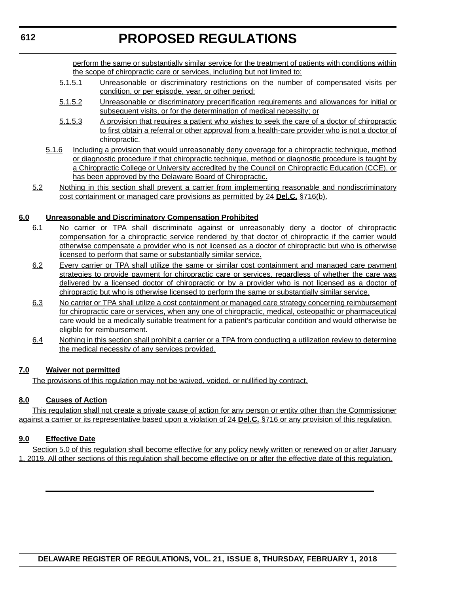perform the same or substantially similar service for the treatment of patients with conditions within the scope of chiropractic care or services, including but not limited to:

- 5.1.5.1 Unreasonable or discriminatory restrictions on the number of compensated visits per condition, or per episode, year, or other period;
- 5.1.5.2 Unreasonable or discriminatory precertification requirements and allowances for initial or subsequent visits, or for the determination of medical necessity; or
- 5.1.5.3 A provision that requires a patient who wishes to seek the care of a doctor of chiropractic to first obtain a referral or other approval from a health-care provider who is not a doctor of chiropractic.
- 5.1.6 Including a provision that would unreasonably deny coverage for a chiropractic technique, method or diagnostic procedure if that chiropractic technique, method or diagnostic procedure is taught by a Chiropractic College or University accredited by the Council on Chiropractic Education (CCE), or has been approved by the Delaware Board of Chiropractic.
- 5.2 Nothing in this section shall prevent a carrier from implementing reasonable and nondiscriminatory cost containment or managed care provisions as permitted by 24 **Del.C.** §716(b).

#### **6.0 Unreasonable and Discriminatory Compensation Prohibited**

- 6.1 No carrier or TPA shall discriminate against or unreasonably deny a doctor of chiropractic compensation for a chiropractic service rendered by that doctor of chiropractic if the carrier would otherwise compensate a provider who is not licensed as a doctor of chiropractic but who is otherwise licensed to perform that same or substantially similar service.
- 6.2 Every carrier or TPA shall utilize the same or similar cost containment and managed care payment strategies to provide payment for chiropractic care or services, regardless of whether the care was delivered by a licensed doctor of chiropractic or by a provider who is not licensed as a doctor of chiropractic but who is otherwise licensed to perform the same or substantially similar service.
- 6.3 No carrier or TPA shall utilize a cost containment or managed care strategy concerning reimbursement for chiropractic care or services, when any one of chiropractic, medical, osteopathic or pharmaceutical care would be a medically suitable treatment for a patient's particular condition and would otherwise be eligible for reimbursement.
- 6.4 Nothing in this section shall prohibit a carrier or a TPA from conducting a utilization review to determine the medical necessity of any services provided.

#### **7.0 Waiver not permitted**

The provisions of this regulation may not be waived, voided, or nullified by contract.

#### **8.0 Causes of Action**

This regulation shall not create a private cause of action for any person or entity other than the Commissioner against a carrier or its representative based upon a violation of 24 **Del.C.** §716 or any provision of this regulation.

#### **9.0 Effective Date**

Section 5.0 of this regulation shall become effective for any policy newly written or renewed on or after January 1, 2019. All other sections of this regulation shall become effective on or after the effective date of this regulation.

**DELAWARE REGISTER OF REGULATIONS, VOL. 21, ISSUE 8, THURSDAY, FEBRUARY 1, 2018**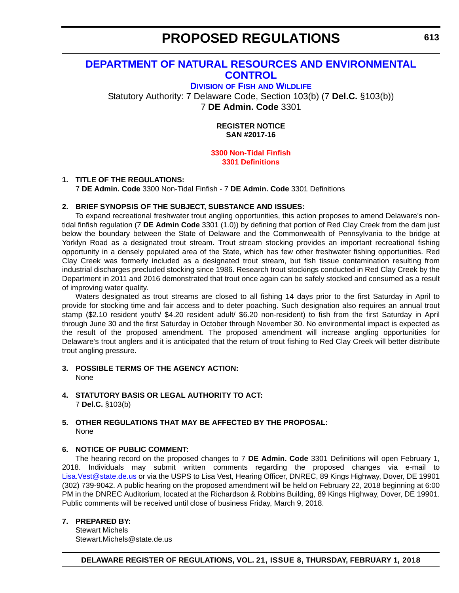# **PROPOSED REGULATIONS**

### <span id="page-20-0"></span>**[DEPARTMENT OF NATURAL RESOURCES AND ENVIRONMENTAL](http://www.dnrec.delaware.gov/fw/Pages/DFW-Portal.aspx)  CONTROL**

**DIVISION OF FISH [AND WILDLIFE](http://www.dnrec.delaware.gov/fw/Pages/DFW-Portal.aspx)**

Statutory Authority: 7 Delaware Code, Section 103(b) (7 **Del.C.** §103(b)) 7 **DE Admin. Code** 3301

> **REGISTER NOTICE SAN #2017-16**

#### **[3300 Non-Tidal Finfish](#page-3-0) 3301 Definitions**

#### **1. TITLE OF THE REGULATIONS:**

7 **DE Admin. Code** 3300 Non-Tidal Finfish - 7 **DE Admin. Code** 3301 Definitions

#### **2. BRIEF SYNOPSIS OF THE SUBJECT, SUBSTANCE AND ISSUES:**

To expand recreational freshwater trout angling opportunities, this action proposes to amend Delaware's nontidal finfish regulation (7 **DE Admin Code** 3301 (1.0)) by defining that portion of Red Clay Creek from the dam just below the boundary between the State of Delaware and the Commonwealth of Pennsylvania to the bridge at Yorklyn Road as a designated trout stream. Trout stream stocking provides an important recreational fishing opportunity in a densely populated area of the State, which has few other freshwater fishing opportunities. Red Clay Creek was formerly included as a designated trout stream, but fish tissue contamination resulting from industrial discharges precluded stocking since 1986. Research trout stockings conducted in Red Clay Creek by the Department in 2011 and 2016 demonstrated that trout once again can be safely stocked and consumed as a result of improving water quality.

Waters designated as trout streams are closed to all fishing 14 days prior to the first Saturday in April to provide for stocking time and fair access and to deter poaching. Such designation also requires an annual trout stamp (\$2.10 resident youth/ \$4.20 resident adult/ \$6.20 non-resident) to fish from the first Saturday in April through June 30 and the first Saturday in October through November 30. No environmental impact is expected as the result of the proposed amendment. The proposed amendment will increase angling opportunities for Delaware's trout anglers and it is anticipated that the return of trout fishing to Red Clay Creek will better distribute trout angling pressure.

- **3. POSSIBLE TERMS OF THE AGENCY ACTION:** None
- **4. STATUTORY BASIS OR LEGAL AUTHORITY TO ACT:** 7 **Del.C.** §103(b)

#### **5. OTHER REGULATIONS THAT MAY BE AFFECTED BY THE PROPOSAL:** None

#### **6. NOTICE OF PUBLIC COMMENT:**

The hearing record on the proposed changes to 7 **DE Admin. Code** 3301 Definitions will open February 1, 2018. Individuals may submit written comments regarding the proposed changes via e-mail to [Lisa.Vest@state.de.us](mailto:Lisa.Vest@state.de.us) or via the USPS to Lisa Vest, Hearing Officer, DNREC, 89 Kings Highway, Dover, DE 19901 (302) 739-9042. A public hearing on the proposed amendment will be held on February 22, 2018 beginning at 6:00 PM in the DNREC Auditorium, located at the Richardson & Robbins Building, 89 Kings Highway, Dover, DE 19901. Public comments will be received until close of business Friday, March 9, 2018.

#### **7. PREPARED BY:**

Stewart Michels Stewart.Michels@state.de.us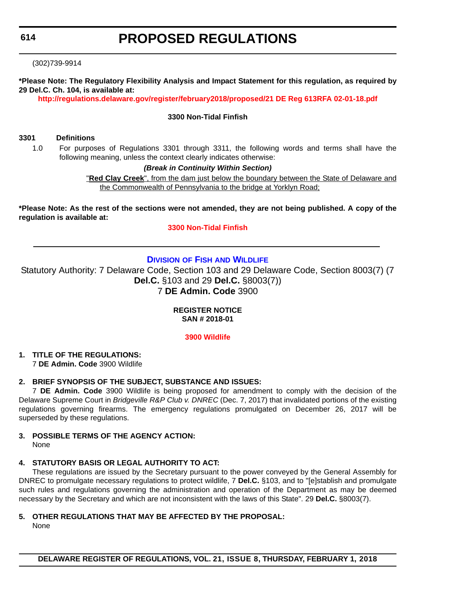# **PROPOSED REGULATIONS**

<span id="page-21-0"></span>(302)739-9914

**\*Please Note: The Regulatory Flexibility Analysis and Impact Statement for this regulation, as required by 29 Del.C. Ch. 104, is available at:**

**<http://regulations.delaware.gov/register/february2018/proposed/21 DE Reg 613RFA 02-01-18.pdf>**

#### **3300 Non-Tidal Finfish**

#### **3301 Definitions**

1.0 For purposes of Regulations 3301 through 3311, the following words and terms shall have the following meaning, unless the context clearly indicates otherwise:

#### *(Break in Continuity Within Section)*

"**Red Clay Creek**", from the dam just below the boundary between the State of Delaware and the Commonwealth of Pennsylvania to the bridge at Yorklyn Road;

**\*Please Note: As the rest of the sections were not amended, they are not being published. A copy of the regulation is available at:**

#### **[3300 Non-Tidal Finfish](http://regulations.delaware.gov/register/february2018/proposed/21 DE Reg 613 02-01-18.htm)**

#### **DIVISION OF FISH [AND WILDLIFE](http://www.dnrec.delaware.gov/fw/Pages/DFW-Portal.aspx)**

Statutory Authority: 7 Delaware Code, Section 103 and 29 Delaware Code, Section 8003(7) (7 **Del.C.** §103 and 29 **Del.C.** §8003(7)) 7 **DE Admin. Code** 3900

**REGISTER NOTICE**

**SAN # 2018-01**

**[3900 Wildlife](#page-3-0)**

**1. TITLE OF THE REGULATIONS:**

7 **DE Admin. Code** 3900 Wildlife

#### **2. BRIEF SYNOPSIS OF THE SUBJECT, SUBSTANCE AND ISSUES:**

7 **DE Admin. Code** 3900 Wildlife is being proposed for amendment to comply with the decision of the Delaware Supreme Court in *Bridgeville R&P Club v. DNREC* (Dec. 7, 2017) that invalidated portions of the existing regulations governing firearms. The emergency regulations promulgated on December 26, 2017 will be superseded by these regulations.

#### **3. POSSIBLE TERMS OF THE AGENCY ACTION:** None

#### **4. STATUTORY BASIS OR LEGAL AUTHORITY TO ACT:**

These regulations are issued by the Secretary pursuant to the power conveyed by the General Assembly for DNREC to promulgate necessary regulations to protect wildlife, 7 **Del.C.** §103, and to "[e]stablish and promulgate such rules and regulations governing the administration and operation of the Department as may be deemed necessary by the Secretary and which are not inconsistent with the laws of this State". 29 **Del.C.** §8003(7).

#### **5. OTHER REGULATIONS THAT MAY BE AFFECTED BY THE PROPOSAL:**

None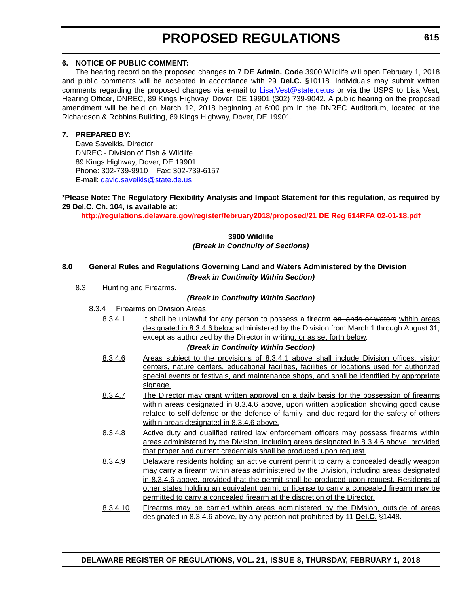# **PROPOSED REGULATIONS**

#### **6. NOTICE OF PUBLIC COMMENT:**

The hearing record on the proposed changes to 7 **DE Admin. Code** 3900 Wildlife will open February 1, 2018 and public comments will be accepted in accordance with 29 **Del.C.** §10118. Individuals may submit written comments regarding the proposed changes via e-mail to [Lisa.Vest@state.de.us](mailto:Lisa.Vest@state.de.us) or via the USPS to Lisa Vest, Hearing Officer, DNREC, 89 Kings Highway, Dover, DE 19901 (302) 739-9042. A public hearing on the proposed amendment will be held on March 12, 2018 beginning at 6:00 pm in the DNREC Auditorium, located at the Richardson & Robbins Building, 89 Kings Highway, Dover, DE 19901.

#### **7. PREPARED BY:**

Dave Saveikis, Director DNREC - Division of Fish & Wildlife 89 Kings Highway, Dover, DE 19901 Phone: 302-739-9910 Fax: 302-739-6157 E-mail: [david.saveikis@state.de.us](mailto:david.saveikis@state.de.us)

#### **\*Please Note: The Regulatory Flexibility Analysis and Impact Statement for this regulation, as required by 29 Del.C. Ch. 104, is available at:**

**<http://regulations.delaware.gov/register/february2018/proposed/21 DE Reg 614RFA 02-01-18.pdf>**

#### **3900 Wildlife** *(Break in Continuity of Sections)*

#### **8.0 General Rules and Regulations Governing Land and Waters Administered by the Division** *(Break in Continuity Within Section)*

8.3 Hunting and Firearms.

#### *(Break in Continuity Within Section)*

- 8.3.4 Firearms on Division Areas.
	- 8.3.4.1 It shall be unlawful for any person to possess a firearm on lands or waters within areas designated in 8.3.4.6 below administered by the Division from March 1 through August 31, except as authorized by the Director in writing, or as set forth below.

#### *(Break in Continuity Within Section)*

- 8.3.4.6 Areas subject to the provisions of 8.3.4.1 above shall include Division offices, visitor centers, nature centers, educational facilities, facilities or locations used for authorized special events or festivals, and maintenance shops, and shall be identified by appropriate signage.
- 8.3.4.7 The Director may grant written approval on a daily basis for the possession of firearms within areas designated in 8.3.4.6 above, upon written application showing good cause related to self-defense or the defense of family, and due regard for the safety of others within areas designated in 8.3.4.6 above.
- 8.3.4.8 Active duty and qualified retired law enforcement officers may possess firearms within areas administered by the Division, including areas designated in 8.3.4.6 above, provided that proper and current credentials shall be produced upon request.
- 8.3.4.9 Delaware residents holding an active current permit to carry a concealed deadly weapon may carry a firearm within areas administered by the Division, including areas designated in 8.3.4.6 above, provided that the permit shall be produced upon request. Residents of other states holding an equivalent permit or license to carry a concealed firearm may be permitted to carry a concealed firearm at the discretion of the Director.
- 8.3.4.10 Firearms may be carried within areas administered by the Division, outside of areas designated in 8.3.4.6 above, by any person not prohibited by 11 **Del.C.** §1448.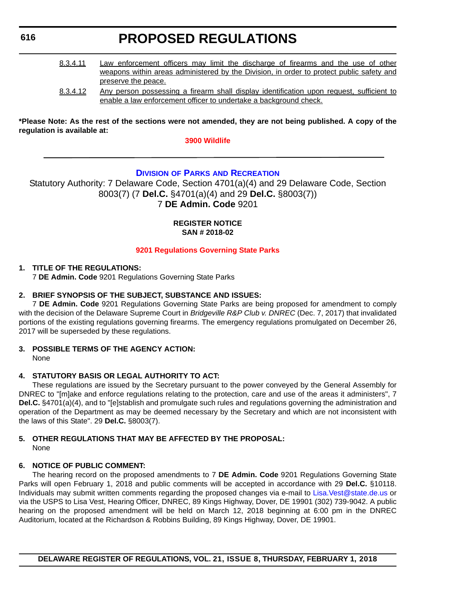# **PROPOSED REGULATIONS**

- <span id="page-23-0"></span>8.3.4.11 Law enforcement officers may limit the discharge of firearms and the use of other weapons within areas administered by the Division, in order to protect public safety and preserve the peace.
- 8.3.4.12 Any person possessing a firearm shall display identification upon request, sufficient to enable a law enforcement officer to undertake a background check.

**\*Please Note: As the rest of the sections were not amended, they are not being published. A copy of the regulation is available at:**

**[3900 Wildlife](http://regulations.delaware.gov/register/february2018/proposed/21 DE Reg 614 02-01-18.htm)** 

#### **DIVISION OF PARKS [AND RECREATION](http://www.destateparks.com/)**

Statutory Authority: 7 Delaware Code, Section 4701(a)(4) and 29 Delaware Code, Section 8003(7) (7 **Del.C.** §4701(a)(4) and 29 **Del.C.** §8003(7)) 7 **DE Admin. Code** 9201

#### **REGISTER NOTICE SAN # 2018-02**

#### **[9201 Regulations Governing State Parks](#page-3-0)**

#### **1. TITLE OF THE REGULATIONS:**

7 **DE Admin. Code** 9201 Regulations Governing State Parks

#### **2. BRIEF SYNOPSIS OF THE SUBJECT, SUBSTANCE AND ISSUES:**

7 **DE Admin. Code** 9201 Regulations Governing State Parks are being proposed for amendment to comply with the decision of the Delaware Supreme Court in *Bridgeville R&P Club v. DNREC* (Dec. 7, 2017) that invalidated portions of the existing regulations governing firearms. The emergency regulations promulgated on December 26, 2017 will be superseded by these regulations.

#### **3. POSSIBLE TERMS OF THE AGENCY ACTION:**

None

#### **4. STATUTORY BASIS OR LEGAL AUTHORITY TO ACT:**

These regulations are issued by the Secretary pursuant to the power conveyed by the General Assembly for DNREC to "[m]ake and enforce regulations relating to the protection, care and use of the areas it administers", 7 **Del.C.** §4701(a)(4), and to "[e]stablish and promulgate such rules and regulations governing the administration and operation of the Department as may be deemed necessary by the Secretary and which are not inconsistent with the laws of this State". 29 **Del.C.** §8003(7).

#### **5. OTHER REGULATIONS THAT MAY BE AFFECTED BY THE PROPOSAL:** None

#### **6. NOTICE OF PUBLIC COMMENT:**

The hearing record on the proposed amendments to 7 **DE Admin. Code** 9201 Regulations Governing State Parks will open February 1, 2018 and public comments will be accepted in accordance with 29 **Del.C.** §10118. Individuals may submit written comments regarding the proposed changes via e-mail to [Lisa.Vest@state.de.us](mailto:Lisa.Vest@state.de.us) or via the USPS to Lisa Vest, Hearing Officer, DNREC, 89 Kings Highway, Dover, DE 19901 (302) 739-9042. A public hearing on the proposed amendment will be held on March 12, 2018 beginning at 6:00 pm in the DNREC Auditorium, located at the Richardson & Robbins Building, 89 Kings Highway, Dover, DE 19901.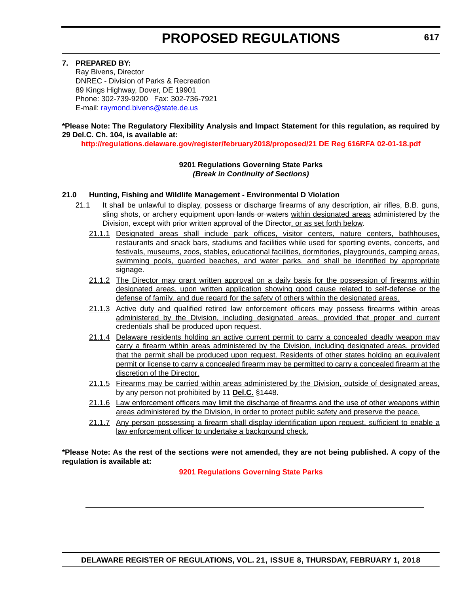#### **7. PREPARED BY:**

Ray Bivens, Director DNREC - Division of Parks & Recreation 89 Kings Highway, Dover, DE 19901 Phone: 302-739-9200 Fax: 302-736-7921 E-mail: [raymond.bivens@state.de.us](mailto:raymond.bivens@state.de.us)

#### **\*Please Note: The Regulatory Flexibility Analysis and Impact Statement for this regulation, as required by 29 Del.C. Ch. 104, is available at:**

**<http://regulations.delaware.gov/register/february2018/proposed/21 DE Reg 616RFA 02-01-18.pdf>**

#### **9201 Regulations Governing State Parks** *(Break in Continuity of Sections)*

#### **21.0 Hunting, Fishing and Wildlife Management - Environmental D Violation**

- 21.1 It shall be unlawful to display, possess or discharge firearms of any description, air rifles, B.B. guns, sling shots, or archery equipment upon lands or waters within designated areas administered by the Division, except with prior written approval of the Director, or as set forth below.
	- 21.1.1 Designated areas shall include park offices, visitor centers, nature centers, bathhouses, restaurants and snack bars, stadiums and facilities while used for sporting events, concerts, and festivals, museums, zoos, stables, educational facilities, dormitories, playgrounds, camping areas, swimming pools, guarded beaches, and water parks, and shall be identified by appropriate signage.
	- 21.1.2 The Director may grant written approval on a daily basis for the possession of firearms within designated areas, upon written application showing good cause related to self-defense or the defense of family, and due regard for the safety of others within the designated areas.
	- 21.1.3 Active duty and qualified retired law enforcement officers may possess firearms within areas administered by the Division, including designated areas, provided that proper and current credentials shall be produced upon request.
	- 21.1.4 Delaware residents holding an active current permit to carry a concealed deadly weapon may carry a firearm within areas administered by the Division, including designated areas, provided that the permit shall be produced upon request. Residents of other states holding an equivalent permit or license to carry a concealed firearm may be permitted to carry a concealed firearm at the discretion of the Director.
	- 21.1.5 Firearms may be carried within areas administered by the Division, outside of designated areas, by any person not prohibited by 11 **Del.C.** §1448.
	- 21.1.6 Law enforcement officers may limit the discharge of firearms and the use of other weapons within areas administered by the Division, in order to protect public safety and preserve the peace.
	- 21.1.7 Any person possessing a firearm shall display identification upon request, sufficient to enable a law enforcement officer to undertake a background check.

**\*Please Note: As the rest of the sections were not amended, they are not being published. A copy of the regulation is available at:**

**[9201 Regulations Governing State Parks](http://regulations.delaware.gov/register/february2018/proposed/21 DE Reg 616 02-01-18.htm)**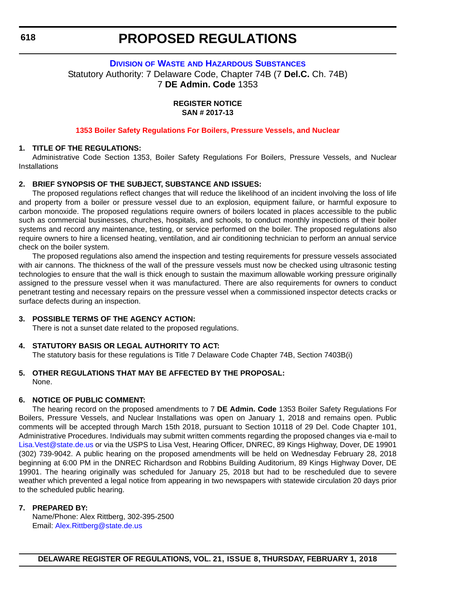### **PROPOSED REGULATIONS**

#### <span id="page-25-0"></span>**DIVISION OF WASTE [AND HAZARDOUS SUBSTANCES](http://www.dnrec.delaware.gov/dwhs/Pages/default.aspx)** Statutory Authority: 7 Delaware Code, Chapter 74B (7 **Del.C.** Ch. 74B) 7 **DE Admin. Code** 1353

**REGISTER NOTICE SAN # 2017-13**

#### **[1353 Boiler Safety Regulations For Boilers, Pressure Vessels, and Nuclear](#page-3-0)**

#### **1. TITLE OF THE REGULATIONS:**

Administrative Code Section 1353, Boiler Safety Regulations For Boilers, Pressure Vessels, and Nuclear **Installations** 

#### **2. BRIEF SYNOPSIS OF THE SUBJECT, SUBSTANCE AND ISSUES:**

The proposed regulations reflect changes that will reduce the likelihood of an incident involving the loss of life and property from a boiler or pressure vessel due to an explosion, equipment failure, or harmful exposure to carbon monoxide. The proposed regulations require owners of boilers located in places accessible to the public such as commercial businesses, churches, hospitals, and schools, to conduct monthly inspections of their boiler systems and record any maintenance, testing, or service performed on the boiler. The proposed regulations also require owners to hire a licensed heating, ventilation, and air conditioning technician to perform an annual service check on the boiler system.

The proposed regulations also amend the inspection and testing requirements for pressure vessels associated with air cannons. The thickness of the wall of the pressure vessels must now be checked using ultrasonic testing technologies to ensure that the wall is thick enough to sustain the maximum allowable working pressure originally assigned to the pressure vessel when it was manufactured. There are also requirements for owners to conduct penetrant testing and necessary repairs on the pressure vessel when a commissioned inspector detects cracks or surface defects during an inspection.

#### **3. POSSIBLE TERMS OF THE AGENCY ACTION:**

There is not a sunset date related to the proposed regulations.

#### **4. STATUTORY BASIS OR LEGAL AUTHORITY TO ACT:**

The statutory basis for these regulations is Title 7 Delaware Code Chapter 74B, Section 7403B(i)

#### **5. OTHER REGULATIONS THAT MAY BE AFFECTED BY THE PROPOSAL:** None.

#### **6. NOTICE OF PUBLIC COMMENT:**

The hearing record on the proposed amendments to 7 **DE Admin. Code** 1353 Boiler Safety Regulations For Boilers, Pressure Vessels, and Nuclear Installations was open on January 1, 2018 and remains open. Public comments will be accepted through March 15th 2018, pursuant to Section 10118 of 29 Del. Code Chapter 101, Administrative Procedures. Individuals may submit written comments regarding the proposed changes via e-mail to [Lisa.Vest@state.de.us](mailto:Lisa.Vest@state.de.us) or via the USPS to Lisa Vest, Hearing Officer, DNREC, 89 Kings Highway, Dover, DE 19901 (302) 739-9042. A public hearing on the proposed amendments will be held on Wednesday February 28, 2018 beginning at 6:00 PM in the DNREC Richardson and Robbins Building Auditorium, 89 Kings Highway Dover, DE 19901. The hearing originally was scheduled for January 25, 2018 but had to be rescheduled due to severe weather which prevented a legal notice from appearing in two newspapers with statewide circulation 20 days prior to the scheduled public hearing.

#### **7. PREPARED BY:**

Name/Phone: Alex Rittberg, 302-395-2500 Email: [Alex.Rittberg@state.de.us](mailto:Alex.Rittberg@state.de.us)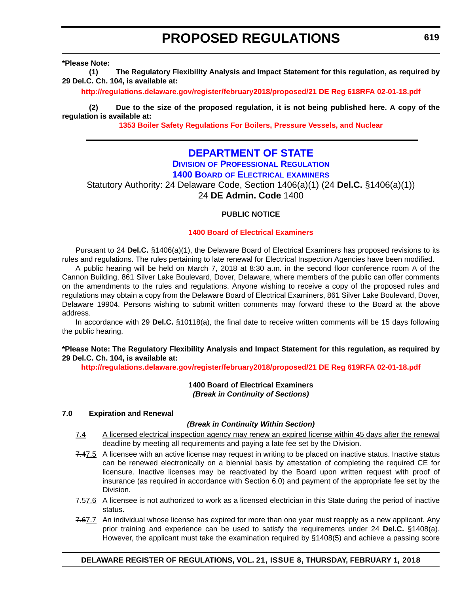# **PROPOSED REGULATIONS**

<span id="page-26-0"></span>**\*Please Note:** 

**(1) The Regulatory Flexibility Analysis and Impact Statement for this regulation, as required by 29 Del.C. Ch. 104, is available at:**

**<http://regulations.delaware.gov/register/february2018/proposed/21 DE Reg 618RFA 02-01-18.pdf>**

**(2) Due to the size of the proposed regulation, it is not being published here. A copy of the regulation is available at:**

**[1353 Boiler Safety Regulations For Boilers, Pressure Vessels, and Nuclear](http://regulations.delaware.gov/register/february2018/proposed/21 DE Reg 618 02-01-18.htm)** 

### **[DEPARTMENT OF STATE](https://dpr.delaware.gov/)**

### **DIVISION [OF PROFESSIONAL REGULATION](https://dpr.delaware.gov/)**

**1400 BOARD [OF ELECTRICAL](https://dpr.delaware.gov/boards/electrician/) EXAMINERS**

Statutory Authority: 24 Delaware Code, Section 1406(a)(1) (24 **Del.C.** §1406(a)(1)) 24 **DE Admin. Code** 1400

#### **PUBLIC NOTICE**

#### **[1400 Board of Electrical Examiners](#page-3-0)**

Pursuant to 24 **Del.C.** §1406(a)(1), the Delaware Board of Electrical Examiners has proposed revisions to its rules and regulations. The rules pertaining to late renewal for Electrical Inspection Agencies have been modified.

A public hearing will be held on March 7, 2018 at 8:30 a.m. in the second floor conference room A of the Cannon Building, 861 Silver Lake Boulevard, Dover, Delaware, where members of the public can offer comments on the amendments to the rules and regulations. Anyone wishing to receive a copy of the proposed rules and regulations may obtain a copy from the Delaware Board of Electrical Examiners, 861 Silver Lake Boulevard, Dover, Delaware 19904. Persons wishing to submit written comments may forward these to the Board at the above address.

In accordance with 29 **Del.C.** §10118(a), the final date to receive written comments will be 15 days following the public hearing.

#### **\*Please Note: The Regulatory Flexibility Analysis and Impact Statement for this regulation, as required by 29 Del.C. Ch. 104, is available at:**

**<http://regulations.delaware.gov/register/february2018/proposed/21 DE Reg 619RFA 02-01-18.pdf>**

#### **1400 Board of Electrical Examiners** *(Break in Continuity of Sections)*

#### **7.0 Expiration and Renewal**

#### *(Break in Continuity Within Section)*

- 7.4 A licensed electrical inspection agency may renew an expired license within 45 days after the renewal deadline by meeting all requirements and paying a late fee set by the Division.
- 7.47.5 A licensee with an active license may request in writing to be placed on inactive status. Inactive status can be renewed electronically on a biennial basis by attestation of completing the required CE for licensure. Inactive licenses may be reactivated by the Board upon written request with proof of insurance (as required in accordance with Section 6.0) and payment of the appropriate fee set by the Division.
- 7.57.6 A licensee is not authorized to work as a licensed electrician in this State during the period of inactive status.
- 7.67.7 An individual whose license has expired for more than one year must reapply as a new applicant. Any prior training and experience can be used to satisfy the requirements under 24 **Del.C.** §1408(a). However, the applicant must take the examination required by §1408(5) and achieve a passing score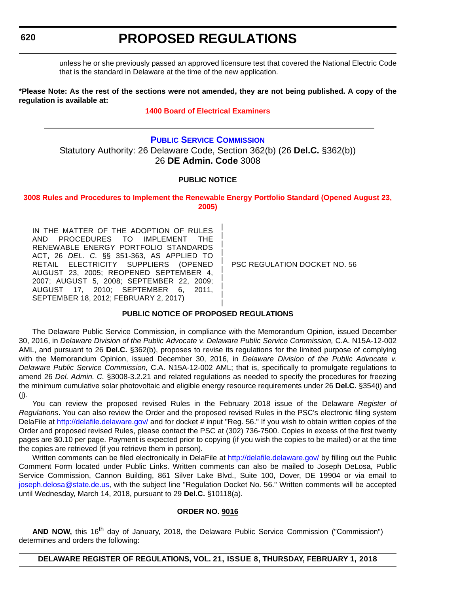<span id="page-27-0"></span>unless he or she previously passed an approved licensure test that covered the National Electric Code that is the standard in Delaware at the time of the new application.

**\*Please Note: As the rest of the sections were not amended, they are not being published. A copy of the regulation is available at:**

#### **[1400 Board of Electrical Examiners](http://regulations.delaware.gov/register/february2018/proposed/21 DE Reg 619 02-01-18.htm)**

#### **[PUBLIC SERVICE COMMISSION](https://depsc.delaware.gov/)**

Statutory Authority: 26 Delaware Code, Section 362(b) (26 **Del.C.** §362(b)) 26 **DE Admin. Code** 3008

#### **PUBLIC NOTICE**

**[3008 Rules and Procedures to Implement the Renewable Energy Portfolio Standard \(Opened August 23,](#page-3-0)  2005)**

> | | | | | | | | | |

IN THE MATTER OF THE ADOPTION OF RULES AND PROCEDURES TO IMPLEMENT THE RENEWABLE ENERGY PORTFOLIO STANDARDS ACT, 26 *DEL. C.* §§ 351-363, AS APPLIED TO RETAIL ELECTRICITY SUPPLIERS (OPENED AUGUST 23, 2005; REOPENED SEPTEMBER 4, 2007; AUGUST 5, 2008; SEPTEMBER 22, 2009; AUGUST 17, 2010; SEPTEMBER 6, 2011, SEPTEMBER 18, 2012; FEBRUARY 2, 2017)

PSC REGULATION DOCKET NO. 56

#### **PUBLIC NOTICE OF PROPOSED REGULATIONS**

The Delaware Public Service Commission, in compliance with the Memorandum Opinion, issued December 30, 2016, in *Delaware Division of the Public Advocate v. Delaware Public Service Commission,* C.A. N15A-12-002 AML, and pursuant to 26 **Del.C.** §362(b), proposes to revise its regulations for the limited purpose of complying with the Memorandum Opinion, issued December 30, 2016, in *Delaware Division of the Public Advocate v. Delaware Public Service Commission,* C.A. N15A-12-002 AML; that is, specifically to promulgate regulations to amend 26 *Del. Admin. C.* §3008-3.2.21 and related regulations as needed to specify the procedures for freezing the minimum cumulative solar photovoltaic and eligible energy resource requirements under 26 **Del.C.** §354(i) and (j).

You can review the proposed revised Rules in the February 2018 issue of the Delaware *Register of Regulations*. You can also review the Order and the proposed revised Rules in the PSC's electronic filing system DelaFile at <http://delafile.delaware.gov/>and for docket # input "Reg. 56." If you wish to obtain written copies of the Order and proposed revised Rules, please contact the PSC at (302) 736-7500. Copies in excess of the first twenty pages are \$0.10 per page. Payment is expected prior to copying (if you wish the copies to be mailed) or at the time the copies are retrieved (if you retrieve them in person).

Written comments can be filed electronically in DelaFile at <http://delafile.delaware.gov/>by filling out the Public Comment Form located under Public Links. Written comments can also be mailed to Joseph DeLosa, Public Service Commission, Cannon Building, 861 Silver Lake Blvd., Suite 100, Dover, DE 19904 or via email to [joseph.delosa@state.de.us,](mailto:joseph.delosa@state.de.us) with the subject line "Regulation Docket No. 56." Written comments will be accepted until Wednesday, March 14, 2018, pursuant to 29 **Del.C.** §10118(a).

#### **ORDER NO. 9016**

AND NOW, this 16<sup>th</sup> day of January, 2018, the Delaware Public Service Commission ("Commission") determines and orders the following: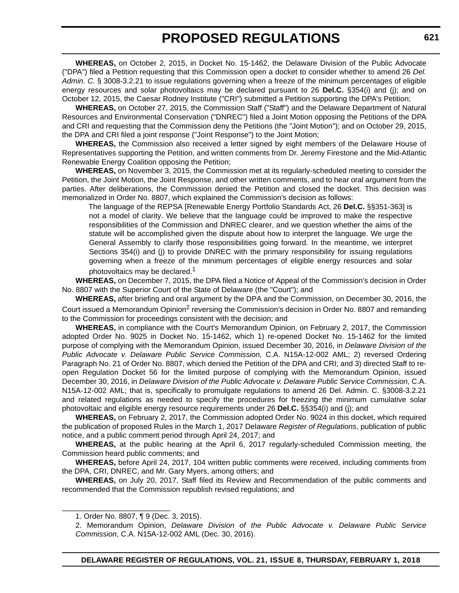# **PROPOSED REGULATIONS**

**WHEREAS,** on October 2, 2015, in Docket No. 15-1462, the Delaware Division of the Public Advocate ("DPA") filed a Petition requesting that this Commission open a docket to consider whether to amend 26 *Del. Admin. C.* § 3008-3.2.21 to issue regulations governing when a freeze of the minimum percentages of eligible energy resources and solar photovoltaics may be declared pursuant to 26 **Del.C.** §354(i) and (j); and on October 12, 2015, the Caesar Rodney Institute ("CRI") submitted a Petition supporting the DPA's Petition;

**WHEREAS,** on October 27, 2015, the Commission Staff ("Staff") and the Delaware Department of Natural Resources and Environmental Conservation ("DNREC") filed a Joint Motion opposing the Petitions of the DPA and CRI and requesting that the Commission deny the Petitions (the "Joint Motion"); and on October 29, 2015, the DPA and CRI filed a joint response ("Joint Response") to the Joint Motion;

**WHEREAS,** the Commission also received a letter signed by eight members of the Delaware House of Representatives supporting the Petition, and written comments from Dr. Jeremy Firestone and the Mid-Atlantic Renewable Energy Coalition opposing the Petition;

**WHEREAS,** on November 3, 2015, the Commission met at its regularly-scheduled meeting to consider the Petition, the Joint Motion, the Joint Response, and other written comments, and to hear oral argument from the parties. After deliberations, the Commission denied the Petition and closed the docket. This decision was memorialized in Order No. 8807, which explained the Commission's decision as follows:

The language of the REPSA [Renewable Energy Portfolio Standards Act, 26 **Del.C.** §§351-363] is not a model of clarity. We believe that the language could be improved to make the respective responsibilities of the Commission and DNREC clearer, and we question whether the aims of the statute will be accomplished given the dispute about how to interpret the language. We urge the General Assembly to clarify those responsibilities going forward. In the meantime, we interpret Sections 354(i) and (j) to provide DNREC with the primary responsibility for issuing regulations governing when a freeze of the minimum percentages of eligible energy resources and solar photovoltaics may be declared.<sup>1</sup>

**WHEREAS,** on December 7, 2015, the DPA filed a Notice of Appeal of the Commission's decision in Order No. 8807 with the Superior Court of the State of Delaware (the "Court"); and

**WHEREAS,** after briefing and oral argument by the DPA and the Commission, on December 30, 2016, the Court issued a Memorandum Opinion<sup>2</sup> reversing the Commission's decision in Order No. 8807 and remanding to the Commission for proceedings consistent with the decision; and

**WHEREAS,** in compliance with the Court's Memorandum Opinion, on February 2, 2017, the Commission adopted Order No. 9025 in Docket No. 15-1462, which 1) re-opened Docket No. 15-1462 for the limited purpose of complying with the Memorandum Opinion, issued December 30, 2016, in *Delaware Division of the Public Advocate v. Delaware Public Service Commission,* C.A. N15A-12-002 AML; 2) reversed Ordering Paragraph No. 21 of Order No. 8807, which denied the Petition of the DPA and CRI; and 3) directed Staff to reopen Regulation Docket 56 for the limited purpose of complying with the Memorandum Opinion, issued December 30, 2016, in *Delaware Division of the Public Advocate v. Delaware Public Service Commission,* C.A. N15A-12-002 AML; that is, specifically to promulgate regulations to amend 26 Del. Admin. C. §3008-3.2.21 and related regulations as needed to specify the procedures for freezing the minimum cumulative solar photovoltaic and eligible energy resource requirements under 26 **Del.C.** §§354(i) and (j); and

**WHEREAS,** on February 2, 2017, the Commission adopted Order No. 9024 in this docket, which required the publication of proposed Rules in the March 1, 2017 Delaware *Register of Regulations*, publication of public notice, and a public comment period through April 24, 2017; and

**WHEREAS,** at the public hearing at the April 6, 2017 regularly-scheduled Commission meeting, the Commission heard public comments; and

**WHEREAS,** before April 24, 2017, 104 written public comments were received, including comments from the DPA, CRI, DNREC, and Mr. Gary Myers, among others; and

**WHEREAS,** on July 20, 2017, Staff filed its Review and Recommendation of the public comments and recommended that the Commission republish revised regulations; and

\_\_\_\_\_\_\_\_\_\_\_\_\_\_\_\_\_\_\_\_\_\_\_\_\_\_

<sup>1.</sup> Order No. 8807, ¶ 9 (Dec. 3, 2015).

<sup>2.</sup> Memorandum Opinion, *Delaware Division of the Public Advocate v. Delaware Public Service Commission*, C.A. N15A-12-002 AML (Dec. 30, 2016).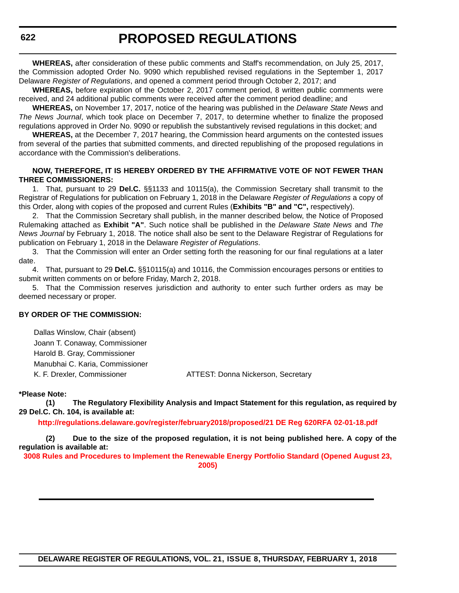**WHEREAS,** after consideration of these public comments and Staff's recommendation, on July 25, 2017, the Commission adopted Order No. 9090 which republished revised regulations in the September 1, 2017 Delaware *Register of Regulations*, and opened a comment period through October 2, 2017; and

**WHEREAS,** before expiration of the October 2, 2017 comment period, 8 written public comments were received, and 24 additional public comments were received after the comment period deadline; and

**WHEREAS,** on November 17, 2017, notice of the hearing was published in the *Delaware State News* and *The News Journal*, which took place on December 7, 2017, to determine whether to finalize the proposed regulations approved in Order No. 9090 or republish the substantively revised regulations in this docket; and

**WHEREAS,** at the December 7, 2017 hearing, the Commission heard arguments on the contested issues from several of the parties that submitted comments, and directed republishing of the proposed regulations in accordance with the Commission's deliberations.

#### **NOW, THEREFORE, IT IS HEREBY ORDERED BY THE AFFIRMATIVE VOTE OF NOT FEWER THAN THREE COMMISSIONERS:**

1. That, pursuant to 29 **Del.C.** §§1133 and 10115(a), the Commission Secretary shall transmit to the Registrar of Regulations for publication on February 1, 2018 in the Delaware *Register of Regulations* a copy of this Order, along with copies of the proposed and current Rules (**Exhibits "B" and "C",** respectively).

2. That the Commission Secretary shall publish, in the manner described below, the Notice of Proposed Rulemaking attached as **Exhibit "A"**. Such notice shall be published in the *Delaware State News* and *The News Journal* by February 1, 2018. The notice shall also be sent to the Delaware Registrar of Regulations for publication on February 1, 2018 in the Delaware *Register of Regulations*.

3. That the Commission will enter an Order setting forth the reasoning for our final regulations at a later date.

4. That, pursuant to 29 **Del.C.** §§10115(a) and 10116, the Commission encourages persons or entities to submit written comments on or before Friday, March 2, 2018.

5. That the Commission reserves jurisdiction and authority to enter such further orders as may be deemed necessary or proper.

#### **BY ORDER OF THE COMMISSION:**

Dallas Winslow, Chair (absent) Joann T. Conaway, Commissioner Harold B. Gray, Commissioner Manubhai C. Karia, Commissioner

K. F. Drexler, Commissioner **ATTEST: Donna Nickerson, Secretary** 

#### **\*Please Note:**

**(1) The Regulatory Flexibility Analysis and Impact Statement for this regulation, as required by 29 Del.C. Ch. 104, is available at:**

**<http://regulations.delaware.gov/register/february2018/proposed/21 DE Reg 620RFA 02-01-18.pdf>**

**(2) Due to the size of the proposed regulation, it is not being published here. A copy of the regulation is available at:**

**[3008 Rules and Procedures to Implement the Renewable Energy Portfolio Standard \(Opened August 23,](http://regulations.delaware.gov/register/february2018/proposed/21 DE Reg 620 02-01-18.htm)  2005)**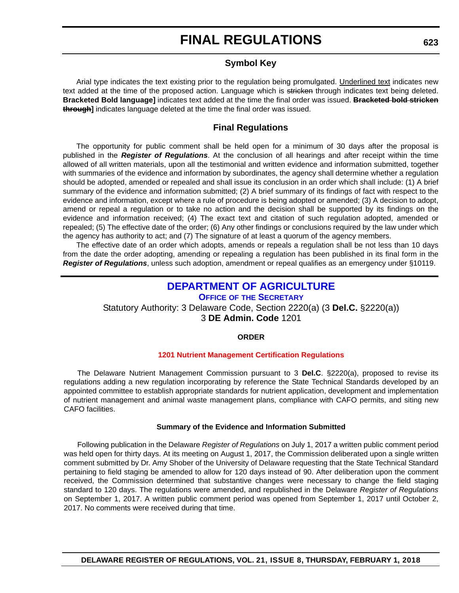#### **Symbol Key**

<span id="page-30-0"></span>Arial type indicates the text existing prior to the regulation being promulgated. Underlined text indicates new text added at the time of the proposed action. Language which is stricken through indicates text being deleted. **Bracketed Bold language]** indicates text added at the time the final order was issued. **Bracketed bold stricken through]** indicates language deleted at the time the final order was issued.

#### **Final Regulations**

The opportunity for public comment shall be held open for a minimum of 30 days after the proposal is published in the *Register of Regulations*. At the conclusion of all hearings and after receipt within the time allowed of all written materials, upon all the testimonial and written evidence and information submitted, together with summaries of the evidence and information by subordinates, the agency shall determine whether a regulation should be adopted, amended or repealed and shall issue its conclusion in an order which shall include: (1) A brief summary of the evidence and information submitted; (2) A brief summary of its findings of fact with respect to the evidence and information, except where a rule of procedure is being adopted or amended; (3) A decision to adopt, amend or repeal a regulation or to take no action and the decision shall be supported by its findings on the evidence and information received; (4) The exact text and citation of such regulation adopted, amended or repealed; (5) The effective date of the order; (6) Any other findings or conclusions required by the law under which the agency has authority to act; and (7) The signature of at least a quorum of the agency members.

The effective date of an order which adopts, amends or repeals a regulation shall be not less than 10 days from the date the order adopting, amending or repealing a regulation has been published in its final form in the *Register of Regulations*, unless such adoption, amendment or repeal qualifies as an emergency under §10119.

### **[DEPARTMENT OF AGRICULTURE](https://dda.delaware.gov/nutrients/index.shtml)**

**OFFICE OF [THE SECRETARY](https://dda.delaware.gov/nutrients/index.shtml)** Statutory Authority: 3 Delaware Code, Section 2220(a) (3 **Del.C.** §2220(a)) 3 **DE Admin. Code** 1201

#### **ORDER**

#### **[1201 Nutrient Management Certification Regulations](#page-3-0)**

The Delaware Nutrient Management Commission pursuant to 3 **Del.C**. §2220(a), proposed to revise its regulations adding a new regulation incorporating by reference the State Technical Standards developed by an appointed committee to establish appropriate standards for nutrient application, development and implementation of nutrient management and animal waste management plans, compliance with CAFO permits, and siting new CAFO facilities.

#### **Summary of the Evidence and Information Submitted**

Following publication in the Delaware *Register of Regulations* on July 1, 2017 a written public comment period was held open for thirty days. At its meeting on August 1, 2017, the Commission deliberated upon a single written comment submitted by Dr. Amy Shober of the University of Delaware requesting that the State Technical Standard pertaining to field staging be amended to allow for 120 days instead of 90. After deliberation upon the comment received, the Commission determined that substantive changes were necessary to change the field staging standard to 120 days. The regulations were amended, and republished in the Delaware *Register of Regulations* on September 1, 2017. A written public comment period was opened from September 1, 2017 until October 2, 2017. No comments were received during that time.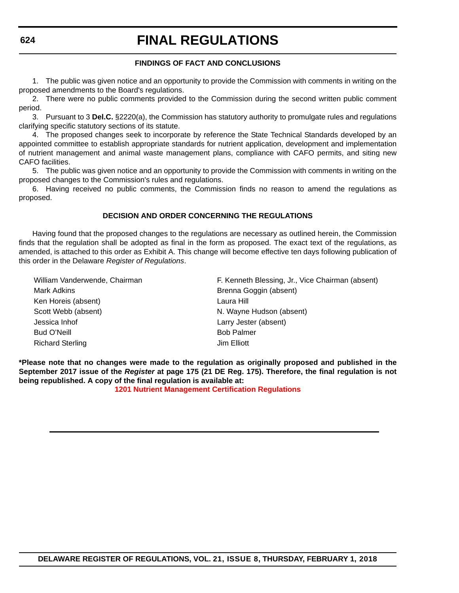#### **FINDINGS OF FACT AND CONCLUSIONS**

1. The public was given notice and an opportunity to provide the Commission with comments in writing on the proposed amendments to the Board's regulations.

2. There were no public comments provided to the Commission during the second written public comment period.

3. Pursuant to 3 **Del.C.** §2220(a), the Commission has statutory authority to promulgate rules and regulations clarifying specific statutory sections of its statute.

4. The proposed changes seek to incorporate by reference the State Technical Standards developed by an appointed committee to establish appropriate standards for nutrient application, development and implementation of nutrient management and animal waste management plans, compliance with CAFO permits, and siting new CAFO facilities.

5. The public was given notice and an opportunity to provide the Commission with comments in writing on the proposed changes to the Commission's rules and regulations.

6. Having received no public comments, the Commission finds no reason to amend the regulations as proposed.

#### **DECISION AND ORDER CONCERNING THE REGULATIONS**

Having found that the proposed changes to the regulations are necessary as outlined herein, the Commission finds that the regulation shall be adopted as final in the form as proposed. The exact text of the regulations, as amended, is attached to this order as Exhibit A. This change will become effective ten days following publication of this order in the Delaware *Register of Regulations*.

Mark Adkins **Brenna Goggin** (absent) Ken Horeis (absent) Laura Hill Scott Webb (absent) N. Wayne Hudson (absent) Jessica Inhof Larry Jester (absent) Bud O'Neill **Bud O'Neill** Bob Palmer Richard Sterling **In the United Steams** Jim Elliott

William Vanderwende, Chairman F. Kenneth Blessing, Jr., Vice Chairman (absent)

**\*Please note that no changes were made to the regulation as originally proposed and published in the September 2017 issue of the** *Register* **at page 175 (21 DE Reg. 175). Therefore, the final regulation is not being republished. A copy of the final regulation is available at:**

**[1201 Nutrient Management Certification Regulations](http://regulations.delaware.gov/register/february2018/final/21 DE Reg 623 02-01-18.htm)**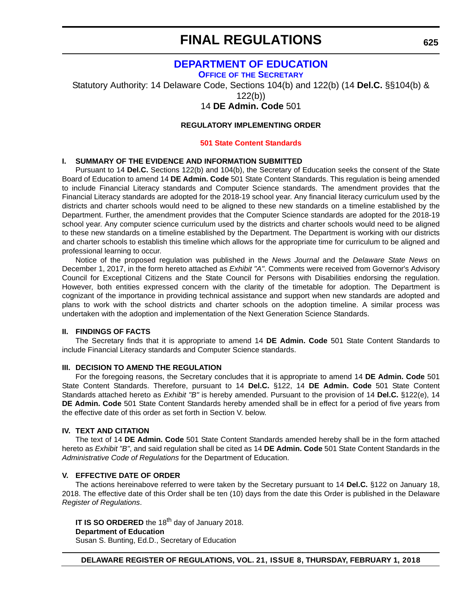### **[DEPARTMENT OF EDUCATION](https://pubapps.doe.k12.de.us/EducationalDirectoryPublic/pages/DDOE/Branches.aspx?page=branches&BID=1)**

**OFFICE OF [THE SECRETARY](https://pubapps.doe.k12.de.us/EducationalDirectoryPublic/pages/DDOE/Branches.aspx?page=branches&BID=1)**

<span id="page-32-0"></span>Statutory Authority: 14 Delaware Code, Sections 104(b) and 122(b) (14 **Del.C.** §§104(b) &

122(b))

14 **DE Admin. Code** 501

#### **REGULATORY IMPLEMENTING ORDER**

#### **[501 State Content Standards](#page-3-0)**

#### **I. SUMMARY OF THE EVIDENCE AND INFORMATION SUBMITTED**

Pursuant to 14 **Del.C.** Sections 122(b) and 104(b), the Secretary of Education seeks the consent of the State Board of Education to amend 14 **DE Admin. Code** 501 State Content Standards. This regulation is being amended to include Financial Literacy standards and Computer Science standards. The amendment provides that the Financial Literacy standards are adopted for the 2018-19 school year. Any financial literacy curriculum used by the districts and charter schools would need to be aligned to these new standards on a timeline established by the Department. Further, the amendment provides that the Computer Science standards are adopted for the 2018-19 school year. Any computer science curriculum used by the districts and charter schools would need to be aligned to these new standards on a timeline established by the Department. The Department is working with our districts and charter schools to establish this timeline which allows for the appropriate time for curriculum to be aligned and professional learning to occur.

Notice of the proposed regulation was published in the *News Journal* and the *Delaware State News* on December 1, 2017, in the form hereto attached as *Exhibit "A"*. Comments were received from Governor's Advisory Council for Exceptional Citizens and the State Council for Persons with Disabilities endorsing the regulation. However, both entities expressed concern with the clarity of the timetable for adoption. The Department is cognizant of the importance in providing technical assistance and support when new standards are adopted and plans to work with the school districts and charter schools on the adoption timeline. A similar process was undertaken with the adoption and implementation of the Next Generation Science Standards.

#### **II. FINDINGS OF FACTS**

The Secretary finds that it is appropriate to amend 14 **DE Admin. Code** 501 State Content Standards to include Financial Literacy standards and Computer Science standards.

#### **III. DECISION TO AMEND THE REGULATION**

For the foregoing reasons, the Secretary concludes that it is appropriate to amend 14 **DE Admin. Code** 501 State Content Standards. Therefore, pursuant to 14 **Del.C.** §122, 14 **DE Admin. Code** 501 State Content Standards attached hereto as *Exhibit "B"* is hereby amended. Pursuant to the provision of 14 **Del.C.** §122(e), 14 **DE Admin. Code** 501 State Content Standards hereby amended shall be in effect for a period of five years from the effective date of this order as set forth in Section V. below.

#### **IV. TEXT AND CITATION**

The text of 14 **DE Admin. Code** 501 State Content Standards amended hereby shall be in the form attached hereto as *Exhibit "B"*, and said regulation shall be cited as 14 **DE Admin. Code** 501 State Content Standards in the *Administrative Code of Regulations* for the Department of Education.

#### **V. EFFECTIVE DATE OF ORDER**

The actions hereinabove referred to were taken by the Secretary pursuant to 14 **Del.C.** §122 on January 18, 2018. The effective date of this Order shall be ten (10) days from the date this Order is published in the Delaware *Register of Regulations*.

**IT IS SO ORDERED** the 18<sup>th</sup> day of January 2018. **Department of Education** Susan S. Bunting, Ed.D., Secretary of Education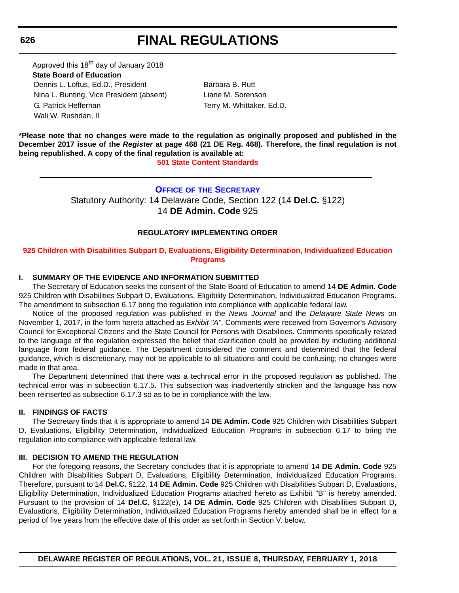# **FINAL REGULATIONS**

<span id="page-33-0"></span>Approved this 18<sup>th</sup> day of January 2018 **State Board of Education**  Dennis L. Loftus, Ed.D., President Barbara B. Rutt Nina L. Bunting, Vice President (absent) Liane M. Sorenson G. Patrick Heffernan Terry M. Whittaker, Ed.D. Wali W. Rushdan, II

**\*Please note that no changes were made to the regulation as originally proposed and published in the December 2017 issue of the** *Register* **at page 468 (21 DE Reg. 468). Therefore, the final regulation is not being republished. A copy of the final regulation is available at:**

**[501 State Content Standards](http://regulations.delaware.gov/register/february2018/final/21 DE Reg 625 02-01-18.htm)** 

### **OFFICE OF [THE SECRETARY](https://pubapps.doe.k12.de.us/EducationalDirectoryPublic/pages/DDOE/Branches.aspx?page=branches&BID=1)**

Statutory Authority: 14 Delaware Code, Section 122 (14 **Del.C.** §122) 14 **DE Admin. Code** 925

#### **REGULATORY IMPLEMENTING ORDER**

#### **[925 Children with Disabilities Subpart D, Evaluations, Eligibility Determination, Individualized Education](#page-3-0)  Programs**

#### **I. SUMMARY OF THE EVIDENCE AND INFORMATION SUBMITTED**

The Secretary of Education seeks the consent of the State Board of Education to amend 14 **DE Admin. Code** 925 Children with Disabilities Subpart D, Evaluations, Eligibility Determination, Individualized Education Programs. The amendment to subsection 6.17 bring the regulation into compliance with applicable federal law.

Notice of the proposed regulation was published in the *News Journal* and the *Delaware State News* on November 1, 2017, in the form hereto attached as *Exhibit "A"*. Comments were received from Governor's Advisory Council for Exceptional Citizens and the State Council for Persons with Disabilities. Comments specifically related to the language of the regulation expressed the belief that clarification could be provided by including additional language from federal guidance. The Department considered the comment and determined that the federal guidance, which is discretionary, may not be applicable to all situations and could be confusing; no changes were made in that area.

The Department determined that there was a technical error in the proposed regulation as published. The technical error was in subsection 6.17.5. This subsection was inadvertently stricken and the language has now been reinserted as subsection 6.17.3 so as to be in compliance with the law.

#### **II. FINDINGS OF FACTS**

The Secretary finds that it is appropriate to amend 14 **DE Admin. Code** 925 Children with Disabilities Subpart D, Evaluations, Eligibility Determination, Individualized Education Programs in subsection 6.17 to bring the regulation into compliance with applicable federal law.

#### **III. DECISION TO AMEND THE REGULATION**

For the foregoing reasons, the Secretary concludes that it is appropriate to amend 14 **DE Admin. Code** 925 Children with Disabilities Subpart D, Evaluations, Eligibility Determination, Individualized Education Programs. Therefore, pursuant to 14 **Del.C.** §122, 14 **DE Admin. Code** 925 Children with Disabilities Subpart D, Evaluations, Eligibility Determination, Individualized Education Programs attached hereto as Exhibit "B" is hereby amended. Pursuant to the provision of 14 **Del.C.** §122(e), 14 **DE Admin. Code** 925 Children with Disabilities Subpart D, Evaluations, Eligibility Determination, Individualized Education Programs hereby amended shall be in effect for a period of five years from the effective date of this order as set forth in Section V. below.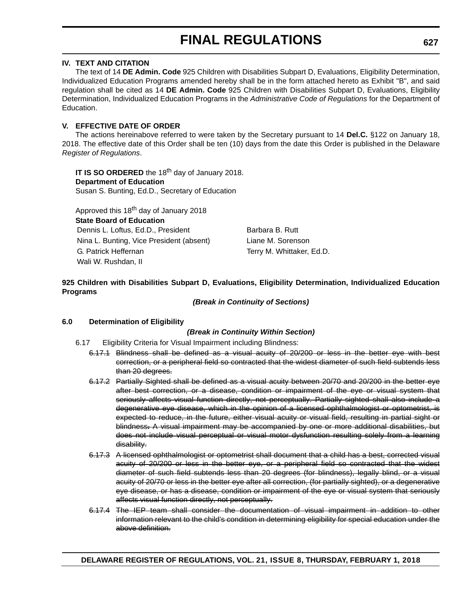#### **IV. TEXT AND CITATION**

The text of 14 **DE Admin. Code** 925 Children with Disabilities Subpart D, Evaluations, Eligibility Determination, Individualized Education Programs amended hereby shall be in the form attached hereto as Exhibit "B", and said regulation shall be cited as 14 **DE Admin. Code** 925 Children with Disabilities Subpart D, Evaluations, Eligibility Determination, Individualized Education Programs in the *Administrative Code of Regulations* for the Department of Education.

#### **V. EFFECTIVE DATE OF ORDER**

The actions hereinabove referred to were taken by the Secretary pursuant to 14 **Del.C.** §122 on January 18, 2018. The effective date of this Order shall be ten (10) days from the date this Order is published in the Delaware *Register of Regulations*.

**IT IS SO ORDERED** the 18<sup>th</sup> day of January 2018. **Department of Education** Susan S. Bunting, Ed.D., Secretary of Education

Approved this 18<sup>th</sup> day of January 2018

**State Board of Education**

Dennis L. Loftus, Ed.D., President Barbara B. Rutt Nina L. Bunting, Vice President (absent) Liane M. Sorenson G. Patrick Heffernan Terry M. Whittaker, Ed.D. Wali W. Rushdan, II

#### **925 Children with Disabilities Subpart D, Evaluations, Eligibility Determination, Individualized Education Programs**

*(Break in Continuity of Sections)*

#### **6.0 Determination of Eligibility**

#### *(Break in Continuity Within Section)*

- 6.17 Eligibility Criteria for Visual Impairment including Blindness:
	- 6.17.1 Blindness shall be defined as a visual acuity of 20/200 or less in the better eye with best correction, or a peripheral field so contracted that the widest diameter of such field subtends less than 20 degrees.
	- 6.17.2 Partially Sighted shall be defined as a visual acuity between 20/70 and 20/200 in the better eye after best correction, or a disease, condition or impairment of the eye or visual system that seriously affects visual function directly, not perceptually. Partially sighted shall also include a degenerative eye disease, which in the opinion of a licensed ophthalmologist or optometrist, is expected to reduce, in the future, either visual acuity or visual field, resulting in partial sight or blindness**.** A visual impairment may be accompanied by one or more additional disabilities, but does not include visual perceptual or visual motor dysfunction resulting solely from a learning disability.
	- 6.17.3 A licensed ophthalmologist or optometrist shall document that a child has a best, corrected visual acuity of 20/200 or less in the better eye, or a peripheral field so contracted that the widest diameter of such field subtends less than 20 degrees (for blindness), legally blind, or a visual acuity of 20/70 or less in the better eye after all correction, (for partially sighted), or a degenerative eye disease, or has a disease, condition or impairment of the eye or visual system that seriously affects visual function directly, not perceptually.
	- 6.17.4 The IEP team shall consider the documentation of visual impairment in addition to other information relevant to the child's condition in determining eligibility for special education under the above definition.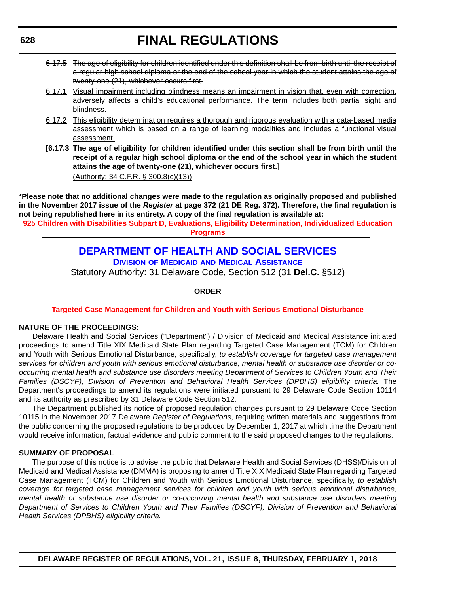- <span id="page-35-0"></span>6.17.5 The age of eligibility for children identified under this definition shall be from birth until the receipt of a regular high school diploma or the end of the school year in which the student attains the age of twenty-one (21), whichever occurs first.
- 6.17.1 Visual impairment including blindness means an impairment in vision that, even with correction, adversely affects a child's educational performance. The term includes both partial sight and blindness.
- 6.17.2 This eligibility determination requires a thorough and rigorous evaluation with a data-based media assessment which is based on a range of learning modalities and includes a functional visual assessment.
- **[6.17.3 The age of eligibility for children identified under this section shall be from birth until the receipt of a regular high school diploma or the end of the school year in which the student attains the age of twenty-one (21), whichever occurs first.]** (Authority: 34 C.F.R. § 300.8(c)(13))

**\*Please note that no additional changes were made to the regulation as originally proposed and published in the November 2017 issue of the** *Register* **at page 372 (21 DE Reg. 372). Therefore, the final regulation is not being republished here in its entirety. A copy of the final regulation is available at:**

**[925 Children with Disabilities Subpart D, Evaluations, Eligibility Determination, Individualized Education](http://regulations.delaware.gov/register/february2018/final/21 DE Reg 626 02-01-18.htm)  Programs** 

### **[DEPARTMENT OF HEALTH AND SOCIAL SERVICES](http://www.dhss.delaware.gov/dhss/dmma/)**

**DIVISION OF MEDICAID [AND MEDICAL ASSISTANCE](http://www.dhss.delaware.gov/dhss/dmma/)**

Statutory Authority: 31 Delaware Code, Section 512 (31 **Del.C.** §512)

#### **ORDER**

#### **[Targeted Case Management for Children and Youth with Serious Emotional Disturbance](#page-3-0)**

#### **NATURE OF THE PROCEEDINGS:**

Delaware Health and Social Services ("Department") / Division of Medicaid and Medical Assistance initiated proceedings to amend Title XIX Medicaid State Plan regarding Targeted Case Management (TCM) for Children and Youth with Serious Emotional Disturbance, specifically, *to establish coverage for targeted case management services for children and youth with serious emotional disturbance, mental health or substance use disorder or cooccurring mental health and substance use disorders meeting Department of Services to Children Youth and Their Families (DSCYF), Division of Prevention and Behavioral Health Services (DPBHS) eligibility criteria.* The Department's proceedings to amend its regulations were initiated pursuant to 29 Delaware Code Section 10114 and its authority as prescribed by 31 Delaware Code Section 512.

The Department published its notice of proposed regulation changes pursuant to 29 Delaware Code Section 10115 in the November 2017 Delaware *Register of Regulations*, requiring written materials and suggestions from the public concerning the proposed regulations to be produced by December 1, 2017 at which time the Department would receive information, factual evidence and public comment to the said proposed changes to the regulations.

#### **SUMMARY OF PROPOSAL**

The purpose of this notice is to advise the public that Delaware Health and Social Services (DHSS)/Division of Medicaid and Medical Assistance (DMMA) is proposing to amend Title XIX Medicaid State Plan regarding Targeted Case Management (TCM) for Children and Youth with Serious Emotional Disturbance, specifically, *to establish coverage for targeted case management services for children and youth with serious emotional disturbance, mental health or substance use disorder or co-occurring mental health and substance use disorders meeting Department of Services to Children Youth and Their Families (DSCYF), Division of Prevention and Behavioral Health Services (DPBHS) eligibility criteria.*

**DELAWARE REGISTER OF REGULATIONS, VOL. 21, ISSUE 8, THURSDAY, FEBRUARY 1, 2018**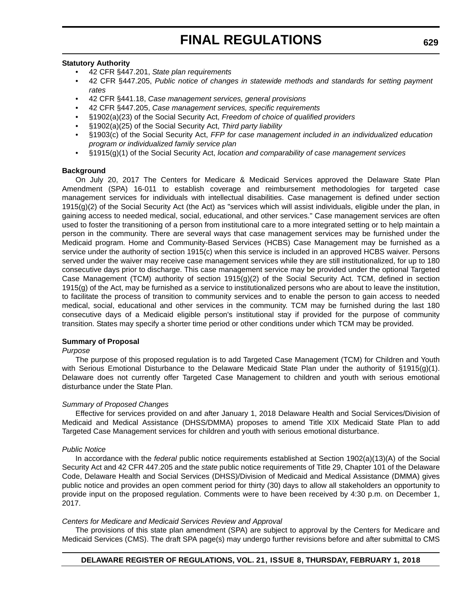#### **Statutory Authority**

- 42 CFR §447.201, *State plan requirements*
- 42 CFR §447.205, *Public notice of changes in statewide methods and standards for setting payment rates*
- 42 CFR §441.18, *Case management services, general provisions*
- 42 CFR §447.205, *Case management services, specific requirements*
- §1902(a)(23) of the Social Security Act, *Freedom of choice of qualified providers*
- §1902(a)(25) of the Social Security Act, *Third party liability*
- §1903(c) of the Social Security Act, *FFP for case management included in an individualized education program or individualized family service plan*
- §1915(g)(1) of the Social Security Act, *location and comparability of case management services*

#### **Background**

On July 20, 2017 The Centers for Medicare & Medicaid Services approved the Delaware State Plan Amendment (SPA) 16-011 to establish coverage and reimbursement methodologies for targeted case management services for individuals with intellectual disabilities. Case management is defined under section  $1915(q)(2)$  of the Social Security Act (the Act) as "services which will assist individuals, eligible under the plan, in gaining access to needed medical, social, educational, and other services." Case management services are often used to foster the transitioning of a person from institutional care to a more integrated setting or to help maintain a person in the community. There are several ways that case management services may be furnished under the Medicaid program. Home and Community-Based Services (HCBS) Case Management may be furnished as a service under the authority of section 1915(c) when this service is included in an approved HCBS waiver. Persons served under the waiver may receive case management services while they are still institutionalized, for up to 180 consecutive days prior to discharge. This case management service may be provided under the optional Targeted Case Management (TCM) authority of section 1915(g)(2) of the Social Security Act. TCM, defined in section 1915(g) of the Act, may be furnished as a service to institutionalized persons who are about to leave the institution, to facilitate the process of transition to community services and to enable the person to gain access to needed medical, social, educational and other services in the community. TCM may be furnished during the last 180 consecutive days of a Medicaid eligible person's institutional stay if provided for the purpose of community transition. States may specify a shorter time period or other conditions under which TCM may be provided.

#### **Summary of Proposal**

#### *Purpose*

The purpose of this proposed regulation is to add Targeted Case Management (TCM) for Children and Youth with Serious Emotional Disturbance to the Delaware Medicaid State Plan under the authority of §1915(g)(1). Delaware does not currently offer Targeted Case Management to children and youth with serious emotional disturbance under the State Plan.

#### *Summary of Proposed Changes*

Effective for services provided on and after January 1, 2018 Delaware Health and Social Services/Division of Medicaid and Medical Assistance (DHSS/DMMA) proposes to amend Title XIX Medicaid State Plan to add Targeted Case Management services for children and youth with serious emotional disturbance.

#### *Public Notice*

In accordance with the *federal* public notice requirements established at Section 1902(a)(13)(A) of the Social Security Act and 42 CFR 447.205 and the *state* public notice requirements of Title 29, Chapter 101 of the Delaware Code, Delaware Health and Social Services (DHSS)/Division of Medicaid and Medical Assistance (DMMA) gives public notice and provides an open comment period for thirty (30) days to allow all stakeholders an opportunity to provide input on the proposed regulation. Comments were to have been received by 4:30 p.m. on December 1, 2017.

#### *Centers for Medicare and Medicaid Services Review and Approval*

The provisions of this state plan amendment (SPA) are subject to approval by the Centers for Medicare and Medicaid Services (CMS). The draft SPA page(s) may undergo further revisions before and after submittal to CMS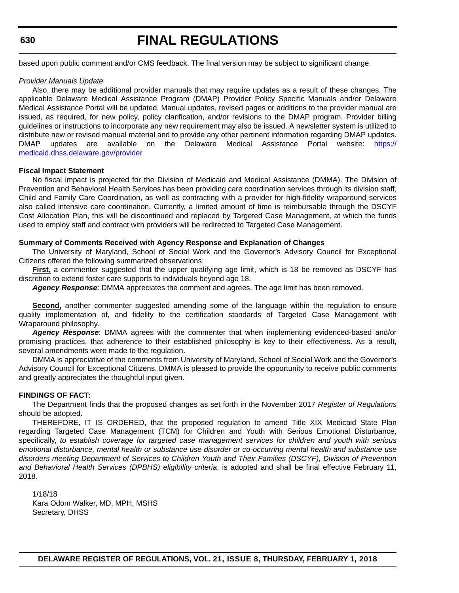# **FINAL REGULATIONS**

based upon public comment and/or CMS feedback. The final version may be subject to significant change.

#### *Provider Manuals Update*

Also, there may be additional provider manuals that may require updates as a result of these changes. The applicable Delaware Medical Assistance Program (DMAP) Provider Policy Specific Manuals and/or Delaware Medical Assistance Portal will be updated. Manual updates, revised pages or additions to the provider manual are issued, as required, for new policy, policy clarification, and/or revisions to the DMAP program. Provider billing guidelines or instructions to incorporate any new requirement may also be issued. A newsletter system is utilized to distribute new or revised manual material and to provide any other pertinent information regarding DMAP updates. DMAP updates are available on the Delaware Medical Assistance Portal website: [https://](https://medicaid.dhss.delaware.gov/provider) [medicaid.dhss.delaware.gov/provider](https://medicaid.dhss.delaware.gov/provider)

#### **Fiscal Impact Statement**

No fiscal impact is projected for the Division of Medicaid and Medical Assistance (DMMA). The Division of Prevention and Behavioral Health Services has been providing care coordination services through its division staff, Child and Family Care Coordination, as well as contracting with a provider for high-fidelity wraparound services also called intensive care coordination. Currently, a limited amount of time is reimbursable through the DSCYF Cost Allocation Plan, this will be discontinued and replaced by Targeted Case Management, at which the funds used to employ staff and contract with providers will be redirected to Targeted Case Management.

#### **Summary of Comments Received with Agency Response and Explanation of Changes**

The University of Maryland, School of Social Work and the Governor's Advisory Council for Exceptional Citizens offered the following summarized observations:

**First,** a commenter suggested that the upper qualifying age limit, which is 18 be removed as DSCYF has discretion to extend foster care supports to individuals beyond age 18.

*Agency Response*: DMMA appreciates the comment and agrees. The age limit has been removed.

**Second,** another commenter suggested amending some of the language within the regulation to ensure quality implementation of, and fidelity to the certification standards of Targeted Case Management with Wraparound philosophy.

*Agency Response*: DMMA agrees with the commenter that when implementing evidenced-based and/or promising practices, that adherence to their established philosophy is key to their effectiveness. As a result, several amendments were made to the regulation.

DMMA is appreciative of the comments from University of Maryland, School of Social Work and the Governor's Advisory Council for Exceptional Citizens. DMMA is pleased to provide the opportunity to receive public comments and greatly appreciates the thoughtful input given.

#### **FINDINGS OF FACT:**

The Department finds that the proposed changes as set forth in the November 2017 *Register of Regulations* should be adopted.

THEREFORE, IT IS ORDERED, that the proposed regulation to amend Title XIX Medicaid State Plan regarding Targeted Case Management (TCM) for Children and Youth with Serious Emotional Disturbance, specifically, *to establish coverage for targeted case management services for children and youth with serious emotional disturbance, mental health or substance use disorder or co-occurring mental health and substance use disorders meeting Department of Services to Children Youth and Their Families (DSCYF), Division of Prevention and Behavioral Health Services (DPBHS) eligibility criteria*, is adopted and shall be final effective February 11, 2018.

1/18/18 Kara Odom Walker, MD, MPH, MSHS Secretary, DHSS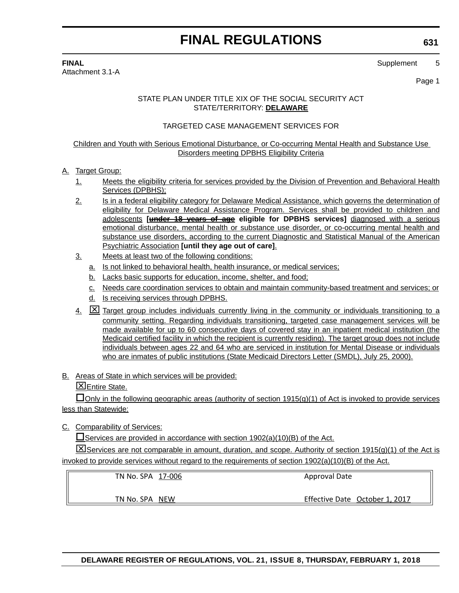Attachment 3.1-A

**FINAL** Supplement 5

Page 1

#### STATE PLAN UNDER TITLE XIX OF THE SOCIAL SECURITY ACT STATE/TERRITORY: **DELAWARE**

#### TARGETED CASE MANAGEMENT SERVICES FOR

#### Children and Youth with Serious Emotional Disturbance, or Co-occurring Mental Health and Substance Use Disorders meeting DPBHS Eligibility Criteria

#### A. Target Group:

- 1. Meets the eligibility criteria for services provided by the Division of Prevention and Behavioral Health Services (DPBHS);
- 2. Is in a federal eligibility category for Delaware Medical Assistance, which governs the determination of eligibility for Delaware Medical Assistance Program. Services shall be provided to children and adolescents **[under 18 years of age eligible for DPBHS services]** diagnosed with a serious emotional disturbance, mental health or substance use disorder, or co-occurring mental health and substance use disorders, according to the current Diagnostic and Statistical Manual of the American Psychiatric Association **[until they age out of care]**.
- 3. Meets at least two of the following conditions:
	- a. Is not linked to behavioral health, health insurance, or medical services;
	- b. Lacks basic supports for education, income, shelter, and food;
	- c. Needs care coordination services to obtain and maintain community-based treatment and services; or
	- d. Is receiving services through DPBHS.
- 4. **IX** Target group includes individuals currently living in the community or individuals transitioning to a community setting. Regarding individuals transitioning, targeted case management services will be made available for up to 60 consecutive days of covered stay in an inpatient medical institution (the Medicaid certified facility in which the recipient is currently residing). The target group does not include individuals between ages 22 and 64 who are serviced in institution for Mental Disease or individuals who are inmates of public institutions (State Medicaid Directors Letter (SMDL), July 25, 2000).
- B. Areas of State in which services will be provided:

Entire State.

 $\Box$  Only in the following geographic areas (authority of section 1915(g)(1) of Act is invoked to provide services less than Statewide:

C. Comparability of Services:

 $\square$  Services are provided in accordance with section 1902(a)(10)(B) of the Act.

 $\Sigma$ Services are not comparable in amount, duration, and scope. Authority of section 1915(g)(1) of the Act is invoked to provide services without regard to the requirements of section 1902(a)(10)(B) of the Act.

TN No. SPA 17‐006

Approval Date

TN No. SPA NEW

Effective Date October 1, 2017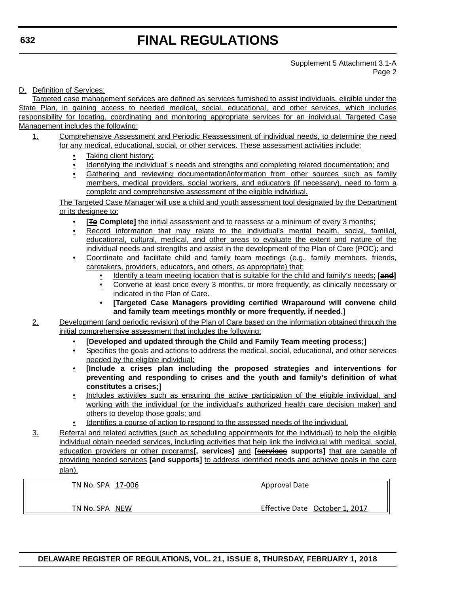Supplement 5 Attachment 3.1-A Page 2

#### D. Definition of Services:

Targeted case management services are defined as services furnished to assist individuals, eligible under the State Plan, in gaining access to needed medical, social, educational, and other services, which includes responsibility for locating, coordinating and monitoring appropriate services for an individual. Targeted Case Management includes the following:

- 1. Comprehensive Assessment and Periodic Reassessment of individual needs, to determine the need for any medical, educational, social, or other services. These assessment activities include:
	- Taking client history;
	- Identifying the individual' s needs and strengths and completing related documentation; and
	- Gathering and reviewing documentation/information from other sources such as family members, medical providers, social workers, and educators (if necessary), need to form a complete and comprehensive assessment of the eligible individual.

The Targeted Case Manager will use a child and youth assessment tool designated by the Department or its designee to:

- **[<del>To</del>** Complete] the initial assessment and to reassess at a minimum of every 3 months;
- Record information that may relate to the individual's mental health, social, familial, educational, cultural, medical, and other areas to evaluate the extent and nature of the individual needs and strengths and assist in the development of the Plan of Care (POC); and
- Coordinate and facilitate child and family team meetings (e.g., family members, friends, caretakers, providers, educators, and others, as appropriate) that:
	- Identify a team meeting location that is suitable for the child and family's needs; **[and]**
	- Convene at least once every 3 months, or more frequently, as clinically necessary or indicated in the Plan of Care.
	- **[Targeted Case Managers providing certified Wraparound will convene child and family team meetings monthly or more frequently, if needed.]**

2. Development (and periodic revision) of the Plan of Care based on the information obtained through the initial comprehensive assessment that includes the following:

- **[Developed and updated through the Child and Family Team meeting process;]**
- Specifies the goals and actions to address the medical, social, educational, and other services needed by the eligible individual;
- **[Include a crises plan including the proposed strategies and interventions for preventing and responding to crises and the youth and family's definition of what constitutes a crises;]**
- Includes activities such as ensuring the active participation of the eligible individual, and working with the individual (or the individual's authorized health care decision maker) and others to develop those goals; and
- Identifies a course of action to respond to the assessed needs of the individual.
- 3. Referral and related activities (such as scheduling appointments for the individual) to help the eligible individual obtain needed services, including activities that help link the individual with medical, social, education providers or other programs**[, services]** and **[services supports]** that are capable of providing needed services **[and supports]** to address identified needs and achieve goals in the care plan).

TN No. SPA 17‐006

Approval Date

TN No. SPA NEW

Effective Date October 1, 2017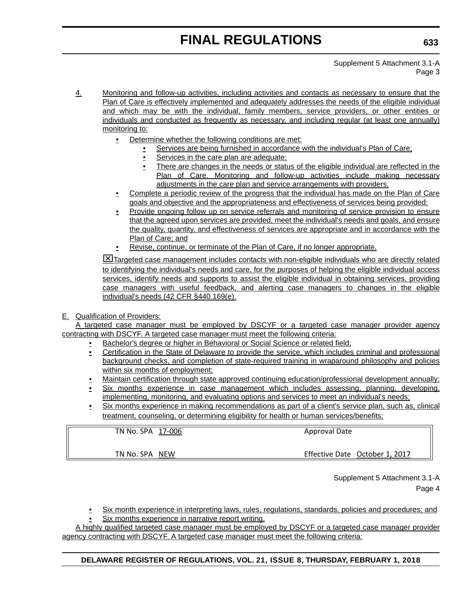Supplement 5 Attachment 3.1-A Page 3

- 4. Monitoring and follow-up activities, including activities and contacts as necessary to ensure that the Plan of Care is effectively implemented and adequately addresses the needs of the eligible individual and which may be with the individual, family members, service providers, or other entities or individuals and conducted as frequently as necessary, and including regular (at least one annually) monitoring to:
	- Determine whether the following conditions are met:
		- Services are being furnished in accordance with the individual's Plan of Care;
		- Services in the care plan are adequate;
		- There are changes in the needs or status of the eligible individual are reflected in the Plan of Care. Monitoring and follow-up activities include making necessary adjustments in the care plan and service arrangements with providers.
	- Complete a periodic review of the progress that the individual has made on the Plan of Care goals and objective and the appropriateness and effectiveness of services being provided;
	- Provide ongoing follow up on service referrals and monitoring of service provision to ensure that the agreed upon services are provided, meet the individual's needs and goals, and ensure the quality, quantity, and effectiveness of services are appropriate and in accordance with the Plan of Care; and
	- Revise, continue, or terminate of the Plan of Care, if no longer appropriate.

**X**Targeted case management includes contacts with non-eligible individuals who are directly related to identifying the individual's needs and care, for the purposes of helping the eligible individual access services, identify needs and supports to assist the eligible individual in obtaining services, providing case managers with useful feedback, and alerting case managers to changes in the eligible individual's needs (42 CFR §440.169(e).

#### E. Qualification of Providers:

A targeted case manager must be employed by DSCYF or a targeted case manager provider agency contracting with DSCYF. A targeted case manager must meet the following criteria:

- Bachelor's degree or higher in Behavioral or Social Science or related field;
- Certification in the State of Delaware to provide the service, which includes criminal and professional background checks, and completion of state-required training in wraparound philosophy and policies within six months of employment;
- Maintain certification through state approved continuing education/professional development annually;
- Six months experience in case management which includes assessing, planning, developing, implementing, monitoring, and evaluating options and services to meet an individual's needs;
- Six months experience in making recommendations as part of a client's service plan, such as, clinical treatment, counseling, or determining eligibility for health or human services/benefits;

TN No. SPA 17‐006

TN No. SPA NEW

Effective Date October 1, 2017

Approval Date

Supplement 5 Attachment 3.1-A Page 4

• Six month experience in interpreting laws, rules, regulations, standards, policies and procedures; and Six months experience in narrative report writing.

A highly qualified targeted case manager must be employed by DSCYF or a targeted case manager provider agency contracting with DSCYF. A targeted case manager must meet the following criteria: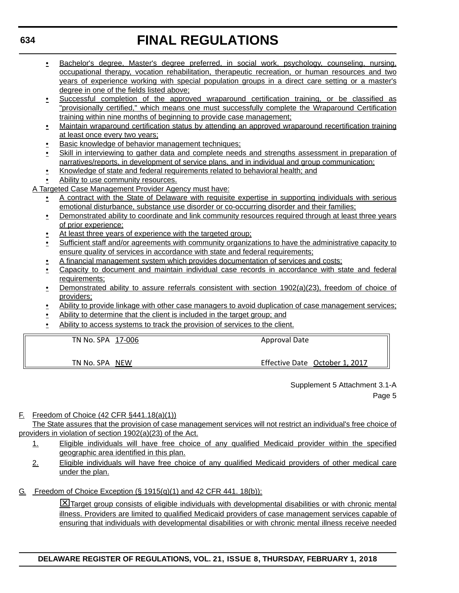- Bachelor's degree, Master's degree preferred, in social work, psychology, counseling, nursing, occupational therapy, vocation rehabilitation, therapeutic recreation, or human resources and two years of experience working with special population groups in a direct care setting or a master's degree in one of the fields listed above;
- Successful completion of the approved wraparound certification training, or be classified as "provisionally certified," which means one must successfully complete the Wraparound Certification training within nine months of beginning to provide case management;
- Maintain wraparound certification status by attending an approved wraparound recertification training at least once every two years;
- Basic knowledge of behavior management techniques;
- Skill in interviewing to gather data and complete needs and strengths assessment in preparation of narratives/reports, in development of service plans, and in individual and group communication;
- Knowledge of state and federal requirements related to behavioral health; and
- Ability to use community resources.

A Targeted Case Management Provider Agency must have:

- A contract with the State of Delaware with requisite expertise in supporting individuals with serious emotional disturbance, substance use disorder or co-occurring disorder and their families;
- Demonstrated ability to coordinate and link community resources required through at least three years of prior experience;
- At least three years of experience with the targeted group;
- Sufficient staff and/or agreements with community organizations to have the administrative capacity to ensure quality of services in accordance with state and federal requirements;
- A financial management system which provides documentation of services and costs;
- Capacity to document and maintain individual case records in accordance with state and federal requirements;
- Demonstrated ability to assure referrals consistent with section 1902(a)(23), freedom of choice of providers;
- Ability to provide linkage with other case managers to avoid duplication of case management services;
- Ability to determine that the client is included in the target group; and
- Ability to access systems to track the provision of services to the client.

TN No. SPA 17‐006 TN No. SPA NEW Approval Date Effective Date October 1, 2017

> Supplement 5 Attachment 3.1-A Page 5

#### F. Freedom of Choice (42 CFR §441.18(a)(1))

The State assures that the provision of case management services will not restrict an individual's free choice of providers in violation of section 1902(a)(23) of the Act.

- 1. Eligible individuals will have free choice of any qualified Medicaid provider within the specified geographic area identified in this plan.
- 2. Eligible individuals will have free choice of any qualified Medicaid providers of other medical care under the plan.

G. Freedom of Choice Exception (§ 1915(q)(1) and 42 CFR 441. 18(b)):

**EX** Target group consists of eligible individuals with developmental disabilities or with chronic mental illness. Providers are limited to qualified Medicaid providers of case management services capable of ensuring that individuals with developmental disabilities or with chronic mental illness receive needed

### **DELAWARE REGISTER OF REGULATIONS, VOL. 21, ISSUE 8, THURSDAY, FEBRUARY 1, 2018**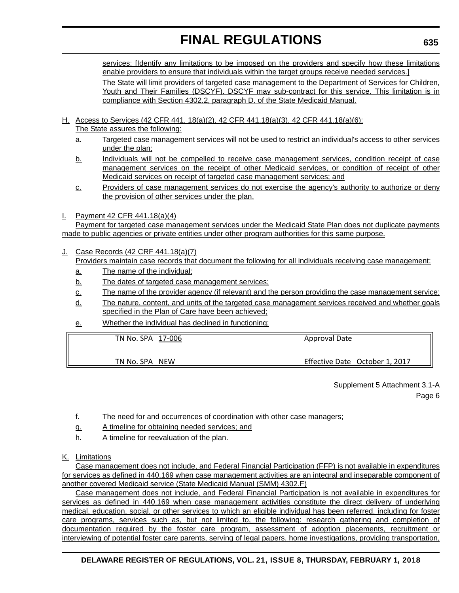services: [Identify any limitations to be imposed on the providers and specify how these limitations enable providers to ensure that individuals within the target groups receive needed services.] The State will limit providers of targeted case management to the Department of Services for Children,

Youth and Their Families (DSCYF). DSCYF may sub-contract for this service. This limitation is in compliance with Section 4302.2, paragraph D. of the State Medicaid Manual.

- H. Access to Services (42 CFR 441. 18(a)(2), 42 CFR 441.18(a)(3), 42 CFR 441.18(a)(6): The State assures the following:
	- a. Targeted case management services will not be used to restrict an individual's access to other services under the plan;
	- b. Individuals will not be compelled to receive case management services, condition receipt of case management services on the receipt of other Medicaid services, or condition of receipt of other Medicaid services on receipt of targeted case management services; and
	- c. Providers of case management services do not exercise the agency's authority to authorize or deny the provision of other services under the plan.
- I. Payment 42 CFR 441.18(a)(4)

Payment for targeted case management services under the Medicaid State Plan does not duplicate payments made to public agencies or private entities under other program authorities for this same purpose.

J. Case Records (42 CRF 441.18(a)(7)

Providers maintain case records that document the following for all individuals receiving case management:

- a. The name of the individual;
- b. The dates of targeted case management services;
- c. The name of the provider agency (if relevant) and the person providing the case management service;
- d. The nature, content, and units of the targeted case management services received and whether goals specified in the Plan of Care have been achieved;
- e. Whether the individual has declined in functioning;

| TN No. SPA 17-006 | <b>Approval Date</b>           |
|-------------------|--------------------------------|
| TN No. SPA NEW    | Effective Date October 1, 2017 |

Supplement 5 Attachment 3.1-A Page 6

- f. The need for and occurrences of coordination with other case managers;
- g. A timeline for obtaining needed services; and
- h. A timeline for reevaluation of the plan.
- K. Limitations

Case management does not include, and Federal Financial Participation (FFP) is not available in expenditures for services as defined in 440.169 when case management activities are an integral and inseparable component of another covered Medicaid service (State Medicaid Manual (SMM) 4302.F)

Case management does not include, and Federal Financial Participation is not available in expenditures for services as defined in 440.169 when case management activities constitute the direct delivery of underlying medical, education, social, or other services to which an eligible individual has been referred, including for foster care programs, services such as, but not limited to, the following: research gathering and completion of documentation required by the foster care program, assessment of adoption placements, recruitment or interviewing of potential foster care parents, serving of legal papers, home investigations, providing transportation,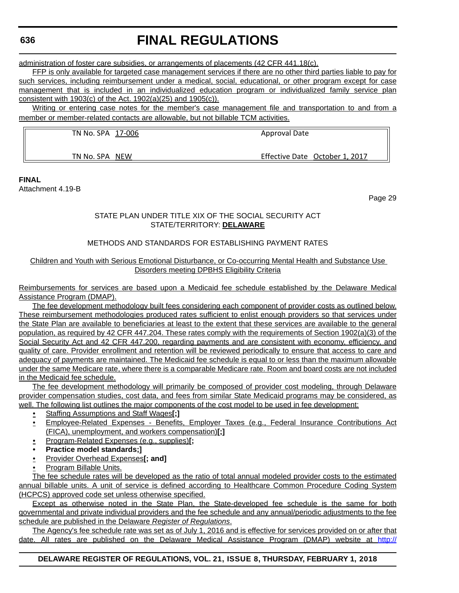# **FINAL REGULATIONS**

administration of foster care subsidies, or arrangements of placements (42 CFR 441.18(c).

FFP is only available for targeted case management services if there are no other third parties liable to pay for such services, including reimbursement under a medical, social, educational, or other program except for case management that is included in an individualized education program or individualized family service plan consistent with 1903(c) of the Act. 1902(a)(25) and 1905(c)).

Writing or entering case notes for the member's case management file and transportation to and from a member or member-related contacts are allowable, but not billable TCM activities.

TN No. SPA 17-006

Approval Date

Effective Date October 1, 2017

TN No. SPA NEW

**FINAL**

Attachment 4.19-B

Page 29

#### STATE PLAN UNDER TITLE XIX OF THE SOCIAL SECURITY ACT STATE/TERRITORY: **DELAWARE**

#### METHODS AND STANDARDS FOR ESTABLISHING PAYMENT RATES

#### Children and Youth with Serious Emotional Disturbance, or Co-occurring Mental Health and Substance Use Disorders meeting DPBHS Eligibility Criteria

Reimbursements for services are based upon a Medicaid fee schedule established by the Delaware Medical Assistance Program (DMAP).

The fee development methodology built fees considering each component of provider costs as outlined below. These reimbursement methodologies produced rates sufficient to enlist enough providers so that services under the State Plan are available to beneficiaries at least to the extent that these services are available to the general population, as required by 42 CFR 447.204. These rates comply with the requirements of Section 1902(a)(3) of the Social Security Act and 42 CFR 447.200, regarding payments and are consistent with economy, efficiency, and quality of care. Provider enrollment and retention will be reviewed periodically to ensure that access to care and adequacy of payments are maintained. The Medicaid fee schedule is equal to or less than the maximum allowable under the same Medicare rate, where there is a comparable Medicare rate. Room and board costs are not included in the Medicaid fee schedule.

The fee development methodology will primarily be composed of provider cost modeling, through Delaware provider compensation studies, cost data, and fees from similar State Medicaid programs may be considered, as well. The following list outlines the major components of the cost model to be used in fee development:

- Staffing Assumptions and Staff Wages**[;]**
- Employee-Related Expenses Benefits, Employer Taxes (e.g., Federal Insurance Contributions Act (FICA), unemployment, and workers compensation)**[;]**
- Program-Related Expenses (e.g., supplies)**[;**
- **Practice model standards;]**
- Provider Overhead Expenses**[; and]**
- Program Billable Units.

The fee schedule rates will be developed as the ratio of total annual modeled provider costs to the estimated annual billable units. A unit of service is defined according to Healthcare Common Procedure Coding System (HCPCS) approved code set unless otherwise specified.

Except as otherwise noted in the State Plan, the State-developed fee schedule is the same for both governmental and private individual providers and the fee schedule and any annual/periodic adjustments to the fee schedule are published in the Delaware *Register of Regulations*.

The Agency's fee schedule rate was set as of July 1, 2016 and is effective for services provided on or after that date. All rates are published on the Delaware Medical Assistance Program (DMAP) website at [http:/](http://www.dmap.state.de.us/downloads/feeschedules.html)/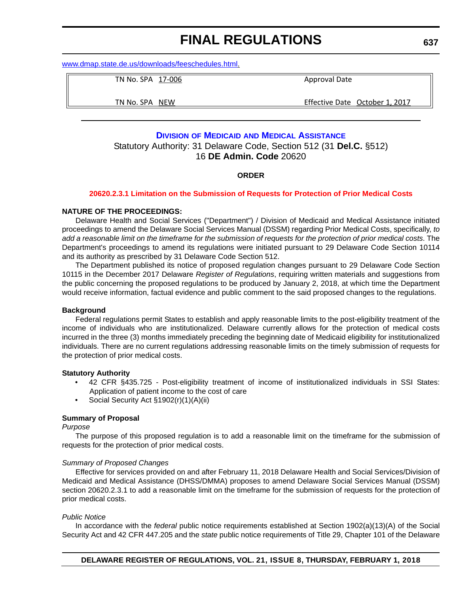<span id="page-44-0"></span>[www.dmap.state.de.us/downloads/feeschedules.html](http://www.dmap.state.de.us/downloads/feeschedules.html).

TN No. SPA 17‐006

Approval Date

TN No. SPA NEW

Effective Date October 1, 2017

#### **DIVISION OF MEDICAID [AND MEDICAL ASSISTANCE](http://www.dhss.delaware.gov/dhss/dmma/)**

Statutory Authority: 31 Delaware Code, Section 512 (31 **Del.C.** §512) 16 **DE Admin. Code** 20620

#### **ORDER**

#### **[20620.2.3.1 Limitation on the Submission of Requests for Protection of Prior Medical Costs](#page-3-0)**

#### **NATURE OF THE PROCEEDINGS:**

Delaware Health and Social Services ("Department") / Division of Medicaid and Medical Assistance initiated proceedings to amend the Delaware Social Services Manual (DSSM) regarding Prior Medical Costs, specifically, *to add a reasonable limit on the timeframe for the submission of requests for the protection of prior medical costs*. The Department's proceedings to amend its regulations were initiated pursuant to 29 Delaware Code Section 10114 and its authority as prescribed by 31 Delaware Code Section 512.

The Department published its notice of proposed regulation changes pursuant to 29 Delaware Code Section 10115 in the December 2017 Delaware *Register of Regulations*, requiring written materials and suggestions from the public concerning the proposed regulations to be produced by January 2, 2018, at which time the Department would receive information, factual evidence and public comment to the said proposed changes to the regulations.

#### **Background**

Federal regulations permit States to establish and apply reasonable limits to the post-eligibility treatment of the income of individuals who are institutionalized. Delaware currently allows for the protection of medical costs incurred in the three (3) months immediately preceding the beginning date of Medicaid eligibility for institutionalized individuals. There are no current regulations addressing reasonable limits on the timely submission of requests for the protection of prior medical costs.

#### **Statutory Authority**

- 42 CFR §435.725 Post-eligibility treatment of income of institutionalized individuals in SSI States: Application of patient income to the cost of care
- Social Security Act §1902(r)(1)(A)(ii)

#### **Summary of Proposal**

#### *Purpose*

The purpose of this proposed regulation is to add a reasonable limit on the timeframe for the submission of requests for the protection of prior medical costs.

#### *Summary of Proposed Changes*

Effective for services provided on and after February 11, 2018 Delaware Health and Social Services/Division of Medicaid and Medical Assistance (DHSS/DMMA) proposes to amend Delaware Social Services Manual (DSSM) section 20620.2.3.1 to add a reasonable limit on the timeframe for the submission of requests for the protection of prior medical costs.

#### *Public Notice*

In accordance with the *federal* public notice requirements established at Section 1902(a)(13)(A) of the Social Security Act and 42 CFR 447.205 and the *state* public notice requirements of Title 29, Chapter 101 of the Delaware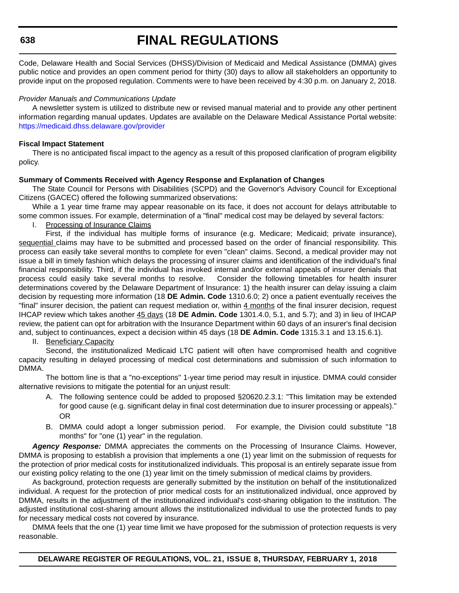# **FINAL REGULATIONS**

Code, Delaware Health and Social Services (DHSS)/Division of Medicaid and Medical Assistance (DMMA) gives public notice and provides an open comment period for thirty (30) days to allow all stakeholders an opportunity to provide input on the proposed regulation. Comments were to have been received by 4:30 p.m. on January 2, 2018.

#### *Provider Manuals and Communications Update*

A newsletter system is utilized to distribute new or revised manual material and to provide any other pertinent information regarding manual updates. Updates are available on the Delaware Medical Assistance Portal website: <https://medicaid.dhss.delaware.gov/provider>

#### **Fiscal Impact Statement**

There is no anticipated fiscal impact to the agency as a result of this proposed clarification of program eligibility policy.

#### **Summary of Comments Received with Agency Response and Explanation of Changes**

The State Council for Persons with Disabilities (SCPD) and the Governor's Advisory Council for Exceptional Citizens (GACEC) offered the following summarized observations:

While a 1 year time frame may appear reasonable on its face, it does not account for delays attributable to some common issues. For example, determination of a "final" medical cost may be delayed by several factors:

I. Processing of Insurance Claims

First, if the individual has multiple forms of insurance (e.g. Medicare; Medicaid; private insurance), sequential claims may have to be submitted and processed based on the order of financial responsibility. This process can easily take several months to complete for even "clean" claims. Second, a medical provider may not issue a bill in timely fashion which delays the processing of insurer claims and identification of the individual's final financial responsibility. Third, if the individual has invoked internal and/or external appeals of insurer denials that process could easily take several months to resolve. Consider the following timetables for health insurer determinations covered by the Delaware Department of Insurance: 1) the health insurer can delay issuing a claim decision by requesting more information (18 **DE Admin. Code** 1310.6.0; 2) once a patient eventually receives the "final" insurer decision, the patient can request mediation or, within 4 months of the final insurer decision, request IHCAP review which takes another 45 days (18 **DE Admin. Code** 1301.4.0, 5.1, and 5.7); and 3) in lieu of IHCAP review, the patient can opt for arbitration with the Insurance Department within 60 days of an insurer's final decision and, subject to continuances, expect a decision within 45 days (18 **DE Admin. Code** 1315.3.1 and 13.15.6.1).

II. Beneficiary Capacity

Second, the institutionalized Medicaid LTC patient will often have compromised health and cognitive capacity resulting in delayed processing of medical cost determinations and submission of such information to DMMA.

The bottom line is that a "no-exceptions" 1-year time period may result in injustice. DMMA could consider alternative revisions to mitigate the potential for an unjust result:

- A. The following sentence could be added to proposed §20620.2.3.1: "This limitation may be extended for good cause (e.g. significant delay in final cost determination due to insurer processing or appeals)." OR
- B. DMMA could adopt a longer submission period. For example, the Division could substitute "18 months" for "one (1) year" in the regulation.

*Agency Response:* DMMA appreciates the comments on the Processing of Insurance Claims. However, DMMA is proposing to establish a provision that implements a one (1) year limit on the submission of requests for the protection of prior medical costs for institutionalized individuals. This proposal is an entirely separate issue from our existing policy relating to the one (1) year limit on the timely submission of medical claims by providers.

As background, protection requests are generally submitted by the institution on behalf of the institutionalized individual. A request for the protection of prior medical costs for an institutionalized individual, once approved by DMMA, results in the adjustment of the institutionalized individual's cost-sharing obligation to the institution. The adjusted institutional cost-sharing amount allows the institutionalized individual to use the protected funds to pay for necessary medical costs not covered by insurance.

DMMA feels that the one (1) year time limit we have proposed for the submission of protection requests is very reasonable.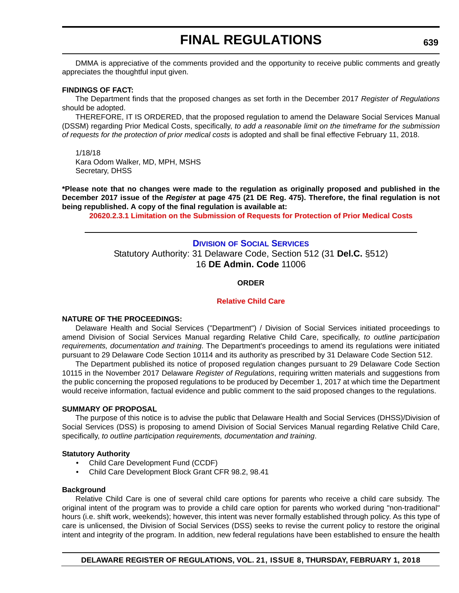<span id="page-46-0"></span>DMMA is appreciative of the comments provided and the opportunity to receive public comments and greatly appreciates the thoughtful input given.

#### **FINDINGS OF FACT:**

The Department finds that the proposed changes as set forth in the December 2017 *Register of Regulations* should be adopted.

THEREFORE, IT IS ORDERED, that the proposed regulation to amend the Delaware Social Services Manual (DSSM) regarding Prior Medical Costs, specifically, *to add a reasonable limit on the timeframe for the submission of requests for the protection of prior medical costs* is adopted and shall be final effective February 11, 2018.

1/18/18 Kara Odom Walker, MD, MPH, MSHS Secretary, DHSS

**\*Please note that no changes were made to the regulation as originally proposed and published in the December 2017 issue of the** *Register* **at page 475 (21 DE Reg. 475). Therefore, the final regulation is not being republished. A copy of the final regulation is available at:**

**[20620.2.3.1 Limitation on the Submission of Requests for Protection of Prior Medical Costs](http://regulations.delaware.gov/register/february2018/final/21 DE Reg 637 02-01-18.htm)** 

### **DIVISION [OF SOCIAL SERVICES](http://www.dhss.delaware.gov/dhss/dss/)** Statutory Authority: 31 Delaware Code, Section 512 (31 **Del.C.** §512) 16 **DE Admin. Code** 11006

#### **ORDER**

#### **[Relative Child Care](#page-4-0)**

#### **NATURE OF THE PROCEEDINGS:**

Delaware Health and Social Services ("Department") / Division of Social Services initiated proceedings to amend Division of Social Services Manual regarding Relative Child Care, specifically, *to outline participation requirements, documentation and training*. The Department's proceedings to amend its regulations were initiated pursuant to 29 Delaware Code Section 10114 and its authority as prescribed by 31 Delaware Code Section 512.

The Department published its notice of proposed regulation changes pursuant to 29 Delaware Code Section 10115 in the November 2017 Delaware *Register of Regulations*, requiring written materials and suggestions from the public concerning the proposed regulations to be produced by December 1, 2017 at which time the Department would receive information, factual evidence and public comment to the said proposed changes to the regulations.

#### **SUMMARY OF PROPOSAL**

The purpose of this notice is to advise the public that Delaware Health and Social Services (DHSS)/Division of Social Services (DSS) is proposing to amend Division of Social Services Manual regarding Relative Child Care, specifically, *to outline participation requirements, documentation and training*.

#### **Statutory Authority**

- Child Care Development Fund (CCDF)
- Child Care Development Block Grant CFR 98.2, 98.41

#### **Background**

Relative Child Care is one of several child care options for parents who receive a child care subsidy. The original intent of the program was to provide a child care option for parents who worked during "non-traditional" hours (i.e. shift work, weekends); however, this intent was never formally established through policy. As this type of care is unlicensed, the Division of Social Services (DSS) seeks to revise the current policy to restore the original intent and integrity of the program. In addition, new federal regulations have been established to ensure the health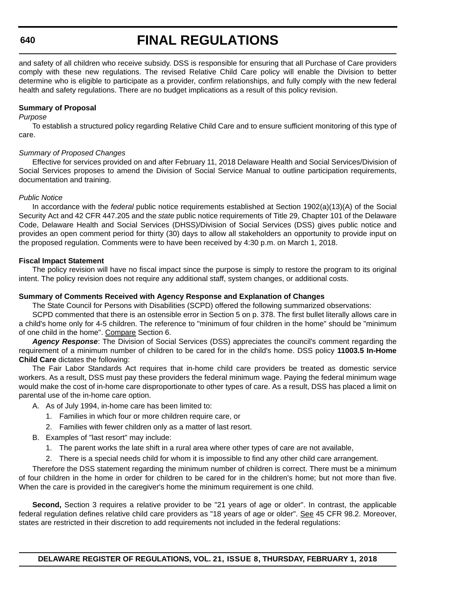# **FINAL REGULATIONS**

and safety of all children who receive subsidy. DSS is responsible for ensuring that all Purchase of Care providers comply with these new regulations. The revised Relative Child Care policy will enable the Division to better determine who is eligible to participate as a provider, confirm relationships, and fully comply with the new federal health and safety regulations. There are no budget implications as a result of this policy revision.

#### **Summary of Proposal**

#### *Purpose*

To establish a structured policy regarding Relative Child Care and to ensure sufficient monitoring of this type of care.

#### *Summary of Proposed Changes*

Effective for services provided on and after February 11, 2018 Delaware Health and Social Services/Division of Social Services proposes to amend the Division of Social Service Manual to outline participation requirements, documentation and training.

#### *Public Notice*

In accordance with the *federal* public notice requirements established at Section 1902(a)(13)(A) of the Social Security Act and 42 CFR 447.205 and the *state* public notice requirements of Title 29, Chapter 101 of the Delaware Code, Delaware Health and Social Services (DHSS)/Division of Social Services (DSS) gives public notice and provides an open comment period for thirty (30) days to allow all stakeholders an opportunity to provide input on the proposed regulation. Comments were to have been received by 4:30 p.m. on March 1, 2018.

#### **Fiscal Impact Statement**

The policy revision will have no fiscal impact since the purpose is simply to restore the program to its original intent. The policy revision does not require any additional staff, system changes, or additional costs.

#### **Summary of Comments Received with Agency Response and Explanation of Changes**

The State Council for Persons with Disabilities (SCPD) offered the following summarized observations:

SCPD commented that there is an ostensible error in Section 5 on p. 378. The first bullet literally allows care in a child's home only for 4-5 children. The reference to "minimum of four children in the home" should be "minimum of one child in the home". Compare Section 6.

*Agency Response*: The Division of Social Services (DSS) appreciates the council's comment regarding the requirement of a minimum number of children to be cared for in the child's home. DSS policy **11003.5 In-Home Child Care** dictates the following:

The Fair Labor Standards Act requires that in-home child care providers be treated as domestic service workers. As a result, DSS must pay these providers the federal minimum wage. Paying the federal minimum wage would make the cost of in-home care disproportionate to other types of care. As a result, DSS has placed a limit on parental use of the in-home care option.

- A. As of July 1994, in-home care has been limited to:
	- 1. Families in which four or more children require care, or
	- 2. Families with fewer children only as a matter of last resort.
- B. Examples of "last resort" may include:
	- 1. The parent works the late shift in a rural area where other types of care are not available,
	- 2. There is a special needs child for whom it is impossible to find any other child care arrangement.

Therefore the DSS statement regarding the minimum number of children is correct. There must be a minimum of four children in the home in order for children to be cared for in the children's home; but not more than five. When the care is provided in the caregiver's home the minimum requirement is one child.

**Second,** Section 3 requires a relative provider to be "21 years of age or older". In contrast, the applicable federal regulation defines relative child care providers as "18 years of age or older". See 45 CFR 98.2. Moreover, states are restricted in their discretion to add requirements not included in the federal regulations: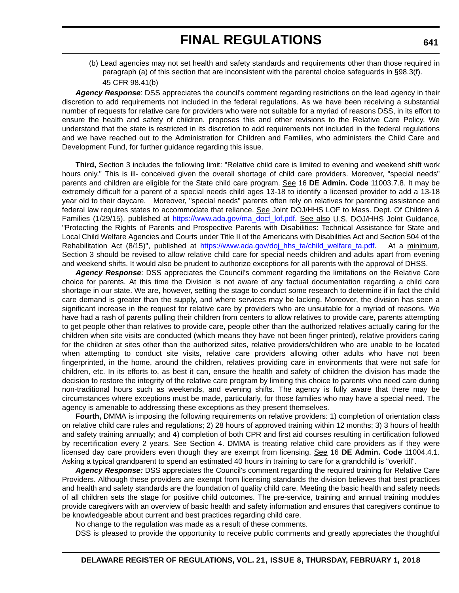(b) Lead agencies may not set health and safety standards and requirements other than those required in paragraph (a) of this section that are inconsistent with the parental choice safeguards in §98.3(f). 45 CFR 98.41(b)

*Agency Response*: DSS appreciates the council's comment regarding restrictions on the lead agency in their discretion to add requirements not included in the federal regulations. As we have been receiving a substantial number of requests for relative care for providers who were not suitable for a myriad of reasons DSS, in its effort to ensure the health and safety of children, proposes this and other revisions to the Relative Care Policy. We understand that the state is restricted in its discretion to add requirements not included in the federal regulations and we have reached out to the Administration for Children and Families, who administers the Child Care and Development Fund, for further guidance regarding this issue.

**Third,** Section 3 includes the following limit: "Relative child care is limited to evening and weekend shift work hours only." This is ill- conceived given the overall shortage of child care providers. Moreover, "special needs" parents and children are eligible for the State child care program. See 16 **DE Admin. Code** 11003.7.8. It may be extremely difficult for a parent of a special needs child ages 13-18 to identify a licensed provider to add a 13-18 year old to their daycare. Moreover, "special needs" parents often rely on relatives for parenting assistance and federal law requires states to accommodate that reliance. See Joint DOJ/HHS LOF to Mass. Dept. Of Children & Families (1/29/15), published at [https://www.ada.gov/ma\\_docf\\_lof.pdf](https://www.ada.gov/ma_docf_lof.pdf). See also U.S. DOJ/HHS Joint Guidance, "Protecting the Rights of Parents and Prospective Parents with Disabilities: Technical Assistance for State and Local Child Welfare Agencies and Courts under Title II of the Americans with Disabilities Act and Section 504 of the Rehabilitation Act (8/15)", published at [https://www.ada.gov/doj\\_hhs\\_ta/child\\_welfare\\_ta.pdf.](https://www.ada.gov/doj_hhs_ta/child_welfare_ta.pdf) At a minimum, Section 3 should be revised to allow relative child care for special needs children and adults apart from evening and weekend shifts. It would also be prudent to authorize exceptions for all parents with the approval of DHSS.

*Agency Response*: DSS appreciates the Council's comment regarding the limitations on the Relative Care choice for parents. At this time the Division is not aware of any factual documentation regarding a child care shortage in our state. We are, however, setting the stage to conduct some research to determine if in fact the child care demand is greater than the supply, and where services may be lacking. Moreover, the division has seen a significant increase in the request for relative care by providers who are unsuitable for a myriad of reasons. We have had a rash of parents pulling their children from centers to allow relatives to provide care, parents attempting to get people other than relatives to provide care, people other than the authorized relatives actually caring for the children when site visits are conducted (which means they have not been finger printed), relative providers caring for the children at sites other than the authorized sites, relative providers/children who are unable to be located when attempting to conduct site visits, relative care providers allowing other adults who have not been fingerprinted, in the home, around the children, relatives providing care in environments that were not safe for children, etc. In its efforts to, as best it can, ensure the health and safety of children the division has made the decision to restore the integrity of the relative care program by limiting this choice to parents who need care during non-traditional hours such as weekends, and evening shifts. The agency is fully aware that there may be circumstances where exceptions must be made, particularly, for those families who may have a special need. The agency is amenable to addressing these exceptions as they present themselves.

**Fourth,** DMMA is imposing the following requirements on relative providers: 1) completion of orientation class on relative child care rules and regulations; 2) 28 hours of approved training within 12 months; 3) 3 hours of health and safety training annually; and 4) completion of both CPR and first aid courses resulting in certification followed by recertification every 2 years. See Section 4. DMMA is treating relative child care providers as if they were licensed day care providers even though they are exempt from licensing. See 16 **DE Admin. Code** 11004.4.1. Asking a typical grandparent to spend an estimated 40 hours in training to care for a grandchild is "overkill".

*Agency Response:* DSS appreciates the Council's comment regarding the required training for Relative Care Providers. Although these providers are exempt from licensing standards the division believes that best practices and health and safety standards are the foundation of quality child care. Meeting the basic health and safety needs of all children sets the stage for positive child outcomes. The pre-service, training and annual training modules provide caregivers with an overview of basic health and safety information and ensures that caregivers continue to be knowledgeable about current and best practices regarding child care.

No change to the regulation was made as a result of these comments.

DSS is pleased to provide the opportunity to receive public comments and greatly appreciates the thoughtful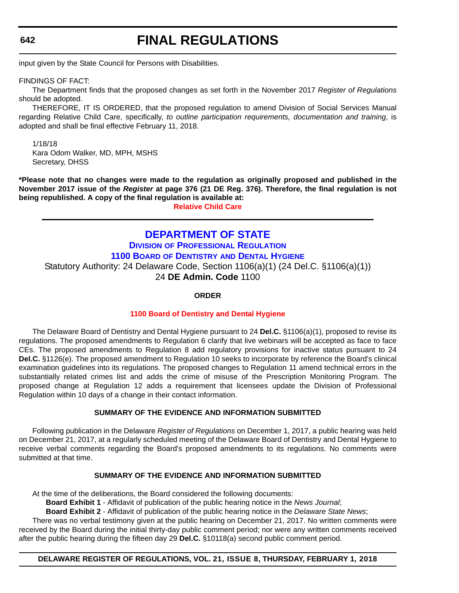# **FINAL REGULATIONS**

<span id="page-49-0"></span>input given by the State Council for Persons with Disabilities.

FINDINGS OF FACT:

The Department finds that the proposed changes as set forth in the November 2017 *Register of Regulations* should be adopted.

THEREFORE, IT IS ORDERED, that the proposed regulation to amend Division of Social Services Manual regarding Relative Child Care, specifically, *to outline participation requirements, documentation and training*, is adopted and shall be final effective February 11, 2018.

1/18/18 Kara Odom Walker, MD, MPH, MSHS Secretary, DHSS

**\*Please note that no changes were made to the regulation as originally proposed and published in the November 2017 issue of the** *Register* **at page 376 (21 DE Reg. 376). Therefore, the final regulation is not being republished. A copy of the final regulation is available at:**

**[Relative Child Care](http://regulations.delaware.gov/register/february2018/final/21 DE Reg 639 02-01-18.htm)** 

### **[DEPARTMENT OF STATE](https://dpr.delaware.gov/)**

**DIVISION [OF PROFESSIONAL REGULATION](https://dpr.delaware.gov/) 1100 BOARD OF DENTISTRY [AND DENTAL HYGIENE](https://dpr.delaware.gov/boards/dental/)** Statutory Authority: 24 Delaware Code, Section 1106(a)(1) (24 Del.C. §1106(a)(1)) 24 **DE Admin. Code** 1100

#### **ORDER**

#### **[1100 Board of Dentistry and Dental Hygiene](#page-4-0)**

The Delaware Board of Dentistry and Dental Hygiene pursuant to 24 **Del.C.** §1106(a)(1), proposed to revise its regulations. The proposed amendments to Regulation 6 clarify that live webinars will be accepted as face to face CEs. The proposed amendments to Regulation 8 add regulatory provisions for inactive status pursuant to 24 **Del.C.** §1126(e). The proposed amendment to Regulation 10 seeks to incorporate by reference the Board's clinical examination guidelines into its regulations. The proposed changes to Regulation 11 amend technical errors in the substantially related crimes list and adds the crime of misuse of the Prescription Monitoring Program. The proposed change at Regulation 12 adds a requirement that licensees update the Division of Professional Regulation within 10 days of a change in their contact information.

#### **SUMMARY OF THE EVIDENCE AND INFORMATION SUBMITTED**

Following publication in the Delaware *Register of Regulations* on December 1, 2017, a public hearing was held on December 21, 2017, at a regularly scheduled meeting of the Delaware Board of Dentistry and Dental Hygiene to receive verbal comments regarding the Board's proposed amendments to its regulations. No comments were submitted at that time.

#### **SUMMARY OF THE EVIDENCE AND INFORMATION SUBMITTED**

At the time of the deliberations, the Board considered the following documents:

**Board Exhibit 1** - Affidavit of publication of the public hearing notice in the *News Journal*;

**Board Exhibit 2** - Affidavit of publication of the public hearing notice in the *Delaware State News*;

There was no verbal testimony given at the public hearing on December 21, 2017. No written comments were received by the Board during the initial thirty-day public comment period; nor were any written comments received after the public hearing during the fifteen day 29 **Del.C.** §10118(a) second public comment period.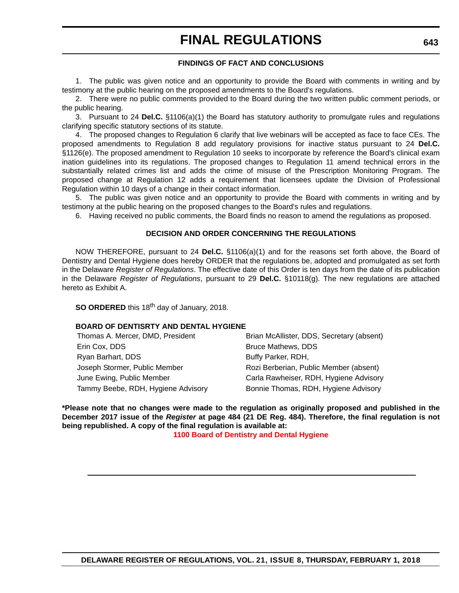#### **FINDINGS OF FACT AND CONCLUSIONS**

1. The public was given notice and an opportunity to provide the Board with comments in writing and by testimony at the public hearing on the proposed amendments to the Board's regulations.

2. There were no public comments provided to the Board during the two written public comment periods, or the public hearing.

3. Pursuant to 24 **Del.C.** §1106(a)(1) the Board has statutory authority to promulgate rules and regulations clarifying specific statutory sections of its statute.

4. The proposed changes to Regulation 6 clarify that live webinars will be accepted as face to face CEs. The proposed amendments to Regulation 8 add regulatory provisions for inactive status pursuant to 24 **Del.C.** §1126(e). The proposed amendment to Regulation 10 seeks to incorporate by reference the Board's clinical exam ination guidelines into its regulations. The proposed changes to Regulation 11 amend technical errors in the substantially related crimes list and adds the crime of misuse of the Prescription Monitoring Program. The proposed change at Regulation 12 adds a requirement that licensees update the Division of Professional Regulation within 10 days of a change in their contact information.

5. The public was given notice and an opportunity to provide the Board with comments in writing and by testimony at the public hearing on the proposed changes to the Board's rules and regulations.

6. Having received no public comments, the Board finds no reason to amend the regulations as proposed.

#### **DECISION AND ORDER CONCERNING THE REGULATIONS**

NOW THEREFORE, pursuant to 24 **Del.C.** §1106(a)(1) and for the reasons set forth above, the Board of Dentistry and Dental Hygiene does hereby ORDER that the regulations be, adopted and promulgated as set forth in the Delaware *Register of Regulations*. The effective date of this Order is ten days from the date of its publication in the Delaware *Register of Regulations*, pursuant to 29 **Del.C.** §10118(g). The new regulations are attached hereto as Exhibit A.

**SO ORDERED** this 18<sup>th</sup> day of January, 2018.

#### **BOARD OF DENTISRTY AND DENTAL HYGIENE**

| Thomas A. Mercer, DMD, President   | Brian McAllister, DDS, Secretary (absent) |
|------------------------------------|-------------------------------------------|
| Erin Cox, DDS                      | <b>Bruce Mathews, DDS</b>                 |
| Ryan Barhart, DDS                  | Buffy Parker, RDH,                        |
| Joseph Stormer, Public Member      | Rozi Berberian, Public Member (absent)    |
| June Ewing, Public Member          | Carla Rawheiser, RDH, Hygiene Advisory    |
| Tammy Beebe, RDH, Hygiene Advisory | Bonnie Thomas, RDH, Hygiene Advisory      |

**\*Please note that no changes were made to the regulation as originally proposed and published in the December 2017 issue of the** *Register* **at page 484 (21 DE Reg. 484). Therefore, the final regulation is not being republished. A copy of the final regulation is available at:**

**[1100 Board of Dentistry and Dental Hygiene](http://regulations.delaware.gov/register/february2018/final/21 DE Reg 642 02-01-18.htm)**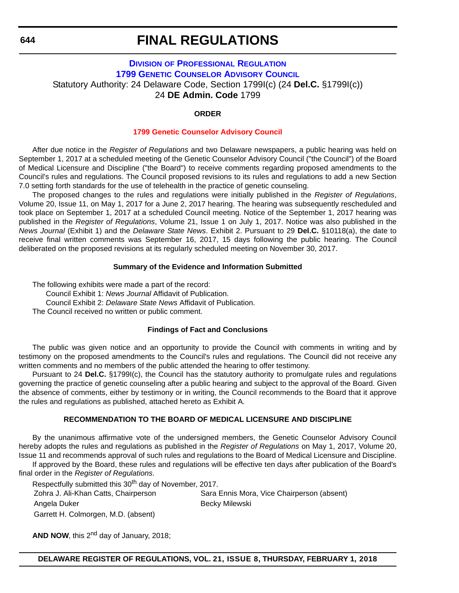### <span id="page-51-0"></span>**DIVISION [OF PROFESSIONAL REGULATION](https://dpr.delaware.gov/) [1799 GENETIC COUNSELOR ADVISORY COUNCIL](https://dpr.delaware.gov/boards/medicalpractice/)** Statutory Authority: 24 Delaware Code, Section 1799I(c) (24 **Del.C.** §1799I(c)) 24 **DE Admin. Code** 1799

#### **ORDER**

#### **[1799 Genetic Counselor Advisory Council](#page-4-0)**

After due notice in the *Register of Regulations* and two Delaware newspapers, a public hearing was held on September 1, 2017 at a scheduled meeting of the Genetic Counselor Advisory Council ("the Council") of the Board of Medical Licensure and Discipline ("the Board") to receive comments regarding proposed amendments to the Council's rules and regulations. The Council proposed revisions to its rules and regulations to add a new Section 7.0 setting forth standards for the use of telehealth in the practice of genetic counseling.

The proposed changes to the rules and regulations were initially published in the *Register of Regulations*, Volume 20, Issue 11, on May 1, 2017 for a June 2, 2017 hearing. The hearing was subsequently rescheduled and took place on September 1, 2017 at a scheduled Council meeting. Notice of the September 1, 2017 hearing was published in the *Register of Regulations*, Volume 21, Issue 1 on July 1, 2017. Notice was also published in the *News Journal* (Exhibit 1) and the *Delaware State News*. Exhibit 2. Pursuant to 29 **Del.C.** §10118(a), the date to receive final written comments was September 16, 2017, 15 days following the public hearing. The Council deliberated on the proposed revisions at its regularly scheduled meeting on November 30, 2017.

#### **Summary of the Evidence and Information Submitted**

The following exhibits were made a part of the record: Council Exhibit 1: *News Journal* Affidavit of Publication. Council Exhibit 2: *Delaware State News* Affidavit of Publication. The Council received no written or public comment.

#### **Findings of Fact and Conclusions**

The public was given notice and an opportunity to provide the Council with comments in writing and by testimony on the proposed amendments to the Council's rules and regulations. The Council did not receive any written comments and no members of the public attended the hearing to offer testimony.

Pursuant to 24 **Del.C.** §1799I(c), the Council has the statutory authority to promulgate rules and regulations governing the practice of genetic counseling after a public hearing and subject to the approval of the Board. Given the absence of comments, either by testimony or in writing, the Council recommends to the Board that it approve the rules and regulations as published, attached hereto as Exhibit A.

#### **RECOMMENDATION TO THE BOARD OF MEDICAL LICENSURE AND DISCIPLINE**

By the unanimous affirmative vote of the undersigned members, the Genetic Counselor Advisory Council hereby adopts the rules and regulations as published in the *Register of Regulations* on May 1, 2017, Volume 20, Issue 11 and recommends approval of such rules and regulations to the Board of Medical Licensure and Discipline. If approved by the Board, these rules and regulations will be effective ten days after publication of the Board's

final order in the *Register of Regulations*.

Respectfully submitted this 30<sup>th</sup> day of November, 2017.

Garrett H. Colmorgen, M.D. (absent)

Zohra J. Ali-Khan Catts, Chairperson Sara Ennis Mora, Vice Chairperson (absent) Angela Duker **Becky Milewski** 

AND NOW, this 2<sup>nd</sup> day of January, 2018;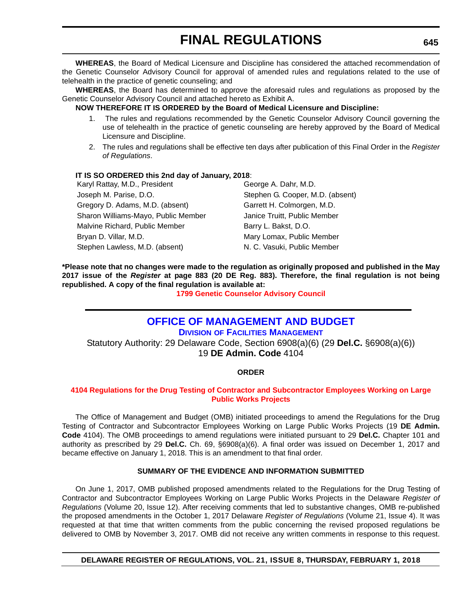<span id="page-52-0"></span>**WHEREAS**, the Board of Medical Licensure and Discipline has considered the attached recommendation of the Genetic Counselor Advisory Council for approval of amended rules and regulations related to the use of telehealth in the practice of genetic counseling; and

**WHEREAS**, the Board has determined to approve the aforesaid rules and regulations as proposed by the Genetic Counselor Advisory Council and attached hereto as Exhibit A.

#### **NOW THEREFORE IT IS ORDERED by the Board of Medical Licensure and Discipline:**

- 1. The rules and regulations recommended by the Genetic Counselor Advisory Council governing the use of telehealth in the practice of genetic counseling are hereby approved by the Board of Medical Licensure and Discipline.
- 2. The rules and regulations shall be effective ten days after publication of this Final Order in the *Register of Regulations*.

#### **IT IS SO ORDERED this 2nd day of January, 2018**:

| Karyl Rattay, M.D., President       | George A. Dahr, M.D.             |  |
|-------------------------------------|----------------------------------|--|
| Joseph M. Parise, D.O.              | Stephen G. Cooper, M.D. (absent) |  |
| Gregory D. Adams, M.D. (absent)     | Garrett H. Colmorgen, M.D.       |  |
| Sharon Williams-Mayo, Public Member | Janice Truitt, Public Member     |  |
| Malvine Richard, Public Member      | Barry L. Bakst, D.O.             |  |
| Bryan D. Villar, M.D.               | Mary Lomax, Public Member        |  |
| Stephen Lawless, M.D. (absent)      | N. C. Vasuki, Public Member      |  |

**\*Please note that no changes were made to the regulation as originally proposed and published in the May 2017 issue of the** *Register* **at page 883 (20 DE Reg. 883). Therefore, the final regulation is not being republished. A copy of the final regulation is available at:**

**[1799 Genetic Counselor Advisory Council](http://regulations.delaware.gov/register/february2018/final/21 DE Reg 644 02-01-18.htm)** 

### **[OFFICE OF MANAGEMENT AND BUDGET](https://dfm.delaware.gov/)**

**DIVISION [OF FACILITIES MANAGEMENT](https://dfm.delaware.gov/)**

Statutory Authority: 29 Delaware Code, Section 6908(a)(6) (29 **Del.C.** §6908(a)(6)) 19 **DE Admin. Code** 4104

#### **ORDER**

#### **[4104 Regulations for the Drug Testing of Contractor and Subcontractor Employees Working on Large](#page-4-0)  Public Works Projects**

The Office of Management and Budget (OMB) initiated proceedings to amend the Regulations for the Drug Testing of Contractor and Subcontractor Employees Working on Large Public Works Projects (19 **DE Admin. Code** 4104). The OMB proceedings to amend regulations were initiated pursuant to 29 **Del.C.** Chapter 101 and authority as prescribed by 29 **Del.C.** Ch. 69, §6908(a)(6). A final order was issued on December 1, 2017 and became effective on January 1, 2018. This is an amendment to that final order.

#### **SUMMARY OF THE EVIDENCE AND INFORMATION SUBMITTED**

On June 1, 2017, OMB published proposed amendments related to the Regulations for the Drug Testing of Contractor and Subcontractor Employees Working on Large Public Works Projects in the Delaware *Register of Regulations* (Volume 20, Issue 12). After receiving comments that led to substantive changes, OMB re-published the proposed amendments in the October 1, 2017 Delaware *Register of Regulations* (Volume 21, Issue 4). It was requested at that time that written comments from the public concerning the revised proposed regulations be delivered to OMB by November 3, 2017. OMB did not receive any written comments in response to this request.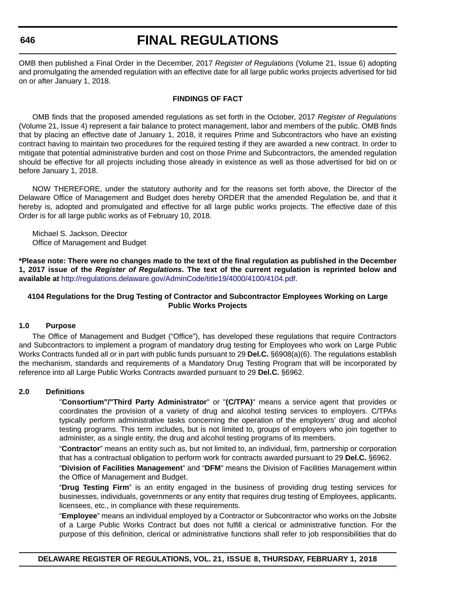### **FINAL REGULATIONS**

OMB then published a Final Order in the December, 2017 *Register of Regulations* (Volume 21, Issue 6) adopting and promulgating the amended regulation with an effective date for all large public works projects advertised for bid on or after January 1, 2018.

#### **FINDINGS OF FACT**

OMB finds that the proposed amended regulations as set forth in the October, 2017 *Register of Regulations* (Volume 21, Issue 4) represent a fair balance to protect management, labor and members of the public. OMB finds that by placing an effective date of January 1, 2018, it requires Prime and Subcontractors who have an existing contract having to maintain two procedures for the required testing if they are awarded a new contract. In order to mitigate that potential administrative burden and cost on those Prime and Subcontractors, the amended regulation should be effective for all projects including those already in existence as well as those advertised for bid on or before January 1, 2018.

NOW THEREFORE, under the statutory authority and for the reasons set forth above, the Director of the Delaware Office of Management and Budget does hereby ORDER that the amended Regulation be, and that it hereby is, adopted and promulgated and effective for all large public works projects. The effective date of this Order is for all large public works as of February 10, 2018.

Michael S. Jackson, Director Office of Management and Budget

**\*Please note: There were no changes made to the text of the final regulation as published in the December 1, 2017 issue of the** *Register of Regulations***. The text of the current regulation is reprinted below and available at** [h](http://regulations.delaware.gov/AdminCode/title19/4000/4100/4104.pdf)[ttp://regulations.delaware.gov/AdminCode/title19/4000/4100/4104.pd](http://regulations.delaware.gov/AdminCode/title19/4000/4100/4104.pdf )[f.](http://regulations.delaware.gov/AdminCode/title19/4000/4100/4104.pdf)

#### **4104 Regulations for the Drug Testing of Contractor and Subcontractor Employees Working on Large Public Works Projects**

#### **1.0 Purpose**

The Office of Management and Budget ("Office"), has developed these regulations that require Contractors and Subcontractors to implement a program of mandatory drug testing for Employees who work on Large Public Works Contracts funded all or in part with public funds pursuant to 29 **Del.C.** §6908(a)(6). The regulations establish the mechanism, standards and requirements of a Mandatory Drug Testing Program that will be incorporated by reference into all Large Public Works Contracts awarded pursuant to 29 **Del.C.** §6962.

#### **2.0 Definitions**

"**Consortium"/"Third Party Administrator**" or "**(C/TPA)**" means a service agent that provides or coordinates the provision of a variety of drug and alcohol testing services to employers. C/TPAs typically perform administrative tasks concerning the operation of the employers' drug and alcohol testing programs. This term includes, but is not limited to, groups of employers who join together to administer, as a single entity, the drug and alcohol testing programs of its members.

"**Contractor**" means an entity such as, but not limited to, an individual, firm, partnership or corporation that has a contractual obligation to perform work for contracts awarded pursuant to 29 **Del.C.** §6962.

"**Division of Facilities Management**" and "**DFM**" means the Division of Facilities Management within the Office of Management and Budget.

"**Drug Testing Firm**" is an entity engaged in the business of providing drug testing services for businesses, individuals, governments or any entity that requires drug testing of Employees, applicants, licensees, etc., in compliance with these requirements.

"**Employee**" means an individual employed by a Contractor or Subcontractor who works on the Jobsite of a Large Public Works Contract but does not fulfill a clerical or administrative function. For the purpose of this definition, clerical or administrative functions shall refer to job responsibilities that do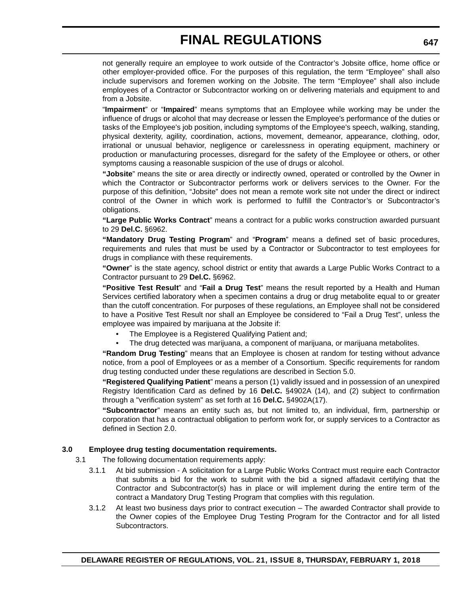not generally require an employee to work outside of the Contractor's Jobsite office, home office or other employer-provided office. For the purposes of this regulation, the term "Employee" shall also include supervisors and foremen working on the Jobsite. The term "Employee" shall also include employees of a Contractor or Subcontractor working on or delivering materials and equipment to and from a Jobsite.

"**Impairment**" or "**Impaired**" means symptoms that an Employee while working may be under the influence of drugs or alcohol that may decrease or lessen the Employee's performance of the duties or tasks of the Employee's job position, including symptoms of the Employee's speech, walking, standing, physical dexterity, agility, coordination, actions, movement, demeanor, appearance, clothing, odor, irrational or unusual behavior, negligence or carelessness in operating equipment, machinery or production or manufacturing processes, disregard for the safety of the Employee or others, or other symptoms causing a reasonable suspicion of the use of drugs or alcohol.

**"Jobsite**" means the site or area directly or indirectly owned, operated or controlled by the Owner in which the Contractor or Subcontractor performs work or delivers services to the Owner. For the purpose of this definition, "Jobsite" does not mean a remote work site not under the direct or indirect control of the Owner in which work is performed to fulfill the Contractor's or Subcontractor's obligations.

**"Large Public Works Contract**" means a contract for a public works construction awarded pursuant to 29 **Del.C.** §6962.

**"Mandatory Drug Testing Program**" and "**Program**" means a defined set of basic procedures, requirements and rules that must be used by a Contractor or Subcontractor to test employees for drugs in compliance with these requirements.

**"Owner**" is the state agency, school district or entity that awards a Large Public Works Contract to a Contractor pursuant to 29 **Del.C.** §6962.

**"Positive Test Result**" and "**Fail a Drug Test**" means the result reported by a Health and Human Services certified laboratory when a specimen contains a drug or drug metabolite equal to or greater than the cutoff concentration. For purposes of these regulations, an Employee shall not be considered to have a Positive Test Result nor shall an Employee be considered to "Fail a Drug Test", unless the employee was impaired by marijuana at the Jobsite if:

- The Employee is a Registered Qualifying Patient and;
- The drug detected was marijuana, a component of marijuana, or marijuana metabolites.

**"Random Drug Testing**" means that an Employee is chosen at random for testing without advance notice, from a pool of Employees or as a member of a Consortium. Specific requirements for random drug testing conducted under these regulations are described in Section 5.0.

**"Registered Qualifying Patient**" means a person (1) validly issued and in possession of an unexpired Registry Identification Card as defined by 16 **Del.C.** §4902A (14), and (2) subject to confirmation through a "verification system" as set forth at 16 **Del.C.** §4902A(17).

**"Subcontractor**" means an entity such as, but not limited to, an individual, firm, partnership or corporation that has a contractual obligation to perform work for, or supply services to a Contractor as defined in Section 2.0.

#### **3.0 Employee drug testing documentation requirements.**

- 3.1 The following documentation requirements apply:
	- 3.1.1 At bid submission A solicitation for a Large Public Works Contract must require each Contractor that submits a bid for the work to submit with the bid a signed affadavit certifying that the Contractor and Subcontractor(s) has in place or will implement during the entire term of the contract a Mandatory Drug Testing Program that complies with this regulation.
	- 3.1.2 At least two business days prior to contract execution The awarded Contractor shall provide to the Owner copies of the Employee Drug Testing Program for the Contractor and for all listed Subcontractors.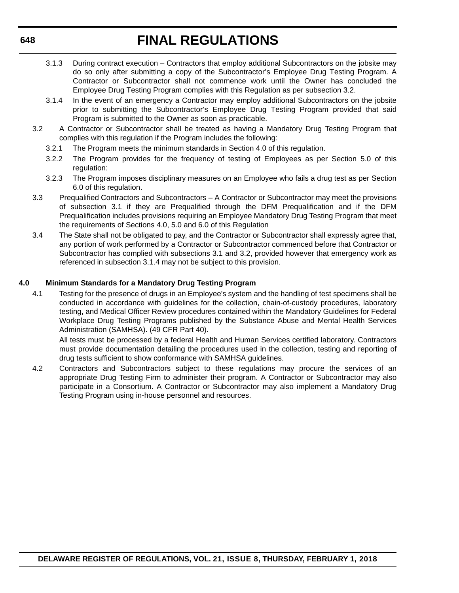- 3.1.3 During contract execution Contractors that employ additional Subcontractors on the jobsite may do so only after submitting a copy of the Subcontractor's Employee Drug Testing Program. A Contractor or Subcontractor shall not commence work until the Owner has concluded the Employee Drug Testing Program complies with this Regulation as per subsection 3.2.
- 3.1.4 In the event of an emergency a Contractor may employ additional Subcontractors on the jobsite prior to submitting the Subcontractor's Employee Drug Testing Program provided that said Program is submitted to the Owner as soon as practicable.
- 3.2 A Contractor or Subcontractor shall be treated as having a Mandatory Drug Testing Program that complies with this regulation if the Program includes the following:
	- 3.2.1 The Program meets the minimum standards in Section 4.0 of this regulation.
	- 3.2.2 The Program provides for the frequency of testing of Employees as per Section 5.0 of this regulation:
	- 3.2.3 The Program imposes disciplinary measures on an Employee who fails a drug test as per Section 6.0 of this regulation.
- 3.3 Prequalified Contractors and Subcontractors A Contractor or Subcontractor may meet the provisions of subsection 3.1 if they are Prequalified through the DFM Prequalification and if the DFM Prequalification includes provisions requiring an Employee Mandatory Drug Testing Program that meet the requirements of Sections 4.0, 5.0 and 6.0 of this Regulation
- 3.4 The State shall not be obligated to pay, and the Contractor or Subcontractor shall expressly agree that, any portion of work performed by a Contractor or Subcontractor commenced before that Contractor or Subcontractor has complied with subsections 3.1 and 3.2, provided however that emergency work as referenced in subsection 3.1.4 may not be subject to this provision.

#### **4.0 Minimum Standards for a Mandatory Drug Testing Program**

4.1 Testing for the presence of drugs in an Employee's system and the handling of test specimens shall be conducted in accordance with guidelines for the collection, chain-of-custody procedures, laboratory testing, and Medical Officer Review procedures contained within the Mandatory Guidelines for Federal Workplace Drug Testing Programs published by the Substance Abuse and Mental Health Services Administration (SAMHSA). (49 CFR Part 40).

All tests must be processed by a federal Health and Human Services certified laboratory. Contractors must provide documentation detailing the procedures used in the collection, testing and reporting of drug tests sufficient to show conformance with SAMHSA guidelines.

4.2 Contractors and Subcontractors subject to these regulations may procure the services of an appropriate Drug Testing Firm to administer their program. A Contractor or Subcontractor may also participate in a Consortium. A Contractor or Subcontractor may also implement a Mandatory Drug Testing Program using in-house personnel and resources.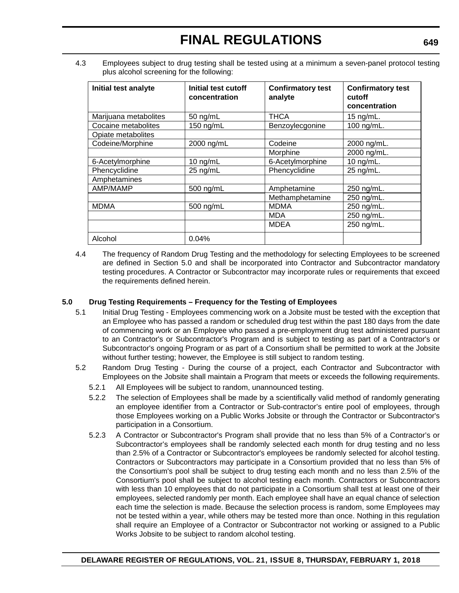4.3 Employees subject to drug testing shall be tested using at a minimum a seven-panel protocol testing plus alcohol screening for the following:

| Initial test analyte  | Initial test cutoff<br>concentration | <b>Confirmatory test</b><br>analyte | <b>Confirmatory test</b><br>cutoff<br>concentration |
|-----------------------|--------------------------------------|-------------------------------------|-----------------------------------------------------|
| Marijuana metabolites | 50 ng/mL                             | <b>THCA</b>                         | 15 $nq/mL$ .                                        |
| Cocaine metabolites   | 150 ng/mL                            | Benzoylecgonine                     | 100 ng/mL.                                          |
| Opiate metabolites    |                                      |                                     |                                                     |
| Codeine/Morphine      | 2000 ng/mL                           | Codeine                             | 2000 ng/mL.                                         |
|                       |                                      | Morphine                            | 2000 ng/mL.                                         |
| 6-Acetylmorphine      | 10 $ng/mL$                           | 6-Acetylmorphine                    | 10 $ng/mL$ .                                        |
| Phencyclidine         | 25 ng/mL                             | Phencyclidine                       | 25 ng/mL.                                           |
| Amphetamines          |                                      |                                     |                                                     |
| AMP/MAMP              | 500 ng/mL                            | Amphetamine                         | 250 ng/mL.                                          |
|                       |                                      | Methamphetamine                     | 250 ng/mL.                                          |
| <b>MDMA</b>           | 500 ng/mL                            | <b>MDMA</b>                         | 250 ng/mL.                                          |
|                       |                                      | <b>MDA</b>                          | 250 ng/mL.                                          |
|                       |                                      | <b>MDEA</b>                         | 250 ng/mL.                                          |
| Alcohol               | 0.04%                                |                                     |                                                     |

4.4 The frequency of Random Drug Testing and the methodology for selecting Employees to be screened are defined in Section 5.0 and shall be incorporated into Contractor and Subcontractor mandatory testing procedures. A Contractor or Subcontractor may incorporate rules or requirements that exceed the requirements defined herein.

#### **5.0 Drug Testing Requirements – Frequency for the Testing of Employees**

- 5.1 Initial Drug Testing Employees commencing work on a Jobsite must be tested with the exception that an Employee who has passed a random or scheduled drug test within the past 180 days from the date of commencing work or an Employee who passed a pre-employment drug test administered pursuant to an Contractor's or Subcontractor's Program and is subject to testing as part of a Contractor's or Subcontractor's ongoing Program or as part of a Consortium shall be permitted to work at the Jobsite without further testing; however, the Employee is still subject to random testing.
- 5.2 Random Drug Testing During the course of a project, each Contractor and Subcontractor with Employees on the Jobsite shall maintain a Program that meets or exceeds the following requirements.
	- 5.2.1 All Employees will be subject to random, unannounced testing.
	- 5.2.2 The selection of Employees shall be made by a scientifically valid method of randomly generating an employee identifier from a Contractor or Sub-contractor's entire pool of employees, through those Employees working on a Public Works Jobsite or through the Contractor or Subcontractor's participation in a Consortium.
	- 5.2.3 A Contractor or Subcontractor's Program shall provide that no less than 5% of a Contractor's or Subcontractor's employees shall be randomly selected each month for drug testing and no less than 2.5% of a Contractor or Subcontractor's employees be randomly selected for alcohol testing. Contractors or Subcontractors may participate in a Consortium provided that no less than 5% of the Consortium's pool shall be subject to drug testing each month and no less than 2.5% of the Consortium's pool shall be subject to alcohol testing each month. Contractors or Subcontractors with less than 10 employees that do not participate in a Consortium shall test at least one of their employees, selected randomly per month. Each employee shall have an equal chance of selection each time the selection is made. Because the selection process is random, some Employees may not be tested within a year, while others may be tested more than once. Nothing in this regulation shall require an Employee of a Contractor or Subcontractor not working or assigned to a Public Works Jobsite to be subject to random alcohol testing.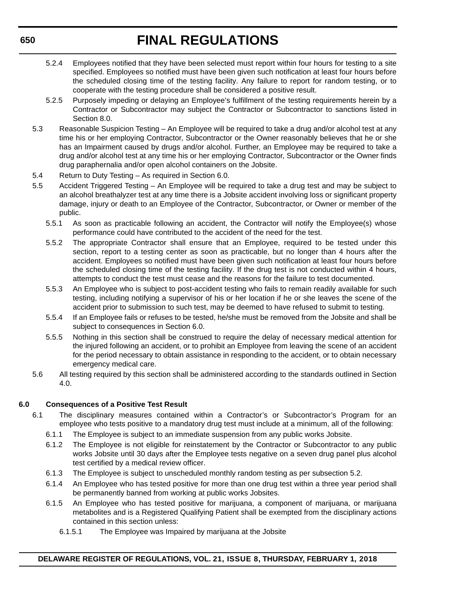- 5.2.4 Employees notified that they have been selected must report within four hours for testing to a site specified. Employees so notified must have been given such notification at least four hours before the scheduled closing time of the testing facility. Any failure to report for random testing, or to cooperate with the testing procedure shall be considered a positive result.
- 5.2.5 Purposely impeding or delaying an Employee's fulfillment of the testing requirements herein by a Contractor or Subcontractor may subject the Contractor or Subcontractor to sanctions listed in Section 8.0.
- 5.3 Reasonable Suspicion Testing An Employee will be required to take a drug and/or alcohol test at any time his or her employing Contractor, Subcontractor or the Owner reasonably believes that he or she has an Impairment caused by drugs and/or alcohol. Further, an Employee may be required to take a drug and/or alcohol test at any time his or her employing Contractor, Subcontractor or the Owner finds drug paraphernalia and/or open alcohol containers on the Jobsite.
- 5.4 Return to Duty Testing As required in Section 6.0.
- 5.5 Accident Triggered Testing An Employee will be required to take a drug test and may be subject to an alcohol breathalyzer test at any time there is a Jobsite accident involving loss or significant property damage, injury or death to an Employee of the Contractor, Subcontractor, or Owner or member of the public.
	- 5.5.1 As soon as practicable following an accident, the Contractor will notify the Employee(s) whose performance could have contributed to the accident of the need for the test.
	- 5.5.2 The appropriate Contractor shall ensure that an Employee, required to be tested under this section, report to a testing center as soon as practicable, but no longer than 4 hours after the accident. Employees so notified must have been given such notification at least four hours before the scheduled closing time of the testing facility. If the drug test is not conducted within 4 hours, attempts to conduct the test must cease and the reasons for the failure to test documented.
	- 5.5.3 An Employee who is subject to post-accident testing who fails to remain readily available for such testing, including notifying a supervisor of his or her location if he or she leaves the scene of the accident prior to submission to such test, may be deemed to have refused to submit to testing.
	- 5.5.4 If an Employee fails or refuses to be tested, he/she must be removed from the Jobsite and shall be subject to consequences in Section 6.0.
	- 5.5.5 Nothing in this section shall be construed to require the delay of necessary medical attention for the injured following an accident, or to prohibit an Employee from leaving the scene of an accident for the period necessary to obtain assistance in responding to the accident, or to obtain necessary emergency medical care.
- 5.6 All testing required by this section shall be administered according to the standards outlined in Section 4.0.

#### **6.0 Consequences of a Positive Test Result**

- 6.1 The disciplinary measures contained within a Contractor's or Subcontractor's Program for an employee who tests positive to a mandatory drug test must include at a minimum, all of the following:
	- 6.1.1 The Employee is subject to an immediate suspension from any public works Jobsite.
	- 6.1.2 The Employee is not eligible for reinstatement by the Contractor or Subcontractor to any public works Jobsite until 30 days after the Employee tests negative on a seven drug panel plus alcohol test certified by a medical review officer.
	- 6.1.3 The Employee is subject to unscheduled monthly random testing as per subsection 5.2.
	- 6.1.4 An Employee who has tested positive for more than one drug test within a three year period shall be permanently banned from working at public works Jobsites.
	- 6.1.5 An Employee who has tested positive for marijuana, a component of marijuana, or marijuana metabolites and is a Registered Qualifying Patient shall be exempted from the disciplinary actions contained in this section unless:
		- 6.1.5.1 The Employee was Impaired by marijuana at the Jobsite

#### **DELAWARE REGISTER OF REGULATIONS, VOL. 21, ISSUE 8, THURSDAY, FEBRUARY 1, 2018**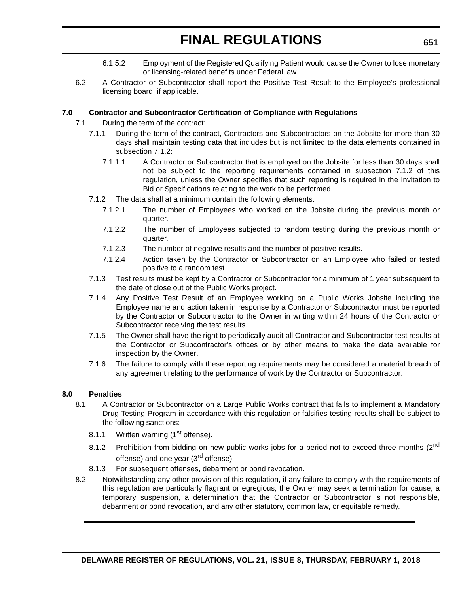- 6.1.5.2 Employment of the Registered Qualifying Patient would cause the Owner to lose monetary or licensing-related benefits under Federal law.
- 6.2 A Contractor or Subcontractor shall report the Positive Test Result to the Employee's professional licensing board, if applicable.

#### **7.0 Contractor and Subcontractor Certification of Compliance with Regulations**

- 7.1 During the term of the contract:
	- 7.1.1 During the term of the contract, Contractors and Subcontractors on the Jobsite for more than 30 days shall maintain testing data that includes but is not limited to the data elements contained in subsection 7.1.2:
		- 7.1.1.1 A Contractor or Subcontractor that is employed on the Jobsite for less than 30 days shall not be subject to the reporting requirements contained in subsection 7.1.2 of this regulation, unless the Owner specifies that such reporting is required in the Invitation to Bid or Specifications relating to the work to be performed.
	- 7.1.2 The data shall at a minimum contain the following elements:
		- 7.1.2.1 The number of Employees who worked on the Jobsite during the previous month or quarter.
		- 7.1.2.2 The number of Employees subjected to random testing during the previous month or quarter.
		- 7.1.2.3 The number of negative results and the number of positive results.
		- 7.1.2.4 Action taken by the Contractor or Subcontractor on an Employee who failed or tested positive to a random test.
	- 7.1.3 Test results must be kept by a Contractor or Subcontractor for a minimum of 1 year subsequent to the date of close out of the Public Works project.
	- 7.1.4 Any Positive Test Result of an Employee working on a Public Works Jobsite including the Employee name and action taken in response by a Contractor or Subcontractor must be reported by the Contractor or Subcontractor to the Owner in writing within 24 hours of the Contractor or Subcontractor receiving the test results.
	- 7.1.5 The Owner shall have the right to periodically audit all Contractor and Subcontractor test results at the Contractor or Subcontractor's offices or by other means to make the data available for inspection by the Owner.
	- 7.1.6 The failure to comply with these reporting requirements may be considered a material breach of any agreement relating to the performance of work by the Contractor or Subcontractor.

#### **8.0 Penalties**

- 8.1 A Contractor or Subcontractor on a Large Public Works contract that fails to implement a Mandatory Drug Testing Program in accordance with this regulation or falsifies testing results shall be subject to the following sanctions:
	- 8.1.1 Written warning (1<sup>st</sup> offense).
	- 8.1.2 Prohibition from bidding on new public works jobs for a period not to exceed three months (2<sup>nd</sup> offense) and one year (3<sup>rd</sup> offense).
	- 8.1.3 For subsequent offenses, debarment or bond revocation.
- 8.2 Notwithstanding any other provision of this regulation, if any failure to comply with the requirements of this regulation are particularly flagrant or egregious, the Owner may seek a termination for cause, a temporary suspension, a determination that the Contractor or Subcontractor is not responsible, debarment or bond revocation, and any other statutory, common law, or equitable remedy.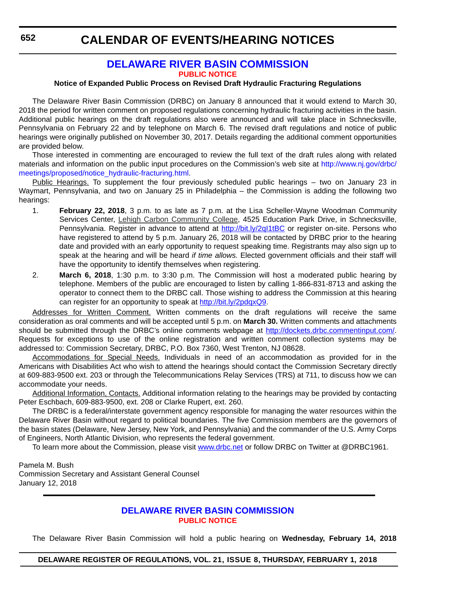#### **[DELAWARE RIVER BASIN COMMISSION](http://www.state.nj.us/drbc/) [PUBLIC NOTICE](#page-4-0)**

#### <span id="page-59-0"></span>**Notice of Expanded Public Process on Revised Draft Hydraulic Fracturing Regulations**

The Delaware River Basin Commission (DRBC) on January 8 announced that it would extend to March 30, 2018 the period for written comment on proposed regulations concerning hydraulic fracturing activities in the basin. Additional public hearings on the draft regulations also were announced and will take place in Schnecksville, Pennsylvania on February 22 and by telephone on March 6. The revised draft regulations and notice of public hearings were originally published on November 30, 2017. Details regarding the additional comment opportunities are provided below.

Those interested in commenting are encouraged to review the full text of the draft rules along with related materials and information on the public input procedures on the Commission's web site at [http://www.nj.gov/drbc/](http://www.nj.gov/drbc/meetings/proposed/notice_hydraulic-fracturing.html) [meetings/proposed/notice\\_hydraulic-fracturing.html.](http://www.nj.gov/drbc/meetings/proposed/notice_hydraulic-fracturing.html)

Public Hearings. To supplement the four previously scheduled public hearings – two on January 23 in Waymart, Pennsylvania, and two on January 25 in Philadelphia – the Commission is adding the following two hearings:

- 1. **February 22, 2018**, 3 p.m. to as late as 7 p.m. at the Lisa Scheller-Wayne Woodman Community Services Center, Lehigh Carbon Community College, 4525 Education Park Drive, in Schnecksville, Pennsylvania. Register in advance to attend at http://bit.ly/2ql1tBC or register on-site. Persons who have registered to attend by 5 p.m. January 26, 2018 will be contacted by DRBC prior to the hearing date and provided with an early opportunity to request speaking time. Registrants may also sign up to speak at the hearing and will be heard *if time allows.* Elected government officials and their staff will have the opportunity to identify themselves when registering.
- 2. **March 6, 2018**, 1:30 p.m. to 3:30 p.m. The Commission will host a moderated public hearing by telephone. Members of the public are encouraged to listen by calling 1-866-831-8713 and asking the operator to connect them to the DRBC call. Those wishing to address the Commission at this hearing can register for an opportunity to speak at<http://bit.ly/2pdqxQ9>.

Addresses for Written Comment. Written comments on the draft regulations will receive the same consideration as oral comments and will be accepted until 5 p.m. on **March 30.** Written comments and attachments should be submitted through the DRBC's online comments webpage at <http://dockets.drbc.commentinput.com/>. Requests for exceptions to use of the online registration and written comment collection systems may be addressed to: Commission Secretary, DRBC, P.O. Box 7360, West Trenton, NJ 08628.

Accommodations for Special Needs. Individuals in need of an accommodation as provided for in the Americans with Disabilities Act who wish to attend the hearings should contact the Commission Secretary directly at 609-883-9500 ext. 203 or through the Telecommunications Relay Services (TRS) at 711, to discuss how we can accommodate your needs.

Additional Information, Contacts. Additional information relating to the hearings may be provided by contacting Peter Eschbach, 609-883-9500, ext. 208 or Clarke Rupert, ext. 260.

The DRBC is a federal/interstate government agency responsible for managing the water resources within the Delaware River Basin without regard to political boundaries. The five Commission members are the governors of the basin states (Delaware, New Jersey, New York, and Pennsylvania) and the commander of the U.S. Army Corps of Engineers, North Atlantic Division, who represents the federal government.

To learn more about the Commission, please visit<www.drbc.net> or follow DRBC on Twitter at @DRBC1961.

Pamela M. Bush Commission Secretary and Assistant General Counsel January 12, 2018

#### **[DELAWARE RIVER BASIN COMMISSION](http://www.state.nj.us/drbc/) [PUBLIC NOTICE](#page-4-0)**

The Delaware River Basin Commission will hold a public hearing on **Wednesday, February 14, 2018**

#### **DELAWARE REGISTER OF REGULATIONS, VOL. 21, ISSUE 8, THURSDAY, FEBRUARY 1, 2018**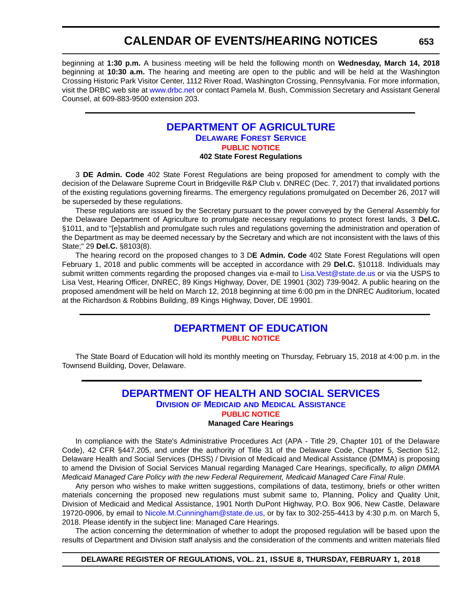<span id="page-60-0"></span>beginning at **1:30 p.m.** A business meeting will be held the following month on **Wednesday, March 14, 2018** beginning at **10:30 a.m.** The hearing and meeting are open to the public and will be held at the Washington Crossing Historic Park Visitor Center, 1112 River Road, Washington Crossing, Pennsylvania. For more information, visit the DRBC web site at <www.drbc.net>or contact Pamela M. Bush, Commission Secretary and Assistant General Counsel, at 609-883-9500 extension 203.

#### **[DEPARTMENT OF AGRICULTURE](https://dda.delaware.gov/forestry/index.shtml) [DELAWARE FOREST SERVICE](https://dda.delaware.gov/forestry/index.shtml) [PUBLIC NOTICE](#page-4-0) 402 State Forest Regulations**

3 **DE Admin. Code** 402 State Forest Regulations are being proposed for amendment to comply with the decision of the Delaware Supreme Court in Bridgeville R&P Club v. DNREC (Dec. 7, 2017) that invalidated portions of the existing regulations governing firearms. The emergency regulations promulgated on December 26, 2017 will be superseded by these regulations.

These regulations are issued by the Secretary pursuant to the power conveyed by the General Assembly for the Delaware Department of Agriculture to promulgate necessary regulations to protect forest lands, 3 **Del.C.** §1011, and to "[e]stablish and promulgate such rules and regulations governing the administration and operation of the Department as may be deemed necessary by the Secretary and which are not inconsistent with the laws of this State;" 29 **Del.C.** §8103(8).

The hearing record on the proposed changes to 3 D**E Admin. Code** 402 State Forest Regulations will open February 1, 2018 and public comments will be accepted in accordance with 29 **Del.C.** §10118. Individuals may submit written comments regarding the proposed changes via e-mail to Lisa. Vest@state.de.us or via the USPS to Lisa Vest, Hearing Officer, DNREC, 89 Kings Highway, Dover, DE 19901 (302) 739-9042. A public hearing on the proposed amendment will be held on March 12, 2018 beginning at time 6:00 pm in the DNREC Auditorium, located at the Richardson & Robbins Building, 89 Kings Highway, Dover, DE 19901.

### **[DEPARTMENT OF EDUCATION](https://www.doe.k12.de.us/) [PUBLIC NOTICE](#page-4-0)**

The State Board of Education will hold its monthly meeting on Thursday, February 15, 2018 at 4:00 p.m. in the Townsend Building, Dover, Delaware.

#### **[DEPARTMENT OF HEALTH AND SOCIAL SERVICES](http://www.dhss.delaware.gov/dhss/dmma/) DIVISION OF MEDICAID [AND MEDICAL ASSISTANCE](http://www.dhss.delaware.gov/dhss/dmma/) [PUBLIC NOTICE](#page-4-0) Managed Care Hearings**

In compliance with the State's Administrative Procedures Act (APA - Title 29, Chapter 101 of the Delaware Code), 42 CFR §447.205, and under the authority of Title 31 of the Delaware Code, Chapter 5, Section 512, Delaware Health and Social Services (DHSS) / Division of Medicaid and Medical Assistance (DMMA) is proposing to amend the Division of Social Services Manual regarding Managed Care Hearings, specifically, *to align DMMA Medicaid Managed Care Policy with the new Federal Requirement, Medicaid Managed Care Final Rule*.

Any person who wishes to make written suggestions, compilations of data, testimony, briefs or other written materials concerning the proposed new regulations must submit same to, Planning, Policy and Quality Unit, Division of Medicaid and Medical Assistance, 1901 North DuPont Highway, P.O. Box 906, New Castle, Delaware 19720-0906, by email to [Nicole.M.Cunningham@state.de.us,](mailto:Nicole.M.Cunningham@state.de.us) or by fax to 302-255-4413 by 4:30 p.m. on March 5, 2018. Please identify in the subject line: Managed Care Hearings.

The action concerning the determination of whether to adopt the proposed regulation will be based upon the results of Department and Division staff analysis and the consideration of the comments and written materials filed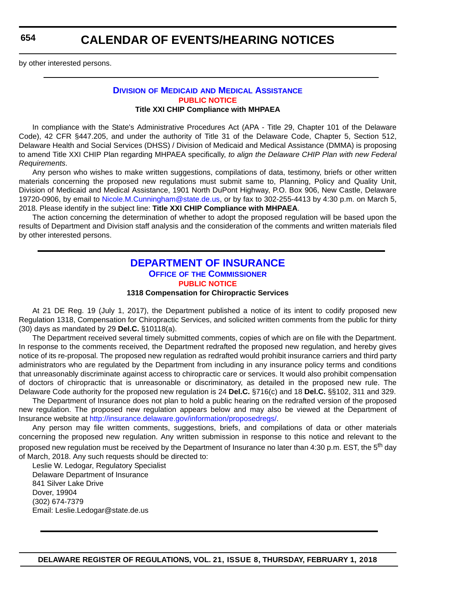<span id="page-61-0"></span>by other interested persons.

#### **DIVISION OF MEDICAID [AND MEDICAL ASSISTANCE](http://www.dhss.delaware.gov/dhss/dmma/) [PUBLIC NOTICE](#page-4-0) Title XXI CHIP Compliance with MHPAEA**

In compliance with the State's Administrative Procedures Act (APA - Title 29, Chapter 101 of the Delaware Code), 42 CFR §447.205, and under the authority of Title 31 of the Delaware Code, Chapter 5, Section 512, Delaware Health and Social Services (DHSS) / Division of Medicaid and Medical Assistance (DMMA) is proposing to amend Title XXI CHIP Plan regarding MHPAEA specifically, *to align the Delaware CHIP Plan with new Federal Requirements*.

Any person who wishes to make written suggestions, compilations of data, testimony, briefs or other written materials concerning the proposed new regulations must submit same to, Planning, Policy and Quality Unit, Division of Medicaid and Medical Assistance, 1901 North DuPont Highway, P.O. Box 906, New Castle, Delaware 19720-0906, by email to [Nicole.M.Cunningham@state.de.us](mailto:Nicole.M.Cunningham@state.de.us
), or by fax to 302-255-4413 by 4:30 p.m. on March 5, 2018. Please identify in the subject line: **Title XXI CHIP Compliance with MHPAEA**.

The action concerning the determination of whether to adopt the proposed regulation will be based upon the results of Department and Division staff analysis and the consideration of the comments and written materials filed by other interested persons.

### **[DEPARTMENT OF INSURANCE](https://insurance.delaware.gov/) OFFICE OF [THE COMMISSIONER](https://insurance.delaware.gov/) [PUBLIC NOTICE](#page-4-0)**

#### **1318 Compensation for Chiropractic Services**

At 21 DE Reg. 19 (July 1, 2017), the Department published a notice of its intent to codify proposed new Regulation 1318, Compensation for Chiropractic Services, and solicited written comments from the public for thirty (30) days as mandated by 29 **Del.C.** §10118(a).

The Department received several timely submitted comments, copies of which are on file with the Department. In response to the comments received, the Department redrafted the proposed new regulation, and hereby gives notice of its re-proposal. The proposed new regulation as redrafted would prohibit insurance carriers and third party administrators who are regulated by the Department from including in any insurance policy terms and conditions that unreasonably discriminate against access to chiropractic care or services. It would also prohibit compensation of doctors of chiropractic that is unreasonable or discriminatory, as detailed in the proposed new rule. The Delaware Code authority for the proposed new regulation is 24 **Del.C.** §716(c) and 18 **Del.C.** §§102, 311 and 329.

The Department of Insurance does not plan to hold a public hearing on the redrafted version of the proposed new regulation. The proposed new regulation appears below and may also be viewed at the Department of Insurance website at <http://insurance.delaware.gov/information/proposedregs/>.

Any person may file written comments, suggestions, briefs, and compilations of data or other materials concerning the proposed new regulation. Any written submission in response to this notice and relevant to the proposed new regulation must be received by the Department of Insurance no later than 4:30 p.m. EST, the 5<sup>th</sup> day of March, 2018. Any such requests should be directed to:

Leslie W. Ledogar, Regulatory Specialist Delaware Department of Insurance 841 Silver Lake Drive Dover, 19904 (302) 674-7379 Email: Leslie.Ledogar@state.de.us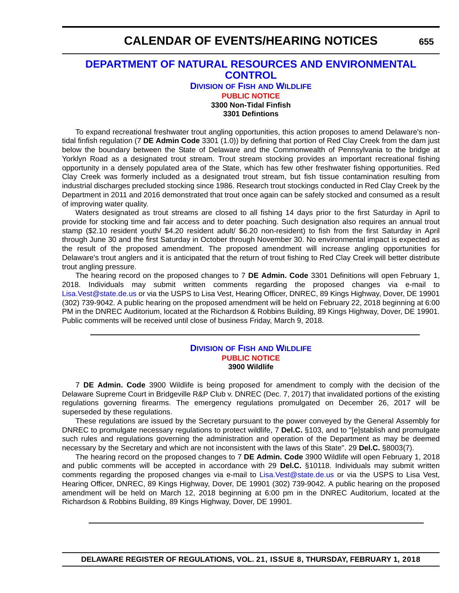### <span id="page-62-0"></span>**[DEPARTMENT OF NATURAL RESOURCES AND ENVIRONMENTAL](http://www.dnrec.delaware.gov/fw/Pages/DFW-Portal.aspx)  CONTROL**

#### **DIVISION OF FISH [AND WILDLIFE](http://www.dnrec.delaware.gov/fw/Pages/DFW-Portal.aspx) [PUBLIC NOTICE](#page-4-0) 3300 Non-Tidal Finfish**

#### **3301 Defintions**

To expand recreational freshwater trout angling opportunities, this action proposes to amend Delaware's nontidal finfish regulation (7 **DE Admin Code** 3301 (1.0)) by defining that portion of Red Clay Creek from the dam just below the boundary between the State of Delaware and the Commonwealth of Pennsylvania to the bridge at Yorklyn Road as a designated trout stream. Trout stream stocking provides an important recreational fishing opportunity in a densely populated area of the State, which has few other freshwater fishing opportunities. Red Clay Creek was formerly included as a designated trout stream, but fish tissue contamination resulting from industrial discharges precluded stocking since 1986. Research trout stockings conducted in Red Clay Creek by the Department in 2011 and 2016 demonstrated that trout once again can be safely stocked and consumed as a result of improving water quality.

Waters designated as trout streams are closed to all fishing 14 days prior to the first Saturday in April to provide for stocking time and fair access and to deter poaching. Such designation also requires an annual trout stamp (\$2.10 resident youth/ \$4.20 resident adult/ \$6.20 non-resident) to fish from the first Saturday in April through June 30 and the first Saturday in October through November 30. No environmental impact is expected as the result of the proposed amendment. The proposed amendment will increase angling opportunities for Delaware's trout anglers and it is anticipated that the return of trout fishing to Red Clay Creek will better distribute trout angling pressure.

The hearing record on the proposed changes to 7 **DE Admin. Code** 3301 Definitions will open February 1, 2018. Individuals may submit written comments regarding the proposed changes via e-mail to [Lisa.Vest@state.de.us](mailto:Lisa.Vest@state.de.us) or via the USPS to Lisa Vest, Hearing Officer, DNREC, 89 Kings Highway, Dover, DE 19901 (302) 739-9042. A public hearing on the proposed amendment will be held on February 22, 2018 beginning at 6:00 PM in the DNREC Auditorium, located at the Richardson & Robbins Building, 89 Kings Highway, Dover, DE 19901. Public comments will be received until close of business Friday, March 9, 2018.

#### **DIVISION OF FISH [AND WILDLIFE](http://www.dnrec.delaware.gov/fw/Pages/DFW-Portal.aspx) [PUBLIC NOTICE](#page-4-0) 3900 Wildlife**

7 **DE Admin. Code** 3900 Wildlife is being proposed for amendment to comply with the decision of the Delaware Supreme Court in Bridgeville R&P Club v. DNREC (Dec. 7, 2017) that invalidated portions of the existing regulations governing firearms. The emergency regulations promulgated on December 26, 2017 will be superseded by these regulations.

These regulations are issued by the Secretary pursuant to the power conveyed by the General Assembly for DNREC to promulgate necessary regulations to protect wildlife, 7 **Del.C.** §103, and to "[e]stablish and promulgate such rules and regulations governing the administration and operation of the Department as may be deemed necessary by the Secretary and which are not inconsistent with the laws of this State". 29 **Del.C.** §8003(7).

The hearing record on the proposed changes to 7 **DE Admin. Code** 3900 Wildlife will open February 1, 2018 and public comments will be accepted in accordance with 29 **Del.C.** §10118. Individuals may submit written comments regarding the proposed changes via e-mail to [Lisa.Vest@state.de.us](mailto:Lisa.Vest@state.de.us) or via the USPS to Lisa Vest, Hearing Officer, DNREC, 89 Kings Highway, Dover, DE 19901 (302) 739-9042. A public hearing on the proposed amendment will be held on March 12, 2018 beginning at 6:00 pm in the DNREC Auditorium, located at the Richardson & Robbins Building, 89 Kings Highway, Dover, DE 19901.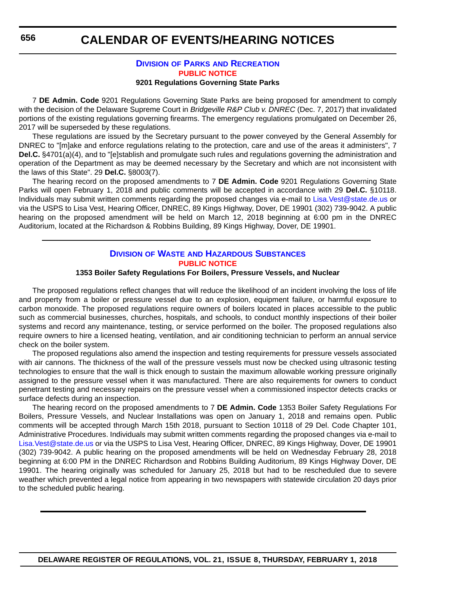### **DIVISION OF PARKS [AND RECREATION](http://www.destateparks.com/) [PUBLIC NOTICE](#page-4-0)**

#### **9201 Regulations Governing State Parks**

7 **DE Admin. Code** 9201 Regulations Governing State Parks are being proposed for amendment to comply with the decision of the Delaware Supreme Court in *Bridgeville R&P Club v. DNREC* (Dec. 7, 2017) that invalidated portions of the existing regulations governing firearms. The emergency regulations promulgated on December 26, 2017 will be superseded by these regulations.

These regulations are issued by the Secretary pursuant to the power conveyed by the General Assembly for DNREC to "[m]ake and enforce regulations relating to the protection, care and use of the areas it administers", 7 **Del.C.** §4701(a)(4), and to "[e]stablish and promulgate such rules and regulations governing the administration and operation of the Department as may be deemed necessary by the Secretary and which are not inconsistent with the laws of this State". 29 **Del.C.** §8003(7).

The hearing record on the proposed amendments to 7 **DE Admin. Code** 9201 Regulations Governing State Parks will open February 1, 2018 and public comments will be accepted in accordance with 29 **Del.C.** §10118. Individuals may submit written comments regarding the proposed changes via e-mail to [Lisa.Vest@state.de.us](mailto:Lisa.Vest@state.de.us) or via the USPS to Lisa Vest, Hearing Officer, DNREC, 89 Kings Highway, Dover, DE 19901 (302) 739-9042. A public hearing on the proposed amendment will be held on March 12, 2018 beginning at 6:00 pm in the DNREC Auditorium, located at the Richardson & Robbins Building, 89 Kings Highway, Dover, DE 19901.

#### **DIVISION OF WASTE [AND HAZARDOUS SUBSTANCES](http://www.dnrec.delaware.gov/dwhs/Pages/default.aspx) [PUBLIC NOTICE](#page-4-0)**

#### **1353 Boiler Safety Regulations For Boilers, Pressure Vessels, and Nuclear**

The proposed regulations reflect changes that will reduce the likelihood of an incident involving the loss of life and property from a boiler or pressure vessel due to an explosion, equipment failure, or harmful exposure to carbon monoxide. The proposed regulations require owners of boilers located in places accessible to the public such as commercial businesses, churches, hospitals, and schools, to conduct monthly inspections of their boiler systems and record any maintenance, testing, or service performed on the boiler. The proposed regulations also require owners to hire a licensed heating, ventilation, and air conditioning technician to perform an annual service check on the boiler system.

The proposed regulations also amend the inspection and testing requirements for pressure vessels associated with air cannons. The thickness of the wall of the pressure vessels must now be checked using ultrasonic testing technologies to ensure that the wall is thick enough to sustain the maximum allowable working pressure originally assigned to the pressure vessel when it was manufactured. There are also requirements for owners to conduct penetrant testing and necessary repairs on the pressure vessel when a commissioned inspector detects cracks or surface defects during an inspection.

The hearing record on the proposed amendments to 7 **DE Admin. Code** 1353 Boiler Safety Regulations For Boilers, Pressure Vessels, and Nuclear Installations was open on January 1, 2018 and remains open. Public comments will be accepted through March 15th 2018, pursuant to Section 10118 of 29 Del. Code Chapter 101, Administrative Procedures. Individuals may submit written comments regarding the proposed changes via e-mail to [Lisa.Vest@state.de.us](mailto:Lisa.Vest@state.de.us) or via the USPS to Lisa Vest, Hearing Officer, DNREC, 89 Kings Highway, Dover, DE 19901 (302) 739-9042. A public hearing on the proposed amendments will be held on Wednesday February 28, 2018 beginning at 6:00 PM in the DNREC Richardson and Robbins Building Auditorium, 89 Kings Highway Dover, DE 19901. The hearing originally was scheduled for January 25, 2018 but had to be rescheduled due to severe weather which prevented a legal notice from appearing in two newspapers with statewide circulation 20 days prior to the scheduled public hearing.